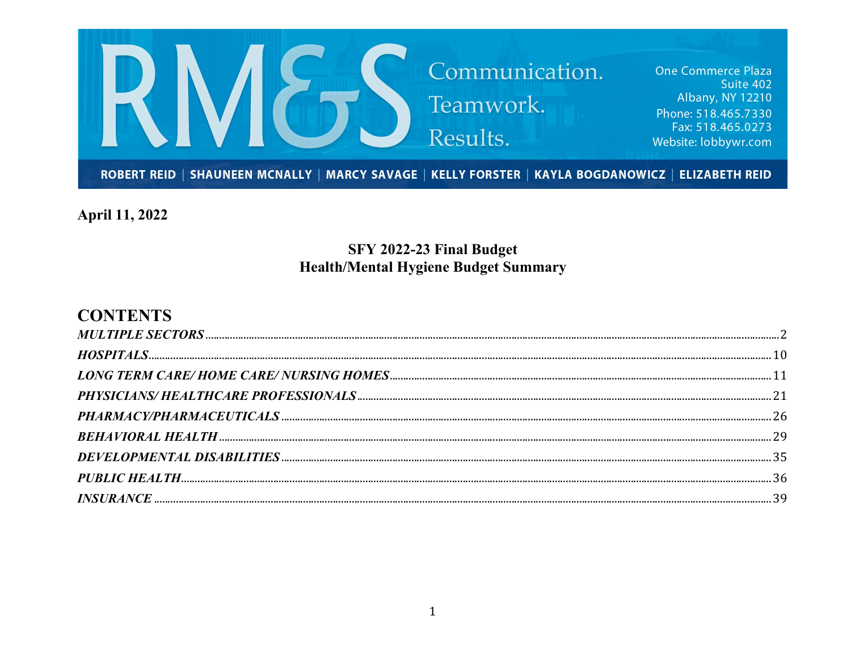

**April 11, 2022** 

# SFY 2022-23 Final Budget **Health/Mental Hygiene Budget Summary**

# **CONTENTS**

| $\label{eq:INSURANCE} INSURANCE  \textit{} \textit{} \textit{} \textit{} \textit{} \textit{} \textit{} \textit{} \textit{} \textit{} \textit{} \textit{} \textit{} \textit{} \textit{} \textit{} \textit{} \textit{} \textit{} \textit{} \textit{} \textit{} \textit{} \textit{} \textit{} \textit{} \textit{} \textit{} \textit{} \textit{} \textit{} \textit{} \textit{} \textit{} \$ |  |
|-----------------------------------------------------------------------------------------------------------------------------------------------------------------------------------------------------------------------------------------------------------------------------------------------------------------------------------------------------------------------------------------|--|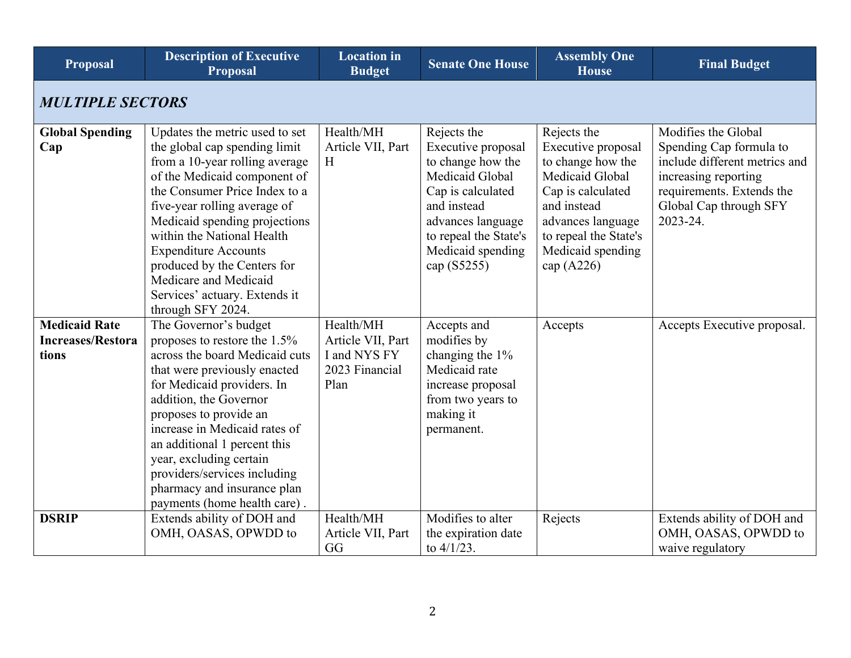<span id="page-1-0"></span>

| <b>Proposal</b>                                           | <b>Description of Executive</b><br><b>Proposal</b>                                                                                                                                                                                                                                                                                                                                                             | <b>Location</b> in<br><b>Budget</b>                                      | <b>Senate One House</b>                                                                                                                                                                         | <b>Assembly One</b><br><b>House</b>                                                                                                                                                              | <b>Final Budget</b>                                                                                                                                                        |
|-----------------------------------------------------------|----------------------------------------------------------------------------------------------------------------------------------------------------------------------------------------------------------------------------------------------------------------------------------------------------------------------------------------------------------------------------------------------------------------|--------------------------------------------------------------------------|-------------------------------------------------------------------------------------------------------------------------------------------------------------------------------------------------|--------------------------------------------------------------------------------------------------------------------------------------------------------------------------------------------------|----------------------------------------------------------------------------------------------------------------------------------------------------------------------------|
| <b>MULTIPLE SECTORS</b>                                   |                                                                                                                                                                                                                                                                                                                                                                                                                |                                                                          |                                                                                                                                                                                                 |                                                                                                                                                                                                  |                                                                                                                                                                            |
| <b>Global Spending</b><br>Cap                             | Updates the metric used to set<br>the global cap spending limit<br>from a 10-year rolling average<br>of the Medicaid component of<br>the Consumer Price Index to a<br>five-year rolling average of<br>Medicaid spending projections<br>within the National Health<br><b>Expenditure Accounts</b><br>produced by the Centers for<br>Medicare and Medicaid<br>Services' actuary. Extends it<br>through SFY 2024. | Health/MH<br>Article VII, Part<br>H                                      | Rejects the<br>Executive proposal<br>to change how the<br>Medicaid Global<br>Cap is calculated<br>and instead<br>advances language<br>to repeal the State's<br>Medicaid spending<br>cap (S5255) | Rejects the<br>Executive proposal<br>to change how the<br>Medicaid Global<br>Cap is calculated<br>and instead<br>advances language<br>to repeal the State's<br>Medicaid spending<br>cap $(A226)$ | Modifies the Global<br>Spending Cap formula to<br>include different metrics and<br>increasing reporting<br>requirements. Extends the<br>Global Cap through SFY<br>2023-24. |
| <b>Medicaid Rate</b><br><b>Increases/Restora</b><br>tions | The Governor's budget<br>proposes to restore the 1.5%<br>across the board Medicaid cuts<br>that were previously enacted<br>for Medicaid providers. In<br>addition, the Governor<br>proposes to provide an<br>increase in Medicaid rates of<br>an additional 1 percent this<br>year, excluding certain<br>providers/services including<br>pharmacy and insurance plan<br>payments (home health care).           | Health/MH<br>Article VII, Part<br>I and NYS FY<br>2023 Financial<br>Plan | Accepts and<br>modifies by<br>changing the 1%<br>Medicaid rate<br>increase proposal<br>from two years to<br>making it<br>permanent.                                                             | Accepts                                                                                                                                                                                          | Accepts Executive proposal.                                                                                                                                                |
| <b>DSRIP</b>                                              | Extends ability of DOH and<br>OMH, OASAS, OPWDD to                                                                                                                                                                                                                                                                                                                                                             | Health/MH<br>Article VII, Part<br>GG                                     | Modifies to alter<br>the expiration date<br>to $4/1/23$ .                                                                                                                                       | Rejects                                                                                                                                                                                          | Extends ability of DOH and<br>OMH, OASAS, OPWDD to<br>waive regulatory                                                                                                     |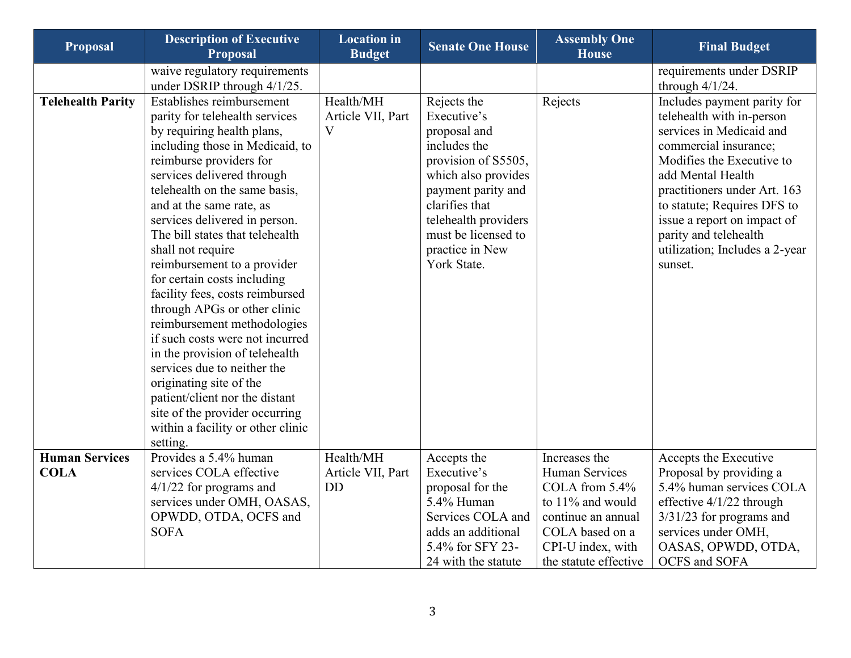| <b>Proposal</b>          | <b>Description of Executive</b><br><b>Proposal</b>                  | <b>Location</b> in<br><b>Budget</b> | <b>Senate One House</b> | <b>Assembly One</b><br><b>House</b> | <b>Final Budget</b>            |
|--------------------------|---------------------------------------------------------------------|-------------------------------------|-------------------------|-------------------------------------|--------------------------------|
|                          | waive regulatory requirements                                       |                                     |                         |                                     | requirements under DSRIP       |
|                          | under DSRIP through 4/1/25.                                         |                                     |                         |                                     | through $4/1/24$ .             |
| <b>Telehealth Parity</b> | Establishes reimbursement                                           | Health/MH                           | Rejects the             | Rejects                             | Includes payment parity for    |
|                          | parity for telehealth services                                      | Article VII, Part                   | Executive's             |                                     | telehealth with in-person      |
|                          | by requiring health plans,                                          | V                                   | proposal and            |                                     | services in Medicaid and       |
|                          | including those in Medicaid, to                                     |                                     | includes the            |                                     | commercial insurance;          |
|                          | reimburse providers for                                             |                                     | provision of S5505,     |                                     | Modifies the Executive to      |
|                          | services delivered through                                          |                                     | which also provides     |                                     | add Mental Health              |
|                          | telehealth on the same basis,                                       |                                     | payment parity and      |                                     | practitioners under Art. 163   |
|                          | and at the same rate, as                                            |                                     | clarifies that          |                                     | to statute; Requires DFS to    |
|                          | services delivered in person.                                       |                                     | telehealth providers    |                                     | issue a report on impact of    |
|                          | The bill states that telehealth                                     |                                     | must be licensed to     |                                     | parity and telehealth          |
|                          | shall not require                                                   |                                     | practice in New         |                                     | utilization; Includes a 2-year |
|                          | reimbursement to a provider                                         |                                     | York State.             |                                     | sunset.                        |
|                          | for certain costs including                                         |                                     |                         |                                     |                                |
|                          | facility fees, costs reimbursed                                     |                                     |                         |                                     |                                |
|                          | through APGs or other clinic                                        |                                     |                         |                                     |                                |
|                          | reimbursement methodologies                                         |                                     |                         |                                     |                                |
|                          | if such costs were not incurred                                     |                                     |                         |                                     |                                |
|                          | in the provision of telehealth                                      |                                     |                         |                                     |                                |
|                          | services due to neither the                                         |                                     |                         |                                     |                                |
|                          | originating site of the                                             |                                     |                         |                                     |                                |
|                          | patient/client nor the distant                                      |                                     |                         |                                     |                                |
|                          | site of the provider occurring<br>within a facility or other clinic |                                     |                         |                                     |                                |
|                          | setting.                                                            |                                     |                         |                                     |                                |
| <b>Human Services</b>    | Provides a 5.4% human                                               | Health/MH                           | Accepts the             | Increases the                       | Accepts the Executive          |
| <b>COLA</b>              | services COLA effective                                             | Article VII, Part                   | Executive's             | Human Services                      | Proposal by providing a        |
|                          | $4/1/22$ for programs and                                           | <b>DD</b>                           | proposal for the        | COLA from 5.4%                      | 5.4% human services COLA       |
|                          | services under OMH, OASAS,                                          |                                     | 5.4% Human              | to 11% and would                    | effective 4/1/22 through       |
|                          | OPWDD, OTDA, OCFS and                                               |                                     | Services COLA and       | continue an annual                  | 3/31/23 for programs and       |
|                          | <b>SOFA</b>                                                         |                                     | adds an additional      | COLA based on a                     | services under OMH,            |
|                          |                                                                     |                                     | 5.4% for SFY 23-        | CPI-U index, with                   | OASAS, OPWDD, OTDA,            |
|                          |                                                                     |                                     | 24 with the statute     | the statute effective               | <b>OCFS</b> and SOFA           |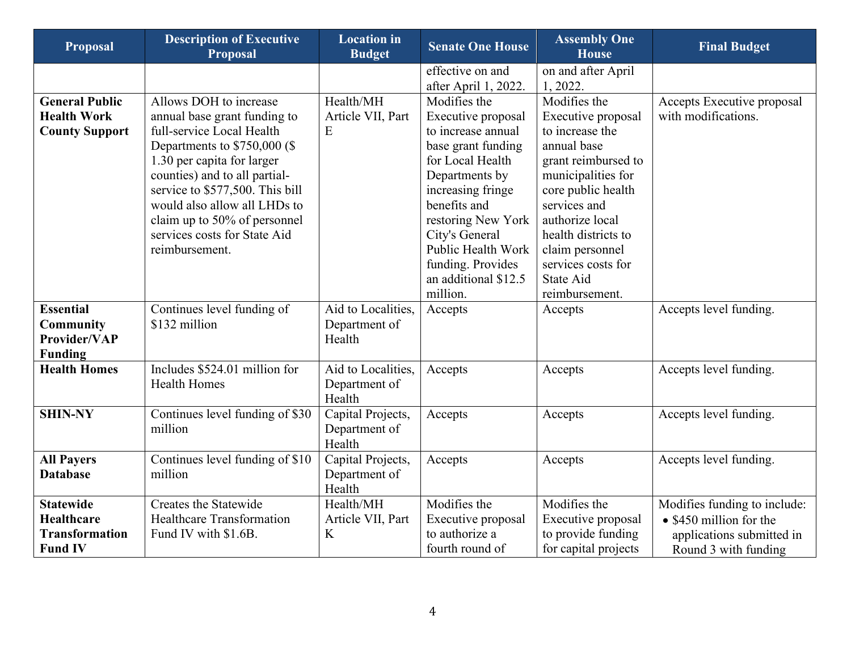| <b>Proposal</b>                                                           | <b>Description of Executive</b><br>Proposal                                                                                                                                                                                                                                                                                               | <b>Location</b> in<br><b>Budget</b>           | <b>Senate One House</b>                                                                                                                                                                                                                                              | <b>Assembly One</b><br><b>House</b>                                                                                                                                                                                                                    | <b>Final Budget</b>                                                                                                  |
|---------------------------------------------------------------------------|-------------------------------------------------------------------------------------------------------------------------------------------------------------------------------------------------------------------------------------------------------------------------------------------------------------------------------------------|-----------------------------------------------|----------------------------------------------------------------------------------------------------------------------------------------------------------------------------------------------------------------------------------------------------------------------|--------------------------------------------------------------------------------------------------------------------------------------------------------------------------------------------------------------------------------------------------------|----------------------------------------------------------------------------------------------------------------------|
|                                                                           |                                                                                                                                                                                                                                                                                                                                           |                                               | effective on and                                                                                                                                                                                                                                                     | on and after April                                                                                                                                                                                                                                     |                                                                                                                      |
| <b>General Public</b><br><b>Health Work</b><br><b>County Support</b>      | Allows DOH to increase<br>annual base grant funding to<br>full-service Local Health<br>Departments to $$750,000$ (\$)<br>1.30 per capita for larger<br>counties) and to all partial-<br>service to \$577,500. This bill<br>would also allow all LHDs to<br>claim up to 50% of personnel<br>services costs for State Aid<br>reimbursement. | Health/MH<br>Article VII, Part<br>E           | after April 1, 2022.<br>Modifies the<br>Executive proposal<br>to increase annual<br>base grant funding<br>for Local Health<br>Departments by<br>increasing fringe<br>benefits and<br>restoring New York<br>City's General<br>Public Health Work<br>funding. Provides | 1, 2022.<br>Modifies the<br>Executive proposal<br>to increase the<br>annual base<br>grant reimbursed to<br>municipalities for<br>core public health<br>services and<br>authorize local<br>health districts to<br>claim personnel<br>services costs for | Accepts Executive proposal<br>with modifications.                                                                    |
|                                                                           |                                                                                                                                                                                                                                                                                                                                           |                                               | an additional \$12.5<br>million.                                                                                                                                                                                                                                     | State Aid<br>reimbursement.                                                                                                                                                                                                                            |                                                                                                                      |
| <b>Essential</b><br><b>Community</b><br>Provider/VAP<br><b>Funding</b>    | Continues level funding of<br>\$132 million                                                                                                                                                                                                                                                                                               | Aid to Localities,<br>Department of<br>Health | Accepts                                                                                                                                                                                                                                                              | Accepts                                                                                                                                                                                                                                                | Accepts level funding.                                                                                               |
| <b>Health Homes</b>                                                       | Includes \$524.01 million for<br><b>Health Homes</b>                                                                                                                                                                                                                                                                                      | Aid to Localities,<br>Department of<br>Health | Accepts                                                                                                                                                                                                                                                              | Accepts                                                                                                                                                                                                                                                | Accepts level funding.                                                                                               |
| <b>SHIN-NY</b>                                                            | Continues level funding of \$30<br>million                                                                                                                                                                                                                                                                                                | Capital Projects,<br>Department of<br>Health  | Accepts                                                                                                                                                                                                                                                              | Accepts                                                                                                                                                                                                                                                | Accepts level funding.                                                                                               |
| <b>All Payers</b><br><b>Database</b>                                      | Continues level funding of \$10<br>million                                                                                                                                                                                                                                                                                                | Capital Projects,<br>Department of<br>Health  | Accepts                                                                                                                                                                                                                                                              | Accepts                                                                                                                                                                                                                                                | Accepts level funding.                                                                                               |
| <b>Statewide</b><br>Healthcare<br><b>Transformation</b><br><b>Fund IV</b> | Creates the Statewide<br><b>Healthcare Transformation</b><br>Fund IV with \$1.6B.                                                                                                                                                                                                                                                         | Health/MH<br>Article VII, Part<br>K           | Modifies the<br>Executive proposal<br>to authorize a<br>fourth round of                                                                                                                                                                                              | Modifies the<br>Executive proposal<br>to provide funding<br>for capital projects                                                                                                                                                                       | Modifies funding to include:<br>$\bullet$ \$450 million for the<br>applications submitted in<br>Round 3 with funding |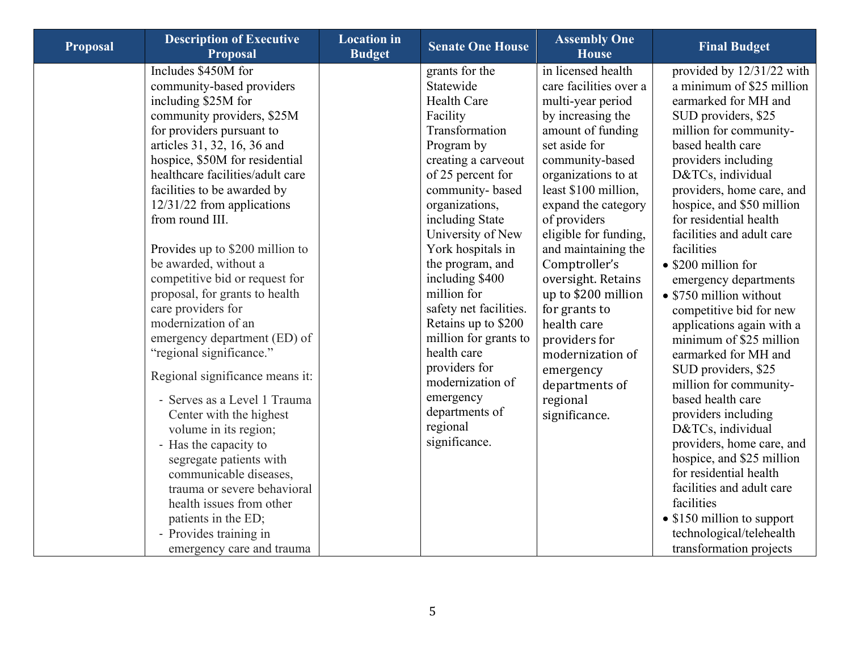| <b>Proposal</b> | <b>Description of Executive</b><br><b>Proposal</b>                                                                                                                                                                                                                                                                                                                                                                                                                                                                                                                                                                                                                                                                                                                                                                                                                                  | <b>Location</b> in<br><b>Budget</b> | <b>Senate One House</b>                                                                                                                                                                                                                                                                                                                                                                                                                                                                     | <b>Assembly One</b><br><b>House</b>                                                                                                                                                                                                                                                                                                                                                                                                                                                  | <b>Final Budget</b>                                                                                                                                                                                                                                                                                                                                                                                                                                                                                                                                                                                                                                                                                                                                                                                                              |
|-----------------|-------------------------------------------------------------------------------------------------------------------------------------------------------------------------------------------------------------------------------------------------------------------------------------------------------------------------------------------------------------------------------------------------------------------------------------------------------------------------------------------------------------------------------------------------------------------------------------------------------------------------------------------------------------------------------------------------------------------------------------------------------------------------------------------------------------------------------------------------------------------------------------|-------------------------------------|---------------------------------------------------------------------------------------------------------------------------------------------------------------------------------------------------------------------------------------------------------------------------------------------------------------------------------------------------------------------------------------------------------------------------------------------------------------------------------------------|--------------------------------------------------------------------------------------------------------------------------------------------------------------------------------------------------------------------------------------------------------------------------------------------------------------------------------------------------------------------------------------------------------------------------------------------------------------------------------------|----------------------------------------------------------------------------------------------------------------------------------------------------------------------------------------------------------------------------------------------------------------------------------------------------------------------------------------------------------------------------------------------------------------------------------------------------------------------------------------------------------------------------------------------------------------------------------------------------------------------------------------------------------------------------------------------------------------------------------------------------------------------------------------------------------------------------------|
|                 | Includes \$450M for<br>community-based providers<br>including \$25M for<br>community providers, \$25M<br>for providers pursuant to<br>articles 31, 32, 16, 36 and<br>hospice, \$50M for residential<br>healthcare facilities/adult care<br>facilities to be awarded by<br>$12/31/22$ from applications<br>from round III.<br>Provides up to \$200 million to<br>be awarded, without a<br>competitive bid or request for<br>proposal, for grants to health<br>care providers for<br>modernization of an<br>emergency department (ED) of<br>"regional significance."<br>Regional significance means it:<br>- Serves as a Level 1 Trauma<br>Center with the highest<br>volume in its region;<br>- Has the capacity to<br>segregate patients with<br>communicable diseases,<br>trauma or severe behavioral<br>health issues from other<br>patients in the ED;<br>- Provides training in |                                     | grants for the<br>Statewide<br><b>Health Care</b><br>Facility<br>Transformation<br>Program by<br>creating a carveout<br>of 25 percent for<br>community-based<br>organizations,<br>including State<br>University of New<br>York hospitals in<br>the program, and<br>including \$400<br>million for<br>safety net facilities.<br>Retains up to \$200<br>million for grants to<br>health care<br>providers for<br>modernization of<br>emergency<br>departments of<br>regional<br>significance. | in licensed health<br>care facilities over a<br>multi-year period<br>by increasing the<br>amount of funding<br>set aside for<br>community-based<br>organizations to at<br>least \$100 million,<br>expand the category<br>of providers<br>eligible for funding,<br>and maintaining the<br>Comptroller's<br>oversight. Retains<br>up to \$200 million<br>for grants to<br>health care<br>providers for<br>modernization of<br>emergency<br>departments of<br>regional<br>significance. | provided by 12/31/22 with<br>a minimum of \$25 million<br>earmarked for MH and<br>SUD providers, \$25<br>million for community-<br>based health care<br>providers including<br>D&TCs, individual<br>providers, home care, and<br>hospice, and \$50 million<br>for residential health<br>facilities and adult care<br>facilities<br>• \$200 million for<br>emergency departments<br>• \$750 million without<br>competitive bid for new<br>applications again with a<br>minimum of \$25 million<br>earmarked for MH and<br>SUD providers, \$25<br>million for community-<br>based health care<br>providers including<br>D&TCs, individual<br>providers, home care, and<br>hospice, and \$25 million<br>for residential health<br>facilities and adult care<br>facilities<br>• \$150 million to support<br>technological/telehealth |
|                 | emergency care and trauma                                                                                                                                                                                                                                                                                                                                                                                                                                                                                                                                                                                                                                                                                                                                                                                                                                                           |                                     |                                                                                                                                                                                                                                                                                                                                                                                                                                                                                             |                                                                                                                                                                                                                                                                                                                                                                                                                                                                                      | transformation projects                                                                                                                                                                                                                                                                                                                                                                                                                                                                                                                                                                                                                                                                                                                                                                                                          |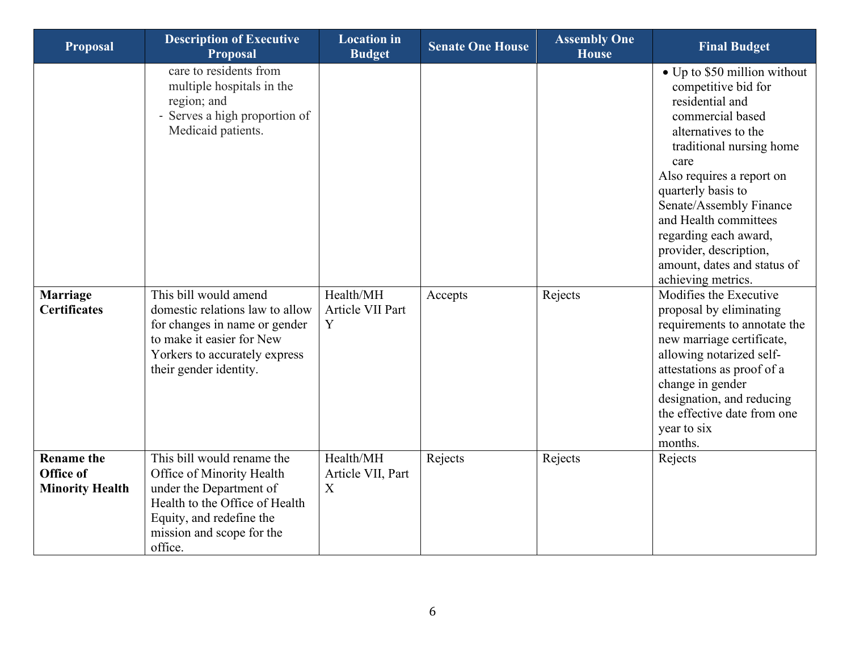| <b>Proposal</b>                                          | <b>Description of Executive</b><br><b>Proposal</b>                                                                                                                                                                                                                                   | <b>Location</b> in<br><b>Budget</b> | <b>Senate One House</b> | <b>Assembly One</b><br><b>House</b> | <b>Final Budget</b>                                                                                                                                                                                                                                                                                                                                                                                                                                                                                                |
|----------------------------------------------------------|--------------------------------------------------------------------------------------------------------------------------------------------------------------------------------------------------------------------------------------------------------------------------------------|-------------------------------------|-------------------------|-------------------------------------|--------------------------------------------------------------------------------------------------------------------------------------------------------------------------------------------------------------------------------------------------------------------------------------------------------------------------------------------------------------------------------------------------------------------------------------------------------------------------------------------------------------------|
| <b>Marriage</b><br><b>Certificates</b>                   | care to residents from<br>multiple hospitals in the<br>region; and<br>- Serves a high proportion of<br>Medicaid patients.<br>This bill would amend<br>domestic relations law to allow<br>for changes in name or gender<br>to make it easier for New<br>Yorkers to accurately express | Health/MH<br>Article VII Part<br>Y  | Accepts                 | Rejects                             | • Up to \$50 million without<br>competitive bid for<br>residential and<br>commercial based<br>alternatives to the<br>traditional nursing home<br>care<br>Also requires a report on<br>quarterly basis to<br>Senate/Assembly Finance<br>and Health committees<br>regarding each award,<br>provider, description,<br>amount, dates and status of<br>achieving metrics.<br>Modifies the Executive<br>proposal by eliminating<br>requirements to annotate the<br>new marriage certificate,<br>allowing notarized self- |
|                                                          | their gender identity.                                                                                                                                                                                                                                                               |                                     |                         |                                     | attestations as proof of a<br>change in gender<br>designation, and reducing<br>the effective date from one<br>year to six<br>months.                                                                                                                                                                                                                                                                                                                                                                               |
| <b>Rename the</b><br>Office of<br><b>Minority Health</b> | This bill would rename the<br>Office of Minority Health<br>under the Department of<br>Health to the Office of Health<br>Equity, and redefine the<br>mission and scope for the<br>office.                                                                                             | Health/MH<br>Article VII, Part<br>X | Rejects                 | Rejects                             | Rejects                                                                                                                                                                                                                                                                                                                                                                                                                                                                                                            |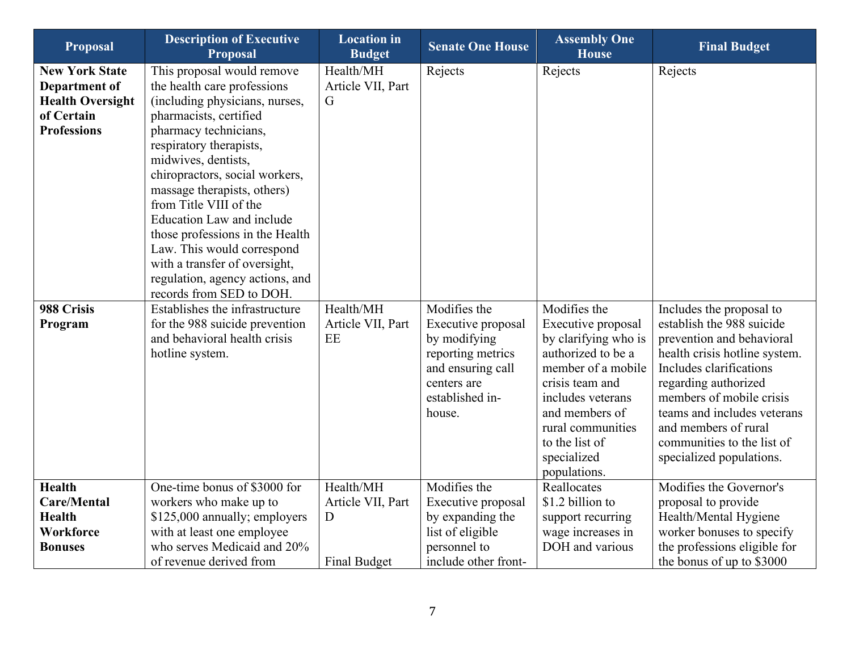| <b>Proposal</b>                                                                                              | <b>Description of Executive</b><br><b>Proposal</b>                                                                                                                                                                                                                                                                                                                                                                                                                   | <b>Location</b> in<br><b>Budget</b>                        | <b>Senate One House</b>                                                                                                                  | <b>Assembly One</b><br><b>House</b>                                                                                                                                                                                                    | <b>Final Budget</b>                                                                                                                                                                                                                                                                                                 |
|--------------------------------------------------------------------------------------------------------------|----------------------------------------------------------------------------------------------------------------------------------------------------------------------------------------------------------------------------------------------------------------------------------------------------------------------------------------------------------------------------------------------------------------------------------------------------------------------|------------------------------------------------------------|------------------------------------------------------------------------------------------------------------------------------------------|----------------------------------------------------------------------------------------------------------------------------------------------------------------------------------------------------------------------------------------|---------------------------------------------------------------------------------------------------------------------------------------------------------------------------------------------------------------------------------------------------------------------------------------------------------------------|
| <b>New York State</b><br><b>Department of</b><br><b>Health Oversight</b><br>of Certain<br><b>Professions</b> | This proposal would remove<br>the health care professions<br>(including physicians, nurses,<br>pharmacists, certified<br>pharmacy technicians,<br>respiratory therapists,<br>midwives, dentists,<br>chiropractors, social workers,<br>massage therapists, others)<br>from Title VIII of the<br><b>Education Law and include</b><br>those professions in the Health<br>Law. This would correspond<br>with a transfer of oversight,<br>regulation, agency actions, and | Health/MH<br>Article VII, Part<br>G                        | Rejects                                                                                                                                  | Rejects                                                                                                                                                                                                                                | Rejects                                                                                                                                                                                                                                                                                                             |
| 988 Crisis<br>Program                                                                                        | records from SED to DOH.<br>Establishes the infrastructure<br>for the 988 suicide prevention<br>and behavioral health crisis<br>hotline system.                                                                                                                                                                                                                                                                                                                      | Health/MH<br>Article VII, Part<br>EE                       | Modifies the<br>Executive proposal<br>by modifying<br>reporting metrics<br>and ensuring call<br>centers are<br>established in-<br>house. | Modifies the<br>Executive proposal<br>by clarifying who is<br>authorized to be a<br>member of a mobile<br>crisis team and<br>includes veterans<br>and members of<br>rural communities<br>to the list of<br>specialized<br>populations. | Includes the proposal to<br>establish the 988 suicide<br>prevention and behavioral<br>health crisis hotline system.<br>Includes clarifications<br>regarding authorized<br>members of mobile crisis<br>teams and includes veterans<br>and members of rural<br>communities to the list of<br>specialized populations. |
| <b>Health</b><br>Care/Mental<br><b>Health</b><br>Workforce<br><b>Bonuses</b>                                 | One-time bonus of \$3000 for<br>workers who make up to<br>\$125,000 annually; employers<br>with at least one employee<br>who serves Medicaid and 20%<br>of revenue derived from                                                                                                                                                                                                                                                                                      | Health/MH<br>Article VII, Part<br>D<br><b>Final Budget</b> | Modifies the<br>Executive proposal<br>by expanding the<br>list of eligible<br>personnel to<br>include other front-                       | Reallocates<br>\$1.2 billion to<br>support recurring<br>wage increases in<br>DOH and various                                                                                                                                           | Modifies the Governor's<br>proposal to provide<br>Health/Mental Hygiene<br>worker bonuses to specify<br>the professions eligible for<br>the bonus of up to \$3000                                                                                                                                                   |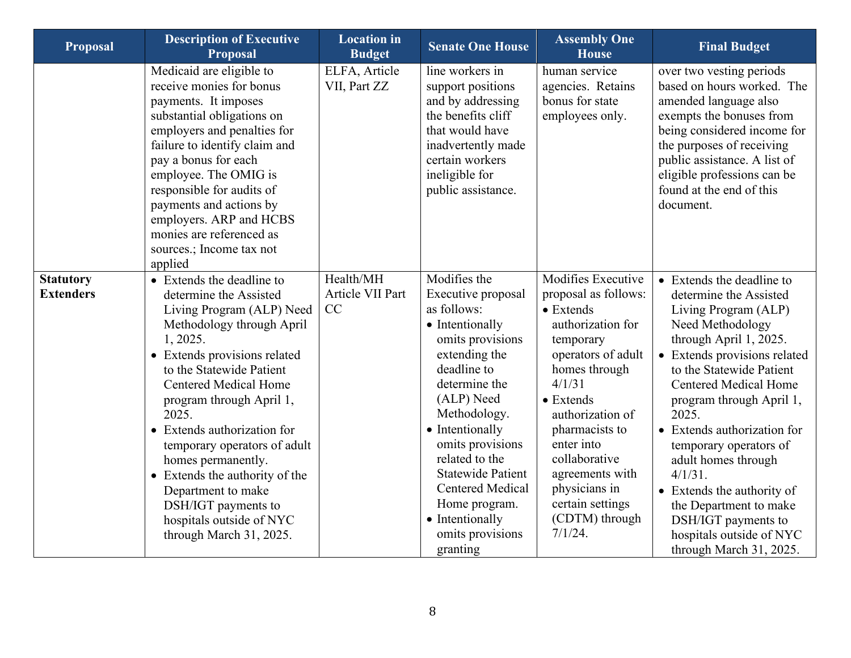| <b>Proposal</b>                      | <b>Description of Executive</b><br><b>Proposal</b>                                                                                                                                                                                                                                                                                                                                                                                                                                    | <b>Location</b> in<br><b>Budget</b> | <b>Senate One House</b>                                                                                                                                                                                                                                                                                                                                     | <b>Assembly One</b><br><b>House</b>                                                                                                                                                                                                                                                                                               | <b>Final Budget</b>                                                                                                                                                                                                                                                                                                                                                                                                                                                                            |
|--------------------------------------|---------------------------------------------------------------------------------------------------------------------------------------------------------------------------------------------------------------------------------------------------------------------------------------------------------------------------------------------------------------------------------------------------------------------------------------------------------------------------------------|-------------------------------------|-------------------------------------------------------------------------------------------------------------------------------------------------------------------------------------------------------------------------------------------------------------------------------------------------------------------------------------------------------------|-----------------------------------------------------------------------------------------------------------------------------------------------------------------------------------------------------------------------------------------------------------------------------------------------------------------------------------|------------------------------------------------------------------------------------------------------------------------------------------------------------------------------------------------------------------------------------------------------------------------------------------------------------------------------------------------------------------------------------------------------------------------------------------------------------------------------------------------|
|                                      | Medicaid are eligible to<br>receive monies for bonus<br>payments. It imposes<br>substantial obligations on<br>employers and penalties for<br>failure to identify claim and<br>pay a bonus for each<br>employee. The OMIG is<br>responsible for audits of<br>payments and actions by<br>employers. ARP and HCBS<br>monies are referenced as<br>sources.; Income tax not<br>applied                                                                                                     | ELFA, Article<br>VII, Part ZZ       | line workers in<br>support positions<br>and by addressing<br>the benefits cliff<br>that would have<br>inadvertently made<br>certain workers<br>ineligible for<br>public assistance.                                                                                                                                                                         | human service<br>agencies. Retains<br>bonus for state<br>employees only.                                                                                                                                                                                                                                                          | over two vesting periods<br>based on hours worked. The<br>amended language also<br>exempts the bonuses from<br>being considered income for<br>the purposes of receiving<br>public assistance. A list of<br>eligible professions can be<br>found at the end of this<br>document.                                                                                                                                                                                                                |
| <b>Statutory</b><br><b>Extenders</b> | • Extends the deadline to<br>determine the Assisted<br>Living Program (ALP) Need<br>Methodology through April<br>1, 2025.<br>• Extends provisions related<br>to the Statewide Patient<br><b>Centered Medical Home</b><br>program through April 1,<br>2025.<br>• Extends authorization for<br>temporary operators of adult<br>homes permanently.<br>• Extends the authority of the<br>Department to make<br>DSH/IGT payments to<br>hospitals outside of NYC<br>through March 31, 2025. | Health/MH<br>Article VII Part<br>CC | Modifies the<br>Executive proposal<br>as follows:<br>• Intentionally<br>omits provisions<br>extending the<br>deadline to<br>determine the<br>(ALP) Need<br>Methodology.<br>• Intentionally<br>omits provisions<br>related to the<br><b>Statewide Patient</b><br><b>Centered Medical</b><br>Home program.<br>• Intentionally<br>omits provisions<br>granting | Modifies Executive<br>proposal as follows:<br>$\bullet$ Extends<br>authorization for<br>temporary<br>operators of adult<br>homes through<br>4/1/31<br>$\bullet$ Extends<br>authorization of<br>pharmacists to<br>enter into<br>collaborative<br>agreements with<br>physicians in<br>certain settings<br>(CDTM) through<br>7/1/24. | • Extends the deadline to<br>determine the Assisted<br>Living Program (ALP)<br>Need Methodology<br>through April 1, 2025.<br>• Extends provisions related<br>to the Statewide Patient<br><b>Centered Medical Home</b><br>program through April 1,<br>2025.<br>• Extends authorization for<br>temporary operators of<br>adult homes through<br>$4/1/31$ .<br>• Extends the authority of<br>the Department to make<br>DSH/IGT payments to<br>hospitals outside of NYC<br>through March 31, 2025. |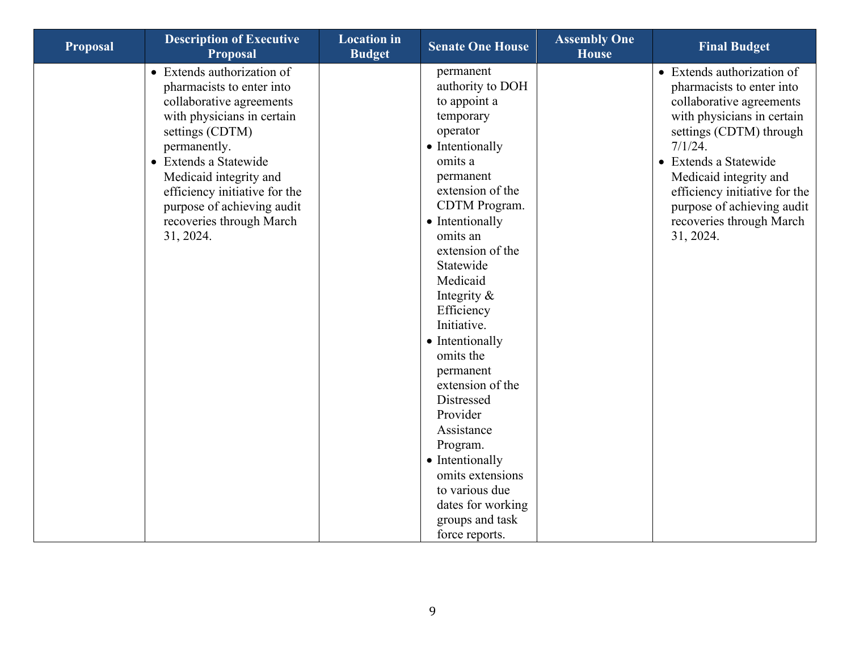| <b>Proposal</b> | <b>Description of Executive</b><br><b>Proposal</b>                                                                                                                                                                                                                                                              | <b>Location</b> in<br><b>Budget</b> | <b>Senate One House</b>                                                                                                                                                                                                                                                                                                                                                                                                                                                                                                   | <b>Assembly One</b><br><b>House</b> | <b>Final Budget</b>                                                                                                                                                                                                                                                                                                |
|-----------------|-----------------------------------------------------------------------------------------------------------------------------------------------------------------------------------------------------------------------------------------------------------------------------------------------------------------|-------------------------------------|---------------------------------------------------------------------------------------------------------------------------------------------------------------------------------------------------------------------------------------------------------------------------------------------------------------------------------------------------------------------------------------------------------------------------------------------------------------------------------------------------------------------------|-------------------------------------|--------------------------------------------------------------------------------------------------------------------------------------------------------------------------------------------------------------------------------------------------------------------------------------------------------------------|
|                 | • Extends authorization of<br>pharmacists to enter into<br>collaborative agreements<br>with physicians in certain<br>settings (CDTM)<br>permanently.<br>• Extends a Statewide<br>Medicaid integrity and<br>efficiency initiative for the<br>purpose of achieving audit<br>recoveries through March<br>31, 2024. |                                     | permanent<br>authority to DOH<br>to appoint a<br>temporary<br>operator<br>• Intentionally<br>omits a<br>permanent<br>extension of the<br>CDTM Program.<br>• Intentionally<br>omits an<br>extension of the<br>Statewide<br>Medicaid<br>Integrity $\&$<br>Efficiency<br>Initiative.<br>• Intentionally<br>omits the<br>permanent<br>extension of the<br>Distressed<br>Provider<br>Assistance<br>Program.<br>• Intentionally<br>omits extensions<br>to various due<br>dates for working<br>groups and task<br>force reports. |                                     | • Extends authorization of<br>pharmacists to enter into<br>collaborative agreements<br>with physicians in certain<br>settings (CDTM) through<br>7/1/24.<br>• Extends a Statewide<br>Medicaid integrity and<br>efficiency initiative for the<br>purpose of achieving audit<br>recoveries through March<br>31, 2024. |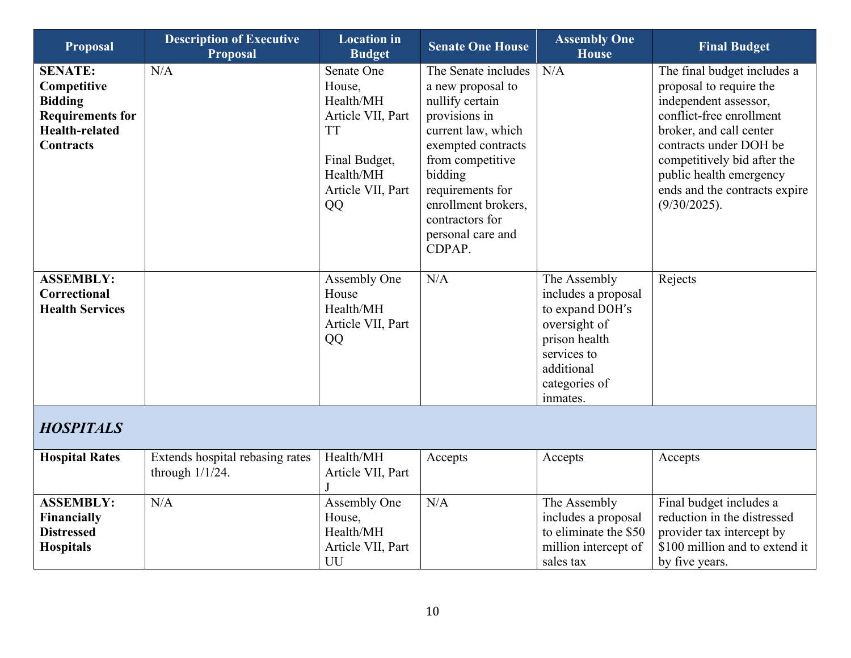<span id="page-9-0"></span>

| <b>Proposal</b>                                                                                                         | <b>Description of Executive</b><br><b>Proposal</b>    | <b>Location</b> in<br><b>Budget</b>                                                                                          | <b>Senate One House</b>                                                                                                                                                                                                                              | <b>Assembly One</b><br><b>House</b>                                                                                                               | <b>Final Budget</b>                                                                                                                                                                                                                                                         |
|-------------------------------------------------------------------------------------------------------------------------|-------------------------------------------------------|------------------------------------------------------------------------------------------------------------------------------|------------------------------------------------------------------------------------------------------------------------------------------------------------------------------------------------------------------------------------------------------|---------------------------------------------------------------------------------------------------------------------------------------------------|-----------------------------------------------------------------------------------------------------------------------------------------------------------------------------------------------------------------------------------------------------------------------------|
| <b>SENATE:</b><br>Competitive<br><b>Bidding</b><br><b>Requirements for</b><br><b>Health-related</b><br><b>Contracts</b> | N/A                                                   | Senate One<br>House,<br>Health/MH<br>Article VII, Part<br><b>TT</b><br>Final Budget,<br>Health/MH<br>Article VII, Part<br>QQ | The Senate includes<br>a new proposal to<br>nullify certain<br>provisions in<br>current law, which<br>exempted contracts<br>from competitive<br>bidding<br>requirements for<br>enrollment brokers,<br>contractors for<br>personal care and<br>CDPAP. | N/A                                                                                                                                               | The final budget includes a<br>proposal to require the<br>independent assessor,<br>conflict-free enrollment<br>broker, and call center<br>contracts under DOH be<br>competitively bid after the<br>public health emergency<br>ends and the contracts expire<br>(9/30/2025). |
| <b>ASSEMBLY:</b><br>Correctional<br><b>Health Services</b>                                                              |                                                       | Assembly One<br>House<br>Health/MH<br>Article VII, Part<br>QQ                                                                | N/A                                                                                                                                                                                                                                                  | The Assembly<br>includes a proposal<br>to expand DOH's<br>oversight of<br>prison health<br>services to<br>additional<br>categories of<br>inmates. | Rejects                                                                                                                                                                                                                                                                     |
| <b>HOSPITALS</b>                                                                                                        |                                                       |                                                                                                                              |                                                                                                                                                                                                                                                      |                                                                                                                                                   |                                                                                                                                                                                                                                                                             |
| <b>Hospital Rates</b>                                                                                                   | Extends hospital rebasing rates<br>through $1/1/24$ . | Health/MH<br>Article VII, Part                                                                                               | Accepts                                                                                                                                                                                                                                              | Accepts                                                                                                                                           | Accepts                                                                                                                                                                                                                                                                     |
| <b>ASSEMBLY:</b><br>Financially<br><b>Distressed</b><br><b>Hospitals</b>                                                | N/A                                                   | Assembly One<br>House,<br>Health/MH<br>Article VII, Part<br>UU                                                               | N/A                                                                                                                                                                                                                                                  | The Assembly<br>includes a proposal<br>to eliminate the \$50<br>million intercept of<br>sales tax                                                 | Final budget includes a<br>reduction in the distressed<br>provider tax intercept by<br>\$100 million and to extend it<br>by five years.                                                                                                                                     |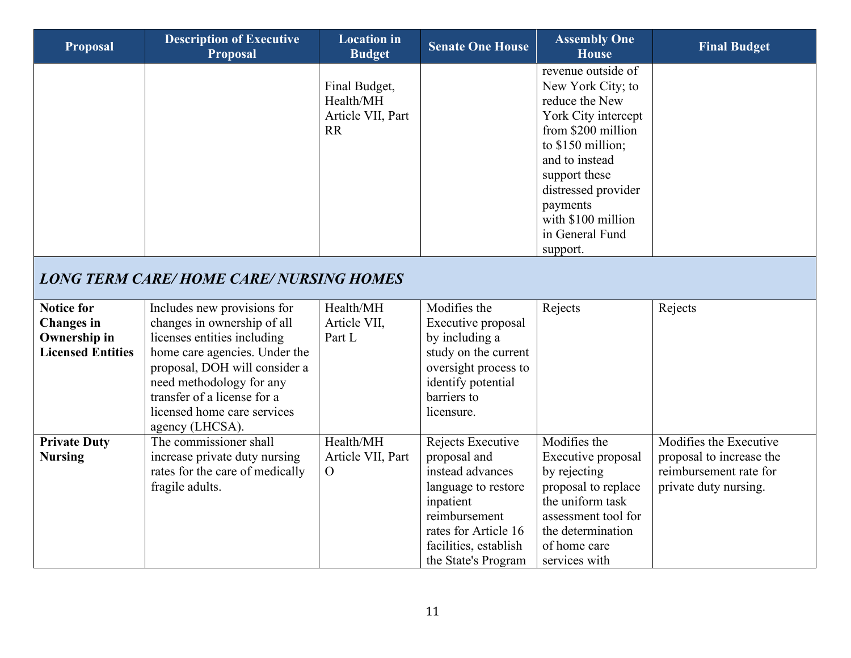<span id="page-10-0"></span>

| <b>Proposal</b>                                                                    | <b>Description of Executive</b><br><b>Proposal</b>                                                                                                                                                                                                                       | <b>Location</b> in<br><b>Budget</b>                          | <b>Senate One House</b>                                                                                                                                                            | <b>Assembly One</b><br><b>House</b>                                                                                                                                                                                                                    | <b>Final Budget</b>                                                                                   |
|------------------------------------------------------------------------------------|--------------------------------------------------------------------------------------------------------------------------------------------------------------------------------------------------------------------------------------------------------------------------|--------------------------------------------------------------|------------------------------------------------------------------------------------------------------------------------------------------------------------------------------------|--------------------------------------------------------------------------------------------------------------------------------------------------------------------------------------------------------------------------------------------------------|-------------------------------------------------------------------------------------------------------|
|                                                                                    |                                                                                                                                                                                                                                                                          | Final Budget,<br>Health/MH<br>Article VII, Part<br><b>RR</b> |                                                                                                                                                                                    | revenue outside of<br>New York City; to<br>reduce the New<br>York City intercept<br>from \$200 million<br>to \$150 million;<br>and to instead<br>support these<br>distressed provider<br>payments<br>with \$100 million<br>in General Fund<br>support. |                                                                                                       |
|                                                                                    | <b>LONG TERM CARE/HOME CARE/ NURSING HOMES</b>                                                                                                                                                                                                                           |                                                              |                                                                                                                                                                                    |                                                                                                                                                                                                                                                        |                                                                                                       |
| <b>Notice for</b><br><b>Changes</b> in<br>Ownership in<br><b>Licensed Entities</b> | Includes new provisions for<br>changes in ownership of all<br>licenses entities including<br>home care agencies. Under the<br>proposal, DOH will consider a<br>need methodology for any<br>transfer of a license for a<br>licensed home care services<br>agency (LHCSA). | Health/MH<br>Article VII,<br>Part L                          | Modifies the<br>Executive proposal<br>by including a<br>study on the current<br>oversight process to<br>identify potential<br>barriers to<br>licensure.                            | Rejects                                                                                                                                                                                                                                                | Rejects                                                                                               |
| <b>Private Duty</b><br><b>Nursing</b>                                              | The commissioner shall<br>increase private duty nursing<br>rates for the care of medically<br>fragile adults.                                                                                                                                                            | Health/MH<br>Article VII, Part<br>$\mathcal{O}$              | Rejects Executive<br>proposal and<br>instead advances<br>language to restore<br>inpatient<br>reimbursement<br>rates for Article 16<br>facilities, establish<br>the State's Program | Modifies the<br>Executive proposal<br>by rejecting<br>proposal to replace<br>the uniform task<br>assessment tool for<br>the determination<br>of home care<br>services with                                                                             | Modifies the Executive<br>proposal to increase the<br>reimbursement rate for<br>private duty nursing. |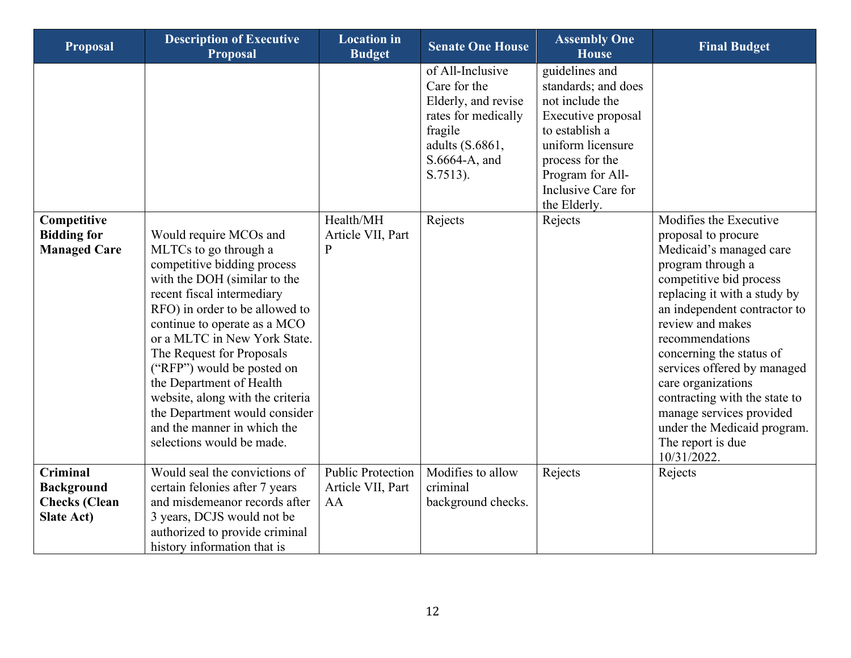| <b>Proposal</b>                                                                   | <b>Description of Executive</b><br><b>Proposal</b>                                                                                                                                                                                                                                                                                                                                                                                                                     | <b>Location</b> in<br><b>Budget</b>                 | <b>Senate One House</b>                                                                                                                   | <b>Assembly One</b><br><b>House</b>                                                                                                                                                                | <b>Final Budget</b>                                                                                                                                                                                                                                                                                                                                                                                                                              |
|-----------------------------------------------------------------------------------|------------------------------------------------------------------------------------------------------------------------------------------------------------------------------------------------------------------------------------------------------------------------------------------------------------------------------------------------------------------------------------------------------------------------------------------------------------------------|-----------------------------------------------------|-------------------------------------------------------------------------------------------------------------------------------------------|----------------------------------------------------------------------------------------------------------------------------------------------------------------------------------------------------|--------------------------------------------------------------------------------------------------------------------------------------------------------------------------------------------------------------------------------------------------------------------------------------------------------------------------------------------------------------------------------------------------------------------------------------------------|
|                                                                                   |                                                                                                                                                                                                                                                                                                                                                                                                                                                                        |                                                     | of All-Inclusive<br>Care for the<br>Elderly, and revise<br>rates for medically<br>fragile<br>adults (S.6861,<br>S.6664-A, and<br>S.7513). | guidelines and<br>standards; and does<br>not include the<br>Executive proposal<br>to establish a<br>uniform licensure<br>process for the<br>Program for All-<br>Inclusive Care for<br>the Elderly. |                                                                                                                                                                                                                                                                                                                                                                                                                                                  |
| Competitive<br><b>Bidding for</b><br><b>Managed Care</b>                          | Would require MCOs and<br>MLTCs to go through a<br>competitive bidding process<br>with the DOH (similar to the<br>recent fiscal intermediary<br>RFO) in order to be allowed to<br>continue to operate as a MCO<br>or a MLTC in New York State.<br>The Request for Proposals<br>("RFP") would be posted on<br>the Department of Health<br>website, along with the criteria<br>the Department would consider<br>and the manner in which the<br>selections would be made. | Health/MH<br>Article VII, Part<br>$\mathbf P$       | Rejects                                                                                                                                   | Rejects                                                                                                                                                                                            | Modifies the Executive<br>proposal to procure<br>Medicaid's managed care<br>program through a<br>competitive bid process<br>replacing it with a study by<br>an independent contractor to<br>review and makes<br>recommendations<br>concerning the status of<br>services offered by managed<br>care organizations<br>contracting with the state to<br>manage services provided<br>under the Medicaid program.<br>The report is due<br>10/31/2022. |
| <b>Criminal</b><br><b>Background</b><br><b>Checks</b> (Clean<br><b>Slate Act)</b> | Would seal the convictions of<br>certain felonies after 7 years<br>and misdemeanor records after<br>3 years, DCJS would not be<br>authorized to provide criminal<br>history information that is                                                                                                                                                                                                                                                                        | <b>Public Protection</b><br>Article VII, Part<br>AA | Modifies to allow<br>criminal<br>background checks.                                                                                       | Rejects                                                                                                                                                                                            | Rejects                                                                                                                                                                                                                                                                                                                                                                                                                                          |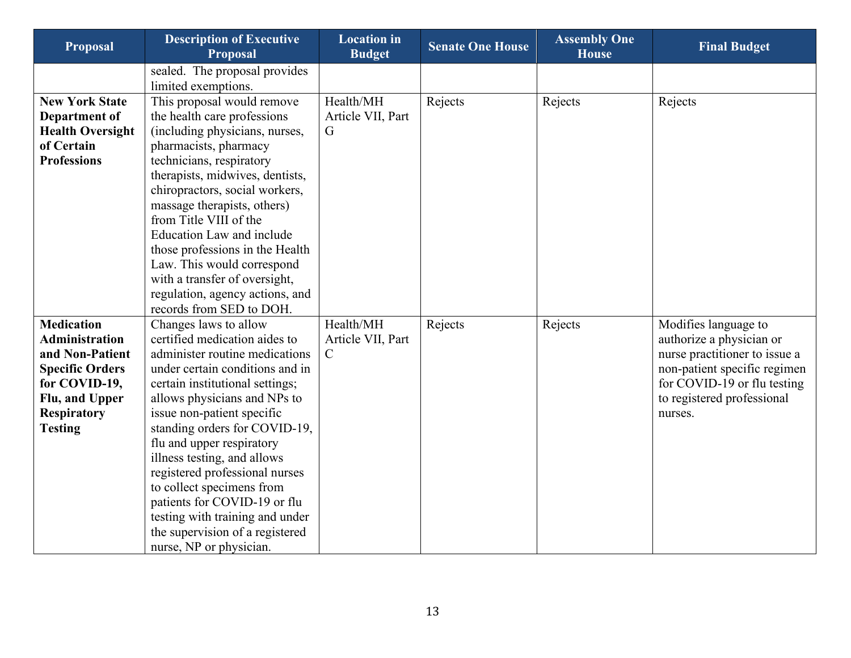| <b>Proposal</b>         | <b>Description of Executive</b><br><b>Proposal</b> | <b>Location</b> in<br><b>Budget</b> | <b>Senate One House</b> | <b>Assembly One</b><br><b>House</b> | <b>Final Budget</b>           |
|-------------------------|----------------------------------------------------|-------------------------------------|-------------------------|-------------------------------------|-------------------------------|
|                         | sealed. The proposal provides                      |                                     |                         |                                     |                               |
|                         | limited exemptions.                                |                                     |                         |                                     |                               |
| <b>New York State</b>   | This proposal would remove                         | Health/MH                           | Rejects                 | Rejects                             | Rejects                       |
| Department of           | the health care professions                        | Article VII, Part                   |                         |                                     |                               |
| <b>Health Oversight</b> | (including physicians, nurses,                     | G                                   |                         |                                     |                               |
| of Certain              | pharmacists, pharmacy                              |                                     |                         |                                     |                               |
| <b>Professions</b>      | technicians, respiratory                           |                                     |                         |                                     |                               |
|                         | therapists, midwives, dentists,                    |                                     |                         |                                     |                               |
|                         | chiropractors, social workers,                     |                                     |                         |                                     |                               |
|                         | massage therapists, others)                        |                                     |                         |                                     |                               |
|                         | from Title VIII of the                             |                                     |                         |                                     |                               |
|                         | <b>Education Law and include</b>                   |                                     |                         |                                     |                               |
|                         | those professions in the Health                    |                                     |                         |                                     |                               |
|                         | Law. This would correspond                         |                                     |                         |                                     |                               |
|                         | with a transfer of oversight,                      |                                     |                         |                                     |                               |
|                         | regulation, agency actions, and                    |                                     |                         |                                     |                               |
|                         | records from SED to DOH.                           |                                     |                         |                                     |                               |
| <b>Medication</b>       | Changes laws to allow                              | Health/MH                           | Rejects                 | Rejects                             | Modifies language to          |
| <b>Administration</b>   | certified medication aides to                      | Article VII, Part                   |                         |                                     | authorize a physician or      |
| and Non-Patient         | administer routine medications                     | $\mathsf{C}$                        |                         |                                     | nurse practitioner to issue a |
| <b>Specific Orders</b>  | under certain conditions and in                    |                                     |                         |                                     | non-patient specific regimen  |
| for COVID-19,           | certain institutional settings;                    |                                     |                         |                                     | for COVID-19 or flu testing   |
| Flu, and Upper          | allows physicians and NPs to                       |                                     |                         |                                     | to registered professional    |
| <b>Respiratory</b>      | issue non-patient specific                         |                                     |                         |                                     | nurses.                       |
| <b>Testing</b>          | standing orders for COVID-19,                      |                                     |                         |                                     |                               |
|                         | flu and upper respiratory                          |                                     |                         |                                     |                               |
|                         | illness testing, and allows                        |                                     |                         |                                     |                               |
|                         | registered professional nurses                     |                                     |                         |                                     |                               |
|                         | to collect specimens from                          |                                     |                         |                                     |                               |
|                         | patients for COVID-19 or flu                       |                                     |                         |                                     |                               |
|                         | testing with training and under                    |                                     |                         |                                     |                               |
|                         | the supervision of a registered                    |                                     |                         |                                     |                               |
|                         | nurse, NP or physician.                            |                                     |                         |                                     |                               |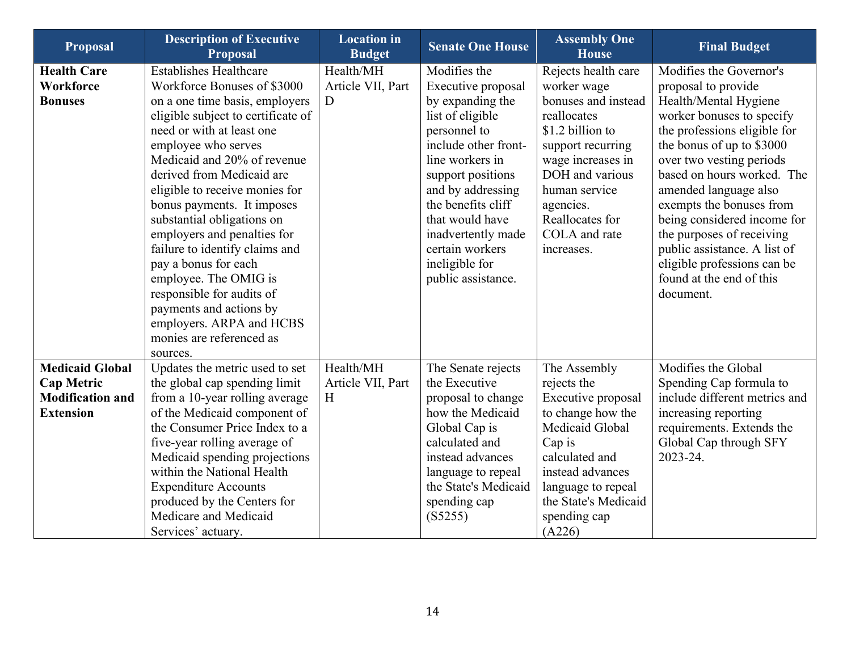| <b>Proposal</b>                                                                            | <b>Description of Executive</b><br><b>Proposal</b>                                                                                                                                                                                                                                                                                                                                                                                                                                                                                                                                               | <b>Location</b> in<br><b>Budget</b> | <b>Senate One House</b>                                                                                                                                                                                                                                                                                   | <b>Assembly One</b><br><b>House</b>                                                                                                                                                                                                       | <b>Final Budget</b>                                                                                                                                                                                                                                                                                                                                                                                                                                  |
|--------------------------------------------------------------------------------------------|--------------------------------------------------------------------------------------------------------------------------------------------------------------------------------------------------------------------------------------------------------------------------------------------------------------------------------------------------------------------------------------------------------------------------------------------------------------------------------------------------------------------------------------------------------------------------------------------------|-------------------------------------|-----------------------------------------------------------------------------------------------------------------------------------------------------------------------------------------------------------------------------------------------------------------------------------------------------------|-------------------------------------------------------------------------------------------------------------------------------------------------------------------------------------------------------------------------------------------|------------------------------------------------------------------------------------------------------------------------------------------------------------------------------------------------------------------------------------------------------------------------------------------------------------------------------------------------------------------------------------------------------------------------------------------------------|
| <b>Health Care</b><br>Workforce<br><b>Bonuses</b>                                          | <b>Establishes Healthcare</b><br>Workforce Bonuses of \$3000<br>on a one time basis, employers<br>eligible subject to certificate of<br>need or with at least one<br>employee who serves<br>Medicaid and 20% of revenue<br>derived from Medicaid are<br>eligible to receive monies for<br>bonus payments. It imposes<br>substantial obligations on<br>employers and penalties for<br>failure to identify claims and<br>pay a bonus for each<br>employee. The OMIG is<br>responsible for audits of<br>payments and actions by<br>employers. ARPA and HCBS<br>monies are referenced as<br>sources. | Health/MH<br>Article VII, Part<br>D | Modifies the<br>Executive proposal<br>by expanding the<br>list of eligible<br>personnel to<br>include other front-<br>line workers in<br>support positions<br>and by addressing<br>the benefits cliff<br>that would have<br>inadvertently made<br>certain workers<br>ineligible for<br>public assistance. | Rejects health care<br>worker wage<br>bonuses and instead<br>reallocates<br>\$1.2 billion to<br>support recurring<br>wage increases in<br>DOH and various<br>human service<br>agencies.<br>Reallocates for<br>COLA and rate<br>increases. | Modifies the Governor's<br>proposal to provide<br>Health/Mental Hygiene<br>worker bonuses to specify<br>the professions eligible for<br>the bonus of up to \$3000<br>over two vesting periods<br>based on hours worked. The<br>amended language also<br>exempts the bonuses from<br>being considered income for<br>the purposes of receiving<br>public assistance. A list of<br>eligible professions can be<br>found at the end of this<br>document. |
| <b>Medicaid Global</b><br><b>Cap Metric</b><br><b>Modification and</b><br><b>Extension</b> | Updates the metric used to set<br>the global cap spending limit<br>from a 10-year rolling average<br>of the Medicaid component of<br>the Consumer Price Index to a<br>five-year rolling average of<br>Medicaid spending projections<br>within the National Health<br><b>Expenditure Accounts</b><br>produced by the Centers for<br>Medicare and Medicaid<br>Services' actuary.                                                                                                                                                                                                                   | Health/MH<br>Article VII, Part<br>H | The Senate rejects<br>the Executive<br>proposal to change<br>how the Medicaid<br>Global Cap is<br>calculated and<br>instead advances<br>language to repeal<br>the State's Medicaid<br>spending cap<br>(S5255)                                                                                             | The Assembly<br>rejects the<br>Executive proposal<br>to change how the<br>Medicaid Global<br>Cap is<br>calculated and<br>instead advances<br>language to repeal<br>the State's Medicaid<br>spending cap<br>(A226)                         | Modifies the Global<br>Spending Cap formula to<br>include different metrics and<br>increasing reporting<br>requirements. Extends the<br>Global Cap through SFY<br>2023-24.                                                                                                                                                                                                                                                                           |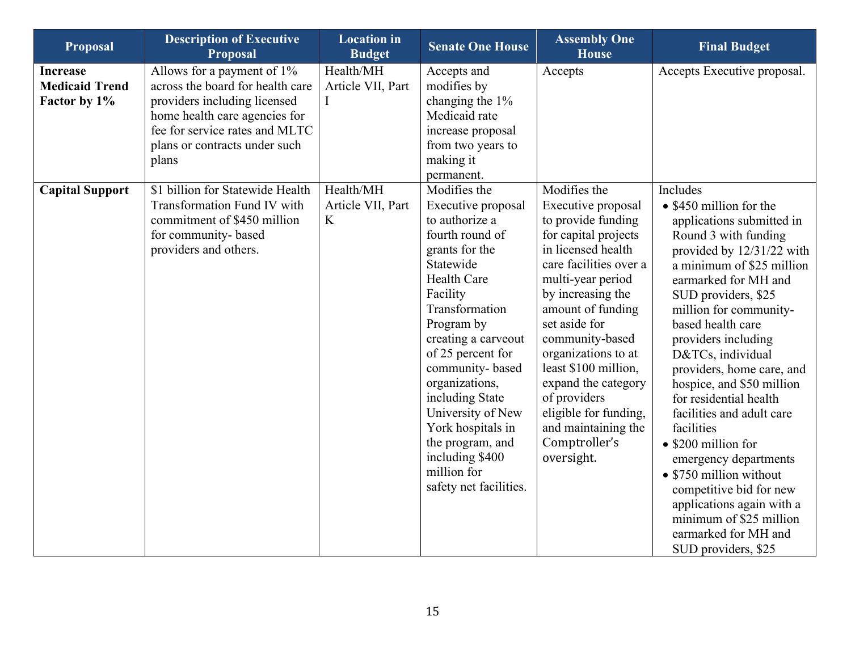| <b>Proposal</b>                                          | <b>Description of Executive</b><br><b>Proposal</b>                                                                                                                                                                                                 | <b>Location</b> in<br><b>Budget</b>              | <b>Senate One House</b>                                                                                                                                                                                                                                                                                                                                                                | <b>Assembly One</b><br><b>House</b>                                                                                                                                                                                                                                                                                                                                                      | <b>Final Budget</b>                                                                                                                                                                                                                                                                                                                                                                                                                                                                                                                                                                                                          |
|----------------------------------------------------------|----------------------------------------------------------------------------------------------------------------------------------------------------------------------------------------------------------------------------------------------------|--------------------------------------------------|----------------------------------------------------------------------------------------------------------------------------------------------------------------------------------------------------------------------------------------------------------------------------------------------------------------------------------------------------------------------------------------|------------------------------------------------------------------------------------------------------------------------------------------------------------------------------------------------------------------------------------------------------------------------------------------------------------------------------------------------------------------------------------------|------------------------------------------------------------------------------------------------------------------------------------------------------------------------------------------------------------------------------------------------------------------------------------------------------------------------------------------------------------------------------------------------------------------------------------------------------------------------------------------------------------------------------------------------------------------------------------------------------------------------------|
| <b>Increase</b><br><b>Medicaid Trend</b><br>Factor by 1% | Allows for a payment of $1\%$<br>across the board for health care<br>providers including licensed<br>home health care agencies for<br>fee for service rates and MLTC<br>plans or contracts under such<br>plans<br>\$1 billion for Statewide Health | Health/MH<br>Article VII, Part<br>I<br>Health/MH | Accepts and<br>modifies by<br>changing the 1%<br>Medicaid rate<br>increase proposal<br>from two years to<br>making it<br>permanent.<br>Modifies the                                                                                                                                                                                                                                    | Accepts<br>Modifies the                                                                                                                                                                                                                                                                                                                                                                  | Accepts Executive proposal.<br>Includes                                                                                                                                                                                                                                                                                                                                                                                                                                                                                                                                                                                      |
| <b>Capital Support</b>                                   | Transformation Fund IV with<br>commitment of \$450 million<br>for community-based<br>providers and others.                                                                                                                                         | Article VII, Part<br>K                           | Executive proposal<br>to authorize a<br>fourth round of<br>grants for the<br>Statewide<br><b>Health Care</b><br>Facility<br>Transformation<br>Program by<br>creating a carveout<br>of 25 percent for<br>community-based<br>organizations,<br>including State<br>University of New<br>York hospitals in<br>the program, and<br>including \$400<br>million for<br>safety net facilities. | Executive proposal<br>to provide funding<br>for capital projects<br>in licensed health<br>care facilities over a<br>multi-year period<br>by increasing the<br>amount of funding<br>set aside for<br>community-based<br>organizations to at<br>least \$100 million,<br>expand the category<br>of providers<br>eligible for funding,<br>and maintaining the<br>Comptroller's<br>oversight. | • \$450 million for the<br>applications submitted in<br>Round 3 with funding<br>provided by 12/31/22 with<br>a minimum of \$25 million<br>earmarked for MH and<br>SUD providers, \$25<br>million for community-<br>based health care<br>providers including<br>D&TCs, individual<br>providers, home care, and<br>hospice, and \$50 million<br>for residential health<br>facilities and adult care<br>facilities<br>• \$200 million for<br>emergency departments<br>• \$750 million without<br>competitive bid for new<br>applications again with a<br>minimum of \$25 million<br>earmarked for MH and<br>SUD providers, \$25 |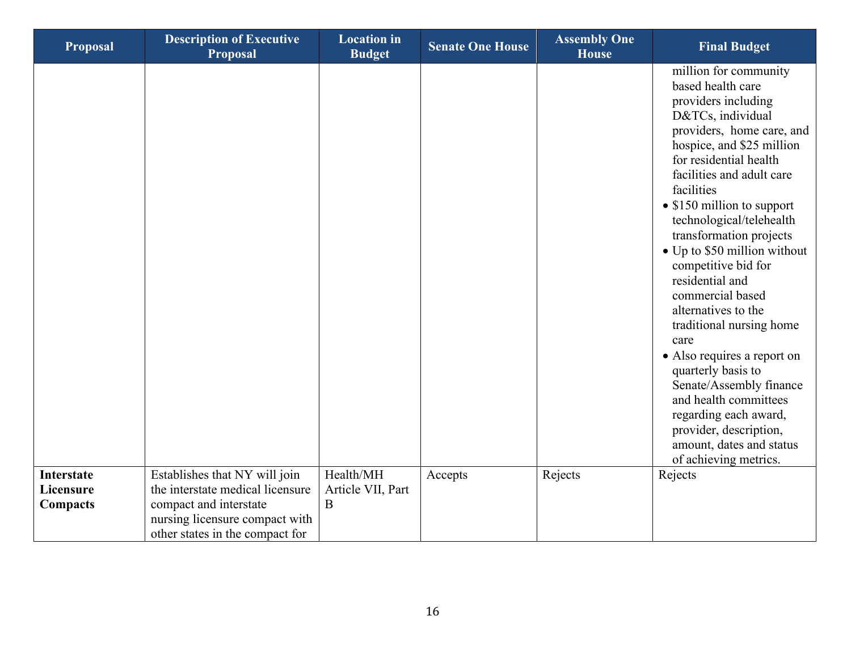| <b>Proposal</b>                            | <b>Description of Executive</b><br>Proposal                                                                                                                      | <b>Location</b> in<br><b>Budget</b> | <b>Senate One House</b> | <b>Assembly One</b><br><b>House</b> | <b>Final Budget</b>                                                                                                                                                                                                                                                                                                                                                                                                                                                                                                                                                                                                                                                                  |
|--------------------------------------------|------------------------------------------------------------------------------------------------------------------------------------------------------------------|-------------------------------------|-------------------------|-------------------------------------|--------------------------------------------------------------------------------------------------------------------------------------------------------------------------------------------------------------------------------------------------------------------------------------------------------------------------------------------------------------------------------------------------------------------------------------------------------------------------------------------------------------------------------------------------------------------------------------------------------------------------------------------------------------------------------------|
|                                            |                                                                                                                                                                  |                                     |                         |                                     | million for community<br>based health care<br>providers including<br>D&TCs, individual<br>providers, home care, and<br>hospice, and \$25 million<br>for residential health<br>facilities and adult care<br>facilities<br>• \$150 million to support<br>technological/telehealth<br>transformation projects<br>• Up to \$50 million without<br>competitive bid for<br>residential and<br>commercial based<br>alternatives to the<br>traditional nursing home<br>care<br>• Also requires a report on<br>quarterly basis to<br>Senate/Assembly finance<br>and health committees<br>regarding each award,<br>provider, description,<br>amount, dates and status<br>of achieving metrics. |
| <b>Interstate</b><br>Licensure<br>Compacts | Establishes that NY will join<br>the interstate medical licensure<br>compact and interstate<br>nursing licensure compact with<br>other states in the compact for | Health/MH<br>Article VII, Part<br>B | Accepts                 | Rejects                             | Rejects                                                                                                                                                                                                                                                                                                                                                                                                                                                                                                                                                                                                                                                                              |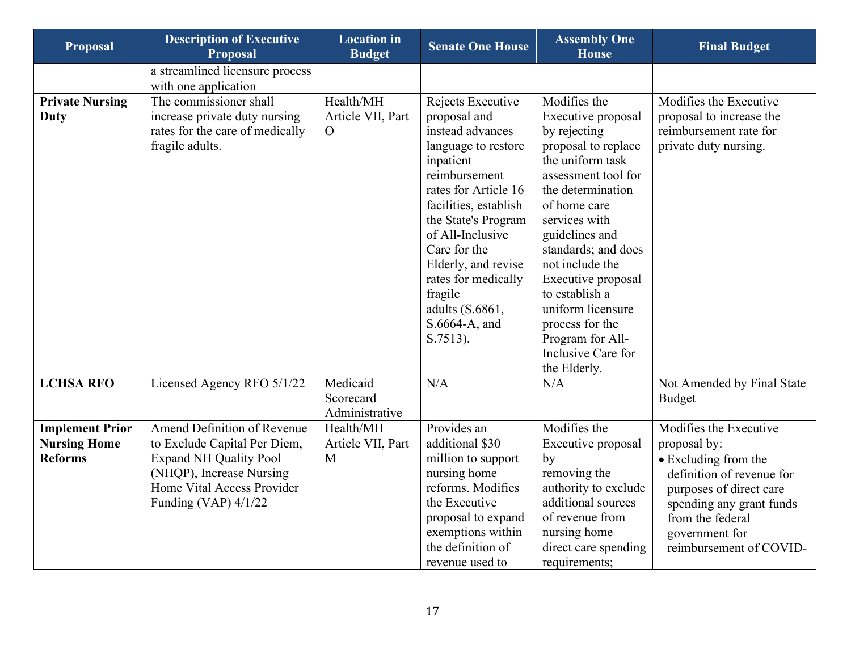| <b>Proposal</b>                                                 | <b>Description of Executive</b><br><b>Proposal</b>                                                                                                                             | <b>Location</b> in<br><b>Budget</b>        | <b>Senate One House</b>                                                                                                                                                                                                                                                                                                         | <b>Assembly One</b><br><b>House</b>                                                                                                                                                                                                                                                                                                                                              | <b>Final Budget</b>                                                                                                                                                                                                 |
|-----------------------------------------------------------------|--------------------------------------------------------------------------------------------------------------------------------------------------------------------------------|--------------------------------------------|---------------------------------------------------------------------------------------------------------------------------------------------------------------------------------------------------------------------------------------------------------------------------------------------------------------------------------|----------------------------------------------------------------------------------------------------------------------------------------------------------------------------------------------------------------------------------------------------------------------------------------------------------------------------------------------------------------------------------|---------------------------------------------------------------------------------------------------------------------------------------------------------------------------------------------------------------------|
|                                                                 | a streamlined licensure process<br>with one application                                                                                                                        |                                            |                                                                                                                                                                                                                                                                                                                                 |                                                                                                                                                                                                                                                                                                                                                                                  |                                                                                                                                                                                                                     |
| <b>Private Nursing</b><br><b>Duty</b>                           | The commissioner shall<br>increase private duty nursing<br>rates for the care of medically<br>fragile adults.                                                                  | Health/MH<br>Article VII, Part<br>$\Omega$ | Rejects Executive<br>proposal and<br>instead advances<br>language to restore<br>inpatient<br>reimbursement<br>rates for Article 16<br>facilities, establish<br>the State's Program<br>of All-Inclusive<br>Care for the<br>Elderly, and revise<br>rates for medically<br>fragile<br>adults (S.6861,<br>S.6664-A, and<br>S.7513). | Modifies the<br>Executive proposal<br>by rejecting<br>proposal to replace<br>the uniform task<br>assessment tool for<br>the determination<br>of home care<br>services with<br>guidelines and<br>standards; and does<br>not include the<br>Executive proposal<br>to establish a<br>uniform licensure<br>process for the<br>Program for All-<br>Inclusive Care for<br>the Elderly. | Modifies the Executive<br>proposal to increase the<br>reimbursement rate for<br>private duty nursing.                                                                                                               |
| <b>LCHSA RFO</b>                                                | Licensed Agency RFO 5/1/22                                                                                                                                                     | Medicaid<br>Scorecard<br>Administrative    | N/A                                                                                                                                                                                                                                                                                                                             | N/A                                                                                                                                                                                                                                                                                                                                                                              | Not Amended by Final State<br><b>Budget</b>                                                                                                                                                                         |
| <b>Implement Prior</b><br><b>Nursing Home</b><br><b>Reforms</b> | Amend Definition of Revenue<br>to Exclude Capital Per Diem,<br><b>Expand NH Quality Pool</b><br>(NHQP), Increase Nursing<br>Home Vital Access Provider<br>Funding (VAP) 4/1/22 | Health/MH<br>Article VII, Part<br>M        | Provides an<br>additional \$30<br>million to support<br>nursing home<br>reforms. Modifies<br>the Executive<br>proposal to expand<br>exemptions within<br>the definition of<br>revenue used to                                                                                                                                   | Modifies the<br>Executive proposal<br>by<br>removing the<br>authority to exclude<br>additional sources<br>of revenue from<br>nursing home<br>direct care spending<br>requirements;                                                                                                                                                                                               | Modifies the Executive<br>proposal by:<br>• Excluding from the<br>definition of revenue for<br>purposes of direct care<br>spending any grant funds<br>from the federal<br>government for<br>reimbursement of COVID- |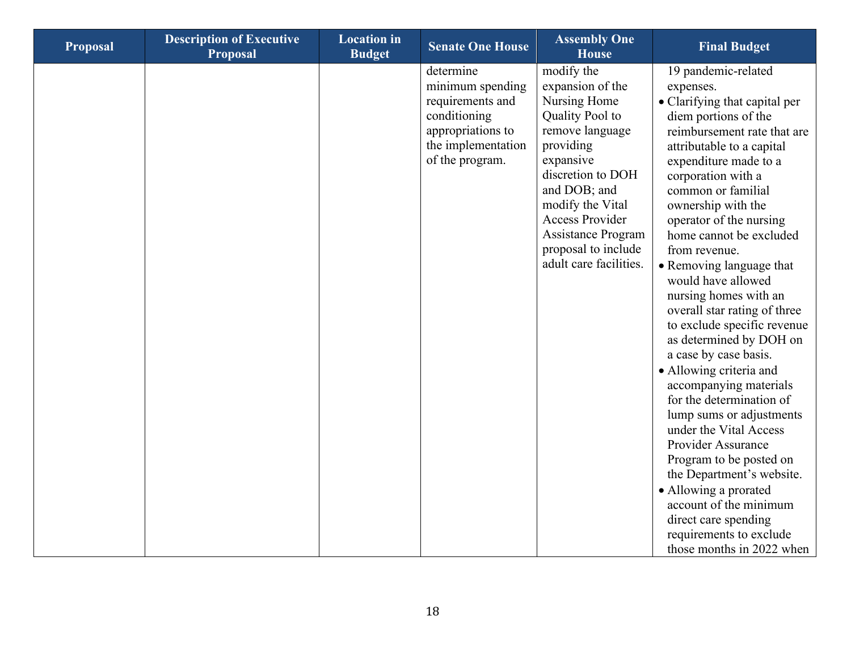| <b>Proposal</b> | <b>Description of Executive</b><br><b>Proposal</b> | <b>Location</b> in<br><b>Budget</b> | <b>Senate One House</b>                                                                                                         | <b>Assembly One</b><br><b>House</b>                                                                                                                                                                                                                                      | <b>Final Budget</b>                                                                                                                                                                                                                                                                                                                                                                                                                                                                                                                                                                                                                                                                                                                                                                                                                                                           |
|-----------------|----------------------------------------------------|-------------------------------------|---------------------------------------------------------------------------------------------------------------------------------|--------------------------------------------------------------------------------------------------------------------------------------------------------------------------------------------------------------------------------------------------------------------------|-------------------------------------------------------------------------------------------------------------------------------------------------------------------------------------------------------------------------------------------------------------------------------------------------------------------------------------------------------------------------------------------------------------------------------------------------------------------------------------------------------------------------------------------------------------------------------------------------------------------------------------------------------------------------------------------------------------------------------------------------------------------------------------------------------------------------------------------------------------------------------|
|                 |                                                    |                                     | determine<br>minimum spending<br>requirements and<br>conditioning<br>appropriations to<br>the implementation<br>of the program. | modify the<br>expansion of the<br>Nursing Home<br>Quality Pool to<br>remove language<br>providing<br>expansive<br>discretion to DOH<br>and DOB; and<br>modify the Vital<br><b>Access Provider</b><br>Assistance Program<br>proposal to include<br>adult care facilities. | 19 pandemic-related<br>expenses.<br>• Clarifying that capital per<br>diem portions of the<br>reimbursement rate that are<br>attributable to a capital<br>expenditure made to a<br>corporation with a<br>common or familial<br>ownership with the<br>operator of the nursing<br>home cannot be excluded<br>from revenue.<br>• Removing language that<br>would have allowed<br>nursing homes with an<br>overall star rating of three<br>to exclude specific revenue<br>as determined by DOH on<br>a case by case basis.<br>• Allowing criteria and<br>accompanying materials<br>for the determination of<br>lump sums or adjustments<br>under the Vital Access<br>Provider Assurance<br>Program to be posted on<br>the Department's website.<br>• Allowing a prorated<br>account of the minimum<br>direct care spending<br>requirements to exclude<br>those months in 2022 when |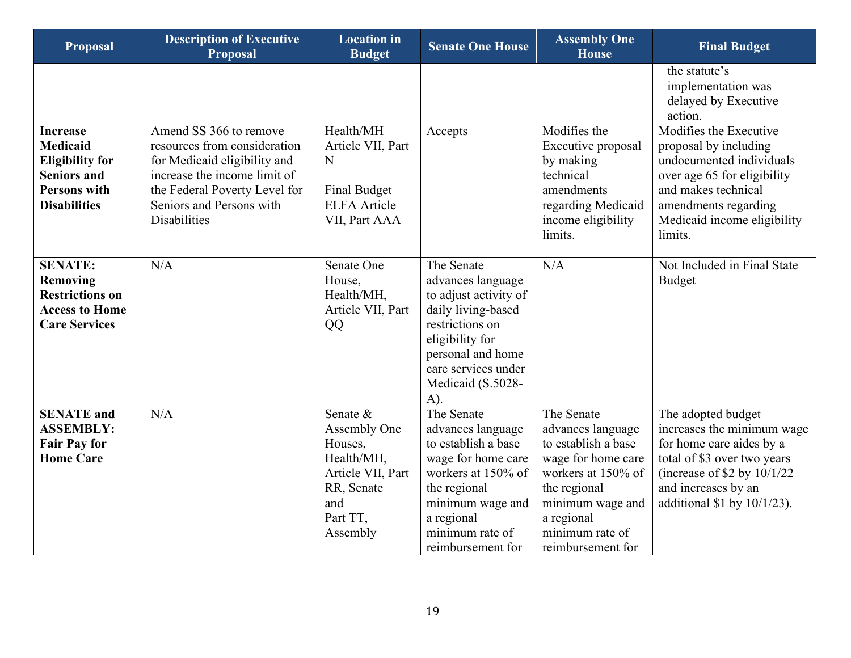| <b>Proposal</b>                                                                                                                  | <b>Description of Executive</b><br><b>Proposal</b>                                                                                                                                                         | <b>Location</b> in<br><b>Budget</b>                                                                                 | <b>Senate One House</b>                                                                                                                                                                         | <b>Assembly One</b><br><b>House</b>                                                                                                                                                          | <b>Final Budget</b>                                                                                                                                                                                     |
|----------------------------------------------------------------------------------------------------------------------------------|------------------------------------------------------------------------------------------------------------------------------------------------------------------------------------------------------------|---------------------------------------------------------------------------------------------------------------------|-------------------------------------------------------------------------------------------------------------------------------------------------------------------------------------------------|----------------------------------------------------------------------------------------------------------------------------------------------------------------------------------------------|---------------------------------------------------------------------------------------------------------------------------------------------------------------------------------------------------------|
|                                                                                                                                  |                                                                                                                                                                                                            |                                                                                                                     |                                                                                                                                                                                                 |                                                                                                                                                                                              | the statute's<br>implementation was<br>delayed by Executive<br>action.                                                                                                                                  |
| <b>Increase</b><br><b>Medicaid</b><br><b>Eligibility for</b><br><b>Seniors and</b><br><b>Persons with</b><br><b>Disabilities</b> | Amend SS 366 to remove<br>resources from consideration<br>for Medicaid eligibility and<br>increase the income limit of<br>the Federal Poverty Level for<br>Seniors and Persons with<br><b>Disabilities</b> | Health/MH<br>Article VII, Part<br>$\mathbf N$<br><b>Final Budget</b><br><b>ELFA</b> Article<br>VII, Part AAA        | Accepts                                                                                                                                                                                         | Modifies the<br>Executive proposal<br>by making<br>technical<br>amendments<br>regarding Medicaid<br>income eligibility<br>limits.                                                            | Modifies the Executive<br>proposal by including<br>undocumented individuals<br>over age 65 for eligibility<br>and makes technical<br>amendments regarding<br>Medicaid income eligibility<br>limits.     |
| <b>SENATE:</b><br><b>Removing</b><br><b>Restrictions on</b><br><b>Access to Home</b><br><b>Care Services</b>                     | N/A                                                                                                                                                                                                        | Senate One<br>House,<br>Health/MH,<br>Article VII, Part<br>QQ                                                       | The Senate<br>advances language<br>to adjust activity of<br>daily living-based<br>restrictions on<br>eligibility for<br>personal and home<br>care services under<br>Medicaid (S.5028-<br>$A)$ . | N/A                                                                                                                                                                                          | Not Included in Final State<br><b>Budget</b>                                                                                                                                                            |
| <b>SENATE</b> and<br><b>ASSEMBLY:</b><br><b>Fair Pay for</b><br><b>Home Care</b>                                                 | N/A                                                                                                                                                                                                        | Senate &<br>Assembly One<br>Houses,<br>Health/MH,<br>Article VII, Part<br>RR, Senate<br>and<br>Part TT,<br>Assembly | The Senate<br>advances language<br>to establish a base<br>wage for home care<br>workers at 150% of<br>the regional<br>minimum wage and<br>a regional<br>minimum rate of<br>reimbursement for    | The Senate<br>advances language<br>to establish a base<br>wage for home care<br>workers at 150% of<br>the regional<br>minimum wage and<br>a regional<br>minimum rate of<br>reimbursement for | The adopted budget<br>increases the minimum wage<br>for home care aides by a<br>total of \$3 over two years<br>(increase of $$2$ by $10/1/22$<br>and increases by an<br>additional $$1$ by $10/1/23$ ). |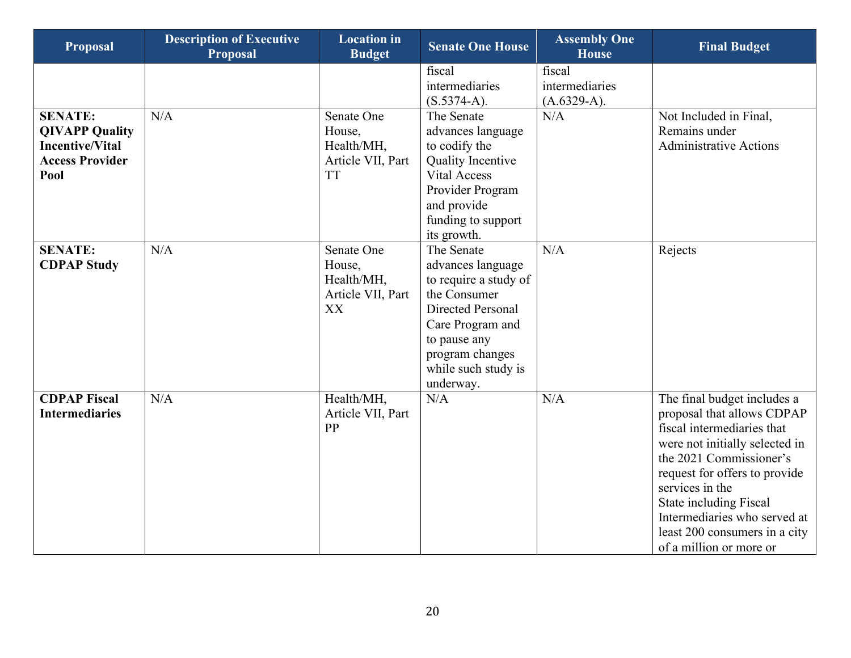| <b>Proposal</b>                                                                                     | <b>Description of Executive</b><br><b>Proposal</b> | <b>Location</b> in<br><b>Budget</b>                                  | <b>Senate One House</b>                                                                                                                                                                  | <b>Assembly One</b><br><b>House</b>       | <b>Final Budget</b>                                                                                                                                                                                                                                                                                                            |
|-----------------------------------------------------------------------------------------------------|----------------------------------------------------|----------------------------------------------------------------------|------------------------------------------------------------------------------------------------------------------------------------------------------------------------------------------|-------------------------------------------|--------------------------------------------------------------------------------------------------------------------------------------------------------------------------------------------------------------------------------------------------------------------------------------------------------------------------------|
|                                                                                                     |                                                    |                                                                      | fiscal<br>intermediaries<br>$(S.5374-A).$                                                                                                                                                | fiscal<br>intermediaries<br>$(A.6329-A).$ |                                                                                                                                                                                                                                                                                                                                |
| <b>SENATE:</b><br><b>QIVAPP Quality</b><br><b>Incentive/Vital</b><br><b>Access Provider</b><br>Pool | N/A                                                | Senate One<br>House,<br>Health/MH,<br>Article VII, Part<br><b>TT</b> | The Senate<br>advances language<br>to codify the<br><b>Quality Incentive</b><br><b>Vital Access</b><br>Provider Program<br>and provide<br>funding to support<br>its growth.              | N/A                                       | Not Included in Final,<br>Remains under<br><b>Administrative Actions</b>                                                                                                                                                                                                                                                       |
| <b>SENATE:</b><br><b>CDPAP Study</b>                                                                | N/A                                                | Senate One<br>House,<br>Health/MH,<br>Article VII, Part<br>XX        | The Senate<br>advances language<br>to require a study of<br>the Consumer<br>Directed Personal<br>Care Program and<br>to pause any<br>program changes<br>while such study is<br>underway. | N/A                                       | Rejects                                                                                                                                                                                                                                                                                                                        |
| <b>CDPAP Fiscal</b><br><b>Intermediaries</b>                                                        | N/A                                                | Health/MH,<br>Article VII, Part<br>PP                                | N/A                                                                                                                                                                                      | N/A                                       | The final budget includes a<br>proposal that allows CDPAP<br>fiscal intermediaries that<br>were not initially selected in<br>the 2021 Commissioner's<br>request for offers to provide<br>services in the<br>State including Fiscal<br>Intermediaries who served at<br>least 200 consumers in a city<br>of a million or more or |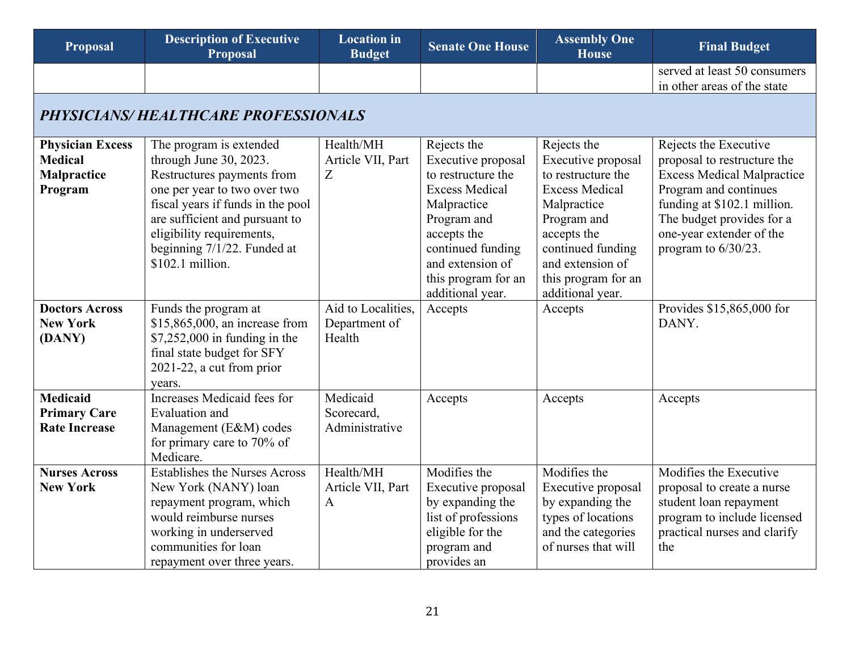<span id="page-20-0"></span>

| <b>Proposal</b>                     | <b>Description of Executive</b><br><b>Proposal</b> | <b>Location</b> in<br><b>Budget</b> | <b>Senate One House</b>               | <b>Assembly One</b><br><b>House</b>       | <b>Final Budget</b>               |  |  |  |  |
|-------------------------------------|----------------------------------------------------|-------------------------------------|---------------------------------------|-------------------------------------------|-----------------------------------|--|--|--|--|
|                                     |                                                    |                                     |                                       |                                           | served at least 50 consumers      |  |  |  |  |
|                                     |                                                    |                                     |                                       |                                           | in other areas of the state       |  |  |  |  |
| PHYSICIANS/HEALTHCARE PROFESSIONALS |                                                    |                                     |                                       |                                           |                                   |  |  |  |  |
| <b>Physician Excess</b>             | The program is extended                            | Health/MH                           | Rejects the                           | Rejects the                               | Rejects the Executive             |  |  |  |  |
| <b>Medical</b>                      | through June 30, 2023.                             | Article VII, Part                   | Executive proposal                    | Executive proposal                        | proposal to restructure the       |  |  |  |  |
| Malpractice                         | Restructures payments from                         | Z                                   | to restructure the                    | to restructure the                        | <b>Excess Medical Malpractice</b> |  |  |  |  |
| Program                             | one per year to two over two                       |                                     | <b>Excess Medical</b>                 | <b>Excess Medical</b>                     | Program and continues             |  |  |  |  |
|                                     | fiscal years if funds in the pool                  |                                     | Malpractice                           | Malpractice                               | funding at \$102.1 million.       |  |  |  |  |
|                                     | are sufficient and pursuant to                     |                                     | Program and                           | Program and                               | The budget provides for a         |  |  |  |  |
|                                     | eligibility requirements,                          |                                     | accepts the                           | accepts the                               | one-year extender of the          |  |  |  |  |
|                                     | beginning $7/1/22$ . Funded at<br>\$102.1 million. |                                     | continued funding<br>and extension of | continued funding<br>and extension of     | program to $6/30/23$ .            |  |  |  |  |
|                                     |                                                    |                                     | this program for an                   | this program for an                       |                                   |  |  |  |  |
|                                     |                                                    |                                     | additional year.                      | additional year.                          |                                   |  |  |  |  |
| <b>Doctors Across</b>               | Funds the program at                               | Aid to Localities,                  | Accepts                               | Accepts                                   | Provides \$15,865,000 for         |  |  |  |  |
| <b>New York</b>                     | \$15,865,000, an increase from                     | Department of                       |                                       |                                           | DANY.                             |  |  |  |  |
| (DANY)                              | $$7,252,000$ in funding in the                     | Health                              |                                       |                                           |                                   |  |  |  |  |
|                                     | final state budget for SFY                         |                                     |                                       |                                           |                                   |  |  |  |  |
|                                     | 2021-22, a cut from prior                          |                                     |                                       |                                           |                                   |  |  |  |  |
|                                     | years.                                             |                                     |                                       |                                           |                                   |  |  |  |  |
| <b>Medicaid</b>                     | <b>Increases Medicaid fees for</b>                 | Medicaid                            | Accepts                               | Accepts                                   | Accepts                           |  |  |  |  |
| <b>Primary Care</b>                 | Evaluation and                                     | Scorecard,                          |                                       |                                           |                                   |  |  |  |  |
| <b>Rate Increase</b>                | Management (E&M) codes                             | Administrative                      |                                       |                                           |                                   |  |  |  |  |
|                                     | for primary care to 70% of                         |                                     |                                       |                                           |                                   |  |  |  |  |
|                                     | Medicare.                                          |                                     |                                       |                                           |                                   |  |  |  |  |
| <b>Nurses Across</b>                | <b>Establishes the Nurses Across</b>               | Health/MH                           | Modifies the                          | Modifies the                              | Modifies the Executive            |  |  |  |  |
| <b>New York</b>                     | New York (NANY) loan                               | Article VII, Part                   | Executive proposal                    | Executive proposal                        | proposal to create a nurse        |  |  |  |  |
|                                     | repayment program, which                           | $\mathbf{A}$                        | by expanding the                      | by expanding the                          | student loan repayment            |  |  |  |  |
|                                     | would reimburse nurses                             |                                     | list of professions                   | types of locations                        | program to include licensed       |  |  |  |  |
|                                     | working in underserved<br>communities for loan     |                                     | eligible for the                      | and the categories<br>of nurses that will | practical nurses and clarify      |  |  |  |  |
|                                     |                                                    |                                     | program and<br>provides an            |                                           | the                               |  |  |  |  |
|                                     | repayment over three years.                        |                                     |                                       |                                           |                                   |  |  |  |  |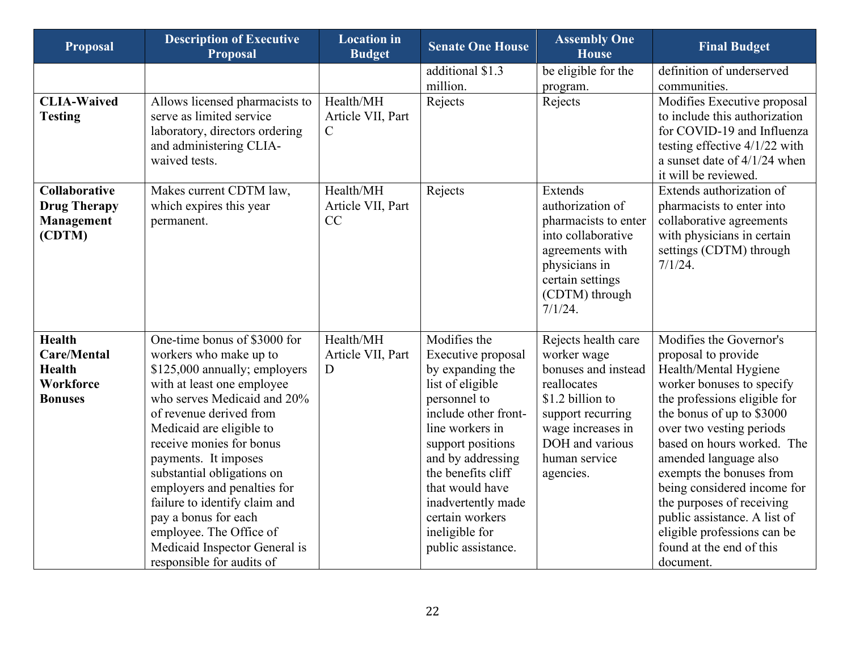| <b>Proposal</b>                                                     | <b>Description of Executive</b><br><b>Proposal</b>                                                                                                                                                                                                                                                                                                                                  | <b>Location</b> in<br><b>Budget</b>            | <b>Senate One House</b>                                                                                                                                                                                                                         | <b>Assembly One</b><br><b>House</b>                                                                                                                                      | <b>Final Budget</b>                                                                                                                                                                                                                                                                                                                                                       |
|---------------------------------------------------------------------|-------------------------------------------------------------------------------------------------------------------------------------------------------------------------------------------------------------------------------------------------------------------------------------------------------------------------------------------------------------------------------------|------------------------------------------------|-------------------------------------------------------------------------------------------------------------------------------------------------------------------------------------------------------------------------------------------------|--------------------------------------------------------------------------------------------------------------------------------------------------------------------------|---------------------------------------------------------------------------------------------------------------------------------------------------------------------------------------------------------------------------------------------------------------------------------------------------------------------------------------------------------------------------|
|                                                                     |                                                                                                                                                                                                                                                                                                                                                                                     |                                                | additional \$1.3                                                                                                                                                                                                                                | be eligible for the                                                                                                                                                      | definition of underserved                                                                                                                                                                                                                                                                                                                                                 |
|                                                                     |                                                                                                                                                                                                                                                                                                                                                                                     |                                                | million.                                                                                                                                                                                                                                        | program.                                                                                                                                                                 | communities.                                                                                                                                                                                                                                                                                                                                                              |
| <b>CLIA-Waived</b><br><b>Testing</b>                                | Allows licensed pharmacists to<br>serve as limited service<br>laboratory, directors ordering<br>and administering CLIA-<br>waived tests.                                                                                                                                                                                                                                            | Health/MH<br>Article VII, Part<br>$\mathsf{C}$ | Rejects                                                                                                                                                                                                                                         | Rejects                                                                                                                                                                  | Modifies Executive proposal<br>to include this authorization<br>for COVID-19 and Influenza<br>testing effective $4/1/22$ with<br>a sunset date of $4/1/24$ when<br>it will be reviewed.                                                                                                                                                                                   |
| <b>Collaborative</b><br><b>Drug Therapy</b><br>Management<br>(CDTM) | Makes current CDTM law,<br>which expires this year<br>permanent.                                                                                                                                                                                                                                                                                                                    | Health/MH<br>Article VII, Part<br>CC           | Rejects                                                                                                                                                                                                                                         | <b>Extends</b><br>authorization of<br>pharmacists to enter<br>into collaborative<br>agreements with<br>physicians in<br>certain settings<br>(CDTM) through<br>$7/1/24$ . | Extends authorization of<br>pharmacists to enter into<br>collaborative agreements<br>with physicians in certain<br>settings (CDTM) through<br>$7/1/24$ .                                                                                                                                                                                                                  |
| <b>Health</b>                                                       | One-time bonus of \$3000 for                                                                                                                                                                                                                                                                                                                                                        | Health/MH                                      | Modifies the                                                                                                                                                                                                                                    | Rejects health care                                                                                                                                                      | Modifies the Governor's                                                                                                                                                                                                                                                                                                                                                   |
| <b>Care/Mental</b>                                                  | workers who make up to                                                                                                                                                                                                                                                                                                                                                              | Article VII, Part                              | Executive proposal                                                                                                                                                                                                                              | worker wage                                                                                                                                                              | proposal to provide                                                                                                                                                                                                                                                                                                                                                       |
| <b>Health</b><br><b>Workforce</b>                                   | \$125,000 annually; employers                                                                                                                                                                                                                                                                                                                                                       | D                                              | by expanding the                                                                                                                                                                                                                                | bonuses and instead<br>reallocates                                                                                                                                       | Health/Mental Hygiene                                                                                                                                                                                                                                                                                                                                                     |
| <b>Bonuses</b>                                                      | with at least one employee<br>who serves Medicaid and 20%<br>of revenue derived from<br>Medicaid are eligible to<br>receive monies for bonus<br>payments. It imposes<br>substantial obligations on<br>employers and penalties for<br>failure to identify claim and<br>pay a bonus for each<br>employee. The Office of<br>Medicaid Inspector General is<br>responsible for audits of |                                                | list of eligible<br>personnel to<br>include other front-<br>line workers in<br>support positions<br>and by addressing<br>the benefits cliff<br>that would have<br>inadvertently made<br>certain workers<br>ineligible for<br>public assistance. | \$1.2 billion to<br>support recurring<br>wage increases in<br>DOH and various<br>human service<br>agencies.                                                              | worker bonuses to specify<br>the professions eligible for<br>the bonus of up to \$3000<br>over two vesting periods<br>based on hours worked. The<br>amended language also<br>exempts the bonuses from<br>being considered income for<br>the purposes of receiving<br>public assistance. A list of<br>eligible professions can be<br>found at the end of this<br>document. |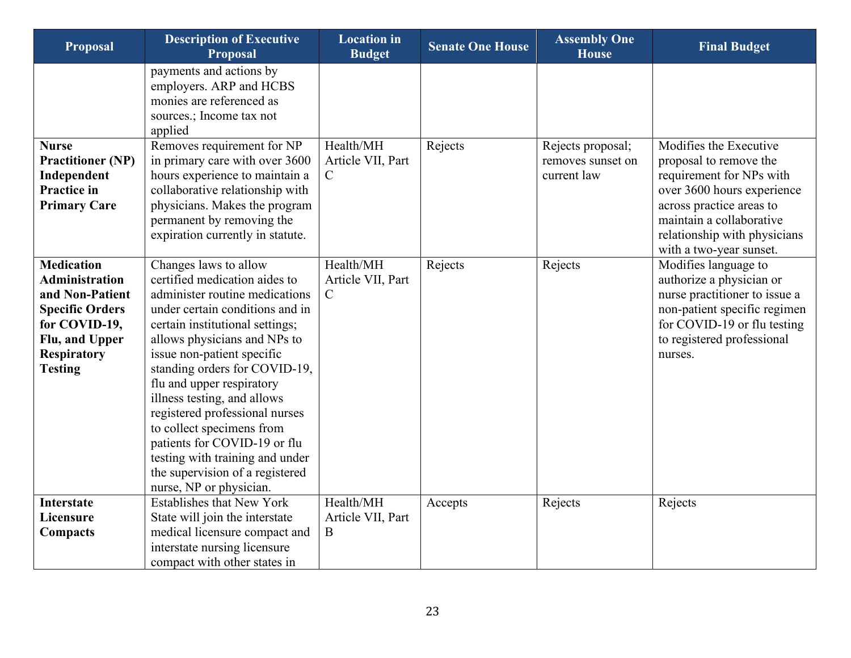| Proposal                                                                                                                                                           | <b>Description of Executive</b><br>Proposal                                                                                                                                                                                                                                                                                                                                                                                                                                                                               | <b>Location</b> in<br><b>Budget</b>            | <b>Senate One House</b> | <b>Assembly One</b><br><b>House</b>                   | <b>Final Budget</b>                                                                                                                                                                                                           |
|--------------------------------------------------------------------------------------------------------------------------------------------------------------------|---------------------------------------------------------------------------------------------------------------------------------------------------------------------------------------------------------------------------------------------------------------------------------------------------------------------------------------------------------------------------------------------------------------------------------------------------------------------------------------------------------------------------|------------------------------------------------|-------------------------|-------------------------------------------------------|-------------------------------------------------------------------------------------------------------------------------------------------------------------------------------------------------------------------------------|
|                                                                                                                                                                    | payments and actions by<br>employers. ARP and HCBS<br>monies are referenced as<br>sources.; Income tax not<br>applied                                                                                                                                                                                                                                                                                                                                                                                                     |                                                |                         |                                                       |                                                                                                                                                                                                                               |
| <b>Nurse</b><br><b>Practitioner (NP)</b><br>Independent<br><b>Practice in</b><br><b>Primary Care</b>                                                               | Removes requirement for NP<br>in primary care with over 3600<br>hours experience to maintain a<br>collaborative relationship with<br>physicians. Makes the program<br>permanent by removing the<br>expiration currently in statute.                                                                                                                                                                                                                                                                                       | Health/MH<br>Article VII, Part<br>$\mathsf{C}$ | Rejects                 | Rejects proposal;<br>removes sunset on<br>current law | Modifies the Executive<br>proposal to remove the<br>requirement for NPs with<br>over 3600 hours experience<br>across practice areas to<br>maintain a collaborative<br>relationship with physicians<br>with a two-year sunset. |
| <b>Medication</b><br><b>Administration</b><br>and Non-Patient<br><b>Specific Orders</b><br>for COVID-19,<br>Flu, and Upper<br><b>Respiratory</b><br><b>Testing</b> | Changes laws to allow<br>certified medication aides to<br>administer routine medications<br>under certain conditions and in<br>certain institutional settings;<br>allows physicians and NPs to<br>issue non-patient specific<br>standing orders for COVID-19,<br>flu and upper respiratory<br>illness testing, and allows<br>registered professional nurses<br>to collect specimens from<br>patients for COVID-19 or flu<br>testing with training and under<br>the supervision of a registered<br>nurse, NP or physician. | Health/MH<br>Article VII, Part<br>$\mathsf{C}$ | Rejects                 | Rejects                                               | Modifies language to<br>authorize a physician or<br>nurse practitioner to issue a<br>non-patient specific regimen<br>for COVID-19 or flu testing<br>to registered professional<br>nurses.                                     |
| <b>Interstate</b><br>Licensure<br>Compacts                                                                                                                         | <b>Establishes that New York</b><br>State will join the interstate<br>medical licensure compact and<br>interstate nursing licensure<br>compact with other states in                                                                                                                                                                                                                                                                                                                                                       | Health/MH<br>Article VII, Part<br>B            | Accepts                 | Rejects                                               | Rejects                                                                                                                                                                                                                       |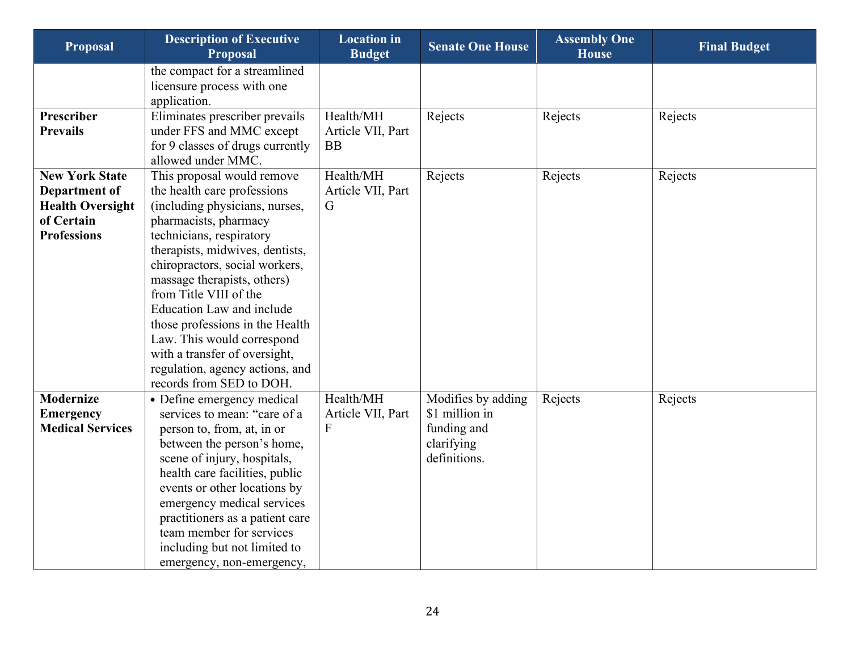| <b>Proposal</b>         | <b>Description of Executive</b><br><b>Proposal</b>          | <b>Location</b> in<br><b>Budget</b> | <b>Senate One House</b> | <b>Assembly One</b><br><b>House</b> | <b>Final Budget</b> |
|-------------------------|-------------------------------------------------------------|-------------------------------------|-------------------------|-------------------------------------|---------------------|
|                         | the compact for a streamlined<br>licensure process with one |                                     |                         |                                     |                     |
|                         | application.                                                |                                     |                         |                                     |                     |
| Prescriber              | Eliminates prescriber prevails                              | Health/MH                           | Rejects                 | Rejects                             | Rejects             |
| <b>Prevails</b>         | under FFS and MMC except                                    | Article VII, Part                   |                         |                                     |                     |
|                         | for 9 classes of drugs currently                            | <b>BB</b>                           |                         |                                     |                     |
|                         | allowed under MMC.                                          |                                     |                         |                                     |                     |
| <b>New York State</b>   | This proposal would remove                                  | Health/MH                           | Rejects                 | Rejects                             | Rejects             |
| Department of           | the health care professions                                 | Article VII, Part                   |                         |                                     |                     |
| <b>Health Oversight</b> | (including physicians, nurses,                              | G                                   |                         |                                     |                     |
| of Certain              | pharmacists, pharmacy                                       |                                     |                         |                                     |                     |
| <b>Professions</b>      | technicians, respiratory                                    |                                     |                         |                                     |                     |
|                         | therapists, midwives, dentists,                             |                                     |                         |                                     |                     |
|                         | chiropractors, social workers,                              |                                     |                         |                                     |                     |
|                         | massage therapists, others)<br>from Title VIII of the       |                                     |                         |                                     |                     |
|                         | <b>Education Law and include</b>                            |                                     |                         |                                     |                     |
|                         | those professions in the Health                             |                                     |                         |                                     |                     |
|                         | Law. This would correspond                                  |                                     |                         |                                     |                     |
|                         | with a transfer of oversight,                               |                                     |                         |                                     |                     |
|                         | regulation, agency actions, and                             |                                     |                         |                                     |                     |
|                         | records from SED to DOH.                                    |                                     |                         |                                     |                     |
| <b>Modernize</b>        | • Define emergency medical                                  | Health/MH                           | Modifies by adding      | Rejects                             | Rejects             |
| <b>Emergency</b>        | services to mean: "care of a                                | Article VII, Part                   | \$1 million in          |                                     |                     |
| <b>Medical Services</b> | person to, from, at, in or                                  | F                                   | funding and             |                                     |                     |
|                         | between the person's home,                                  |                                     | clarifying              |                                     |                     |
|                         | scene of injury, hospitals,                                 |                                     | definitions.            |                                     |                     |
|                         | health care facilities, public                              |                                     |                         |                                     |                     |
|                         | events or other locations by                                |                                     |                         |                                     |                     |
|                         | emergency medical services                                  |                                     |                         |                                     |                     |
|                         | practitioners as a patient care                             |                                     |                         |                                     |                     |
|                         | team member for services                                    |                                     |                         |                                     |                     |
|                         | including but not limited to                                |                                     |                         |                                     |                     |
|                         | emergency, non-emergency,                                   |                                     |                         |                                     |                     |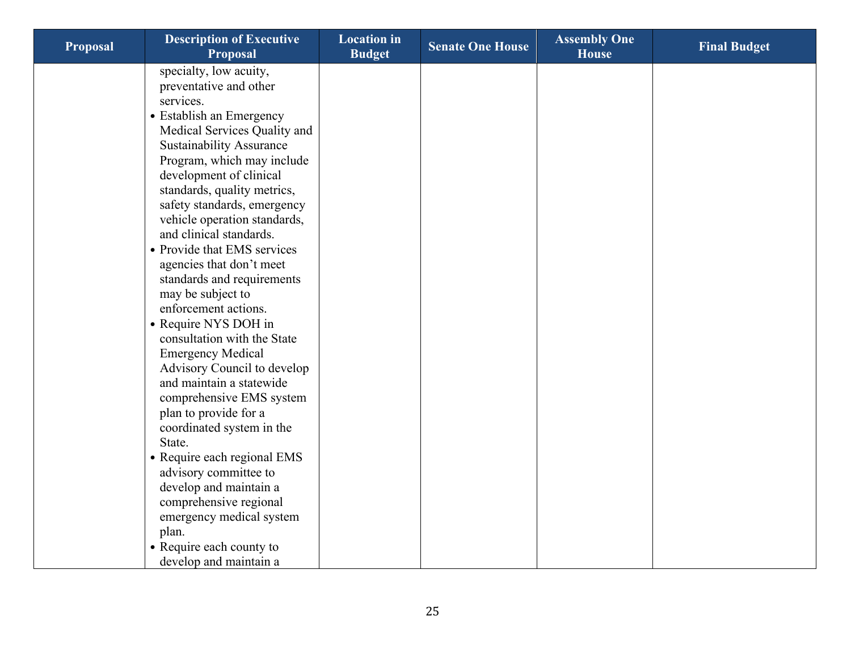| <b>Proposal</b> | <b>Description of Executive</b><br><b>Proposal</b> | <b>Location</b> in<br><b>Budget</b> | <b>Senate One House</b> | <b>Assembly One</b><br><b>House</b> | <b>Final Budget</b> |
|-----------------|----------------------------------------------------|-------------------------------------|-------------------------|-------------------------------------|---------------------|
|                 | specialty, low acuity,                             |                                     |                         |                                     |                     |
|                 | preventative and other                             |                                     |                         |                                     |                     |
|                 | services.                                          |                                     |                         |                                     |                     |
|                 | • Establish an Emergency                           |                                     |                         |                                     |                     |
|                 | Medical Services Quality and                       |                                     |                         |                                     |                     |
|                 | <b>Sustainability Assurance</b>                    |                                     |                         |                                     |                     |
|                 | Program, which may include                         |                                     |                         |                                     |                     |
|                 | development of clinical                            |                                     |                         |                                     |                     |
|                 | standards, quality metrics,                        |                                     |                         |                                     |                     |
|                 | safety standards, emergency                        |                                     |                         |                                     |                     |
|                 | vehicle operation standards,                       |                                     |                         |                                     |                     |
|                 | and clinical standards.                            |                                     |                         |                                     |                     |
|                 | • Provide that EMS services                        |                                     |                         |                                     |                     |
|                 | agencies that don't meet                           |                                     |                         |                                     |                     |
|                 | standards and requirements                         |                                     |                         |                                     |                     |
|                 | may be subject to                                  |                                     |                         |                                     |                     |
|                 | enforcement actions.                               |                                     |                         |                                     |                     |
|                 | • Require NYS DOH in                               |                                     |                         |                                     |                     |
|                 | consultation with the State                        |                                     |                         |                                     |                     |
|                 | <b>Emergency Medical</b>                           |                                     |                         |                                     |                     |
|                 | Advisory Council to develop                        |                                     |                         |                                     |                     |
|                 | and maintain a statewide                           |                                     |                         |                                     |                     |
|                 | comprehensive EMS system                           |                                     |                         |                                     |                     |
|                 | plan to provide for a                              |                                     |                         |                                     |                     |
|                 | coordinated system in the                          |                                     |                         |                                     |                     |
|                 | State.                                             |                                     |                         |                                     |                     |
|                 | • Require each regional EMS                        |                                     |                         |                                     |                     |
|                 | advisory committee to                              |                                     |                         |                                     |                     |
|                 | develop and maintain a                             |                                     |                         |                                     |                     |
|                 | comprehensive regional                             |                                     |                         |                                     |                     |
|                 | emergency medical system                           |                                     |                         |                                     |                     |
|                 | plan.                                              |                                     |                         |                                     |                     |
|                 | • Require each county to                           |                                     |                         |                                     |                     |
|                 | develop and maintain a                             |                                     |                         |                                     |                     |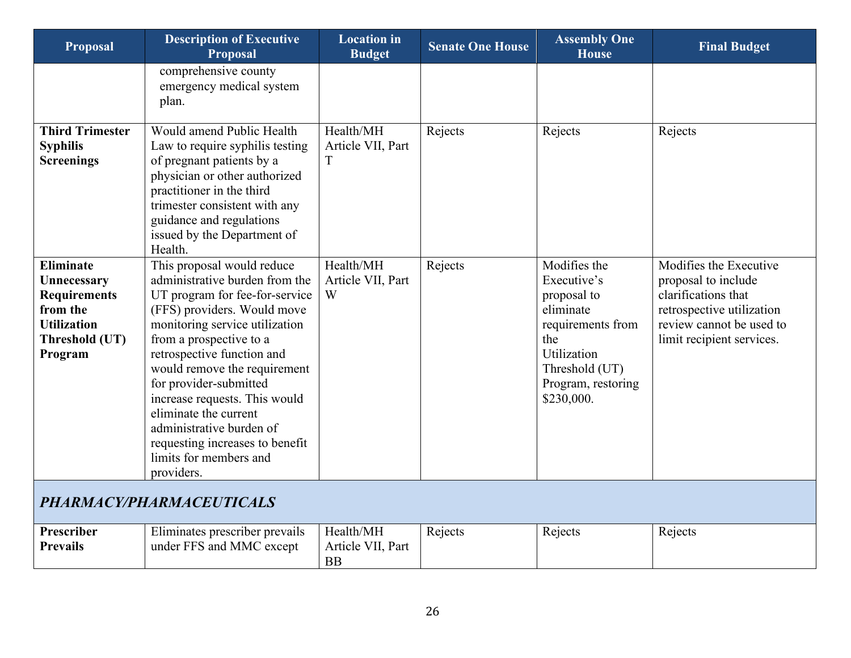<span id="page-25-0"></span>

| <b>Proposal</b>                                                                                                       | <b>Description of Executive</b><br><b>Proposal</b>                                                                                                                                                                                                                                                                                                                                                                                                  | <b>Location</b> in<br><b>Budget</b>         | <b>Senate One House</b> | <b>Assembly One</b><br><b>House</b>                                                                                                                      | <b>Final Budget</b>                                                                                                                                        |
|-----------------------------------------------------------------------------------------------------------------------|-----------------------------------------------------------------------------------------------------------------------------------------------------------------------------------------------------------------------------------------------------------------------------------------------------------------------------------------------------------------------------------------------------------------------------------------------------|---------------------------------------------|-------------------------|----------------------------------------------------------------------------------------------------------------------------------------------------------|------------------------------------------------------------------------------------------------------------------------------------------------------------|
|                                                                                                                       | comprehensive county<br>emergency medical system<br>plan.                                                                                                                                                                                                                                                                                                                                                                                           |                                             |                         |                                                                                                                                                          |                                                                                                                                                            |
| <b>Third Trimester</b><br><b>Syphilis</b><br><b>Screenings</b>                                                        | Would amend Public Health<br>Law to require syphilis testing<br>of pregnant patients by a<br>physician or other authorized<br>practitioner in the third<br>trimester consistent with any<br>guidance and regulations<br>issued by the Department of<br>Health.                                                                                                                                                                                      | Health/MH<br>Article VII, Part<br>T         | Rejects                 | Rejects                                                                                                                                                  | Rejects                                                                                                                                                    |
| <b>Eliminate</b><br>Unnecessary<br><b>Requirements</b><br>from the<br><b>Utilization</b><br>Threshold (UT)<br>Program | This proposal would reduce<br>administrative burden from the<br>UT program for fee-for-service<br>(FFS) providers. Would move<br>monitoring service utilization<br>from a prospective to a<br>retrospective function and<br>would remove the requirement<br>for provider-submitted<br>increase requests. This would<br>eliminate the current<br>administrative burden of<br>requesting increases to benefit<br>limits for members and<br>providers. | Health/MH<br>Article VII, Part<br>W         | Rejects                 | Modifies the<br>Executive's<br>proposal to<br>eliminate<br>requirements from<br>the<br>Utilization<br>Threshold (UT)<br>Program, restoring<br>\$230,000. | Modifies the Executive<br>proposal to include<br>clarifications that<br>retrospective utilization<br>review cannot be used to<br>limit recipient services. |
|                                                                                                                       | PHARMACY/PHARMACEUTICALS                                                                                                                                                                                                                                                                                                                                                                                                                            |                                             |                         |                                                                                                                                                          |                                                                                                                                                            |
| <b>Prescriber</b><br><b>Prevails</b>                                                                                  | Eliminates prescriber prevails<br>under FFS and MMC except                                                                                                                                                                                                                                                                                                                                                                                          | Health/MH<br>Article VII, Part<br><b>BB</b> | Rejects                 | Rejects                                                                                                                                                  | Rejects                                                                                                                                                    |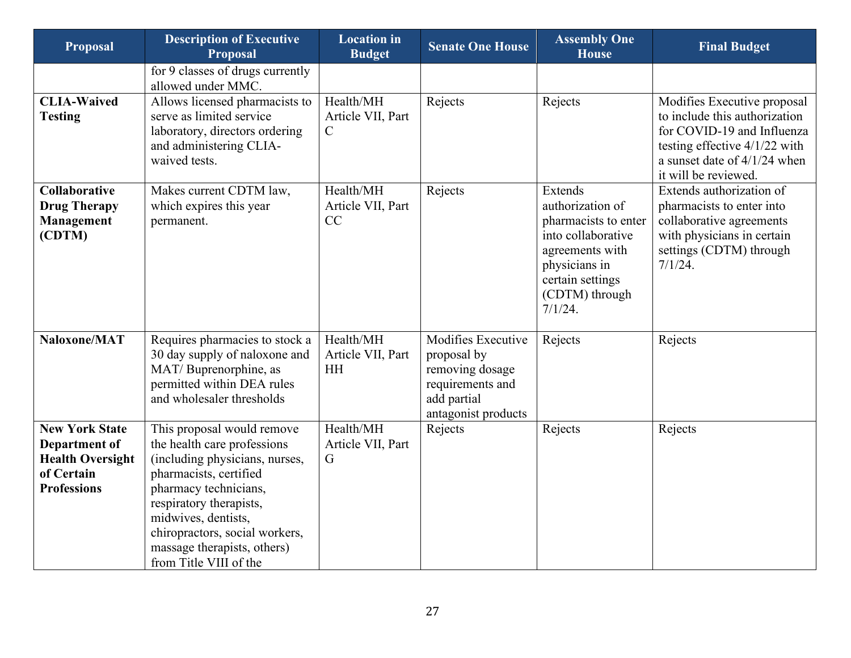| <b>Proposal</b>                                                                                              | <b>Description of Executive</b><br><b>Proposal</b>                                                                                                                                                                                                                                          | <b>Location</b> in<br><b>Budget</b>             | <b>Senate One House</b>                                                                                        | <b>Assembly One</b><br><b>House</b>                                                                                                                            | <b>Final Budget</b>                                                                                                                                                                     |
|--------------------------------------------------------------------------------------------------------------|---------------------------------------------------------------------------------------------------------------------------------------------------------------------------------------------------------------------------------------------------------------------------------------------|-------------------------------------------------|----------------------------------------------------------------------------------------------------------------|----------------------------------------------------------------------------------------------------------------------------------------------------------------|-----------------------------------------------------------------------------------------------------------------------------------------------------------------------------------------|
|                                                                                                              | for 9 classes of drugs currently<br>allowed under MMC.                                                                                                                                                                                                                                      |                                                 |                                                                                                                |                                                                                                                                                                |                                                                                                                                                                                         |
| <b>CLIA-Waived</b><br><b>Testing</b>                                                                         | Allows licensed pharmacists to<br>serve as limited service<br>laboratory, directors ordering<br>and administering CLIA-<br>waived tests.                                                                                                                                                    | Health/MH<br>Article VII, Part<br>$\mathcal{C}$ | Rejects                                                                                                        | Rejects                                                                                                                                                        | Modifies Executive proposal<br>to include this authorization<br>for COVID-19 and Influenza<br>testing effective $4/1/22$ with<br>a sunset date of $4/1/24$ when<br>it will be reviewed. |
| Collaborative<br><b>Drug Therapy</b><br><b>Management</b><br>(CDTM)                                          | Makes current CDTM law,<br>which expires this year<br>permanent.                                                                                                                                                                                                                            | Health/MH<br>Article VII, Part<br>CC            | Rejects                                                                                                        | Extends<br>authorization of<br>pharmacists to enter<br>into collaborative<br>agreements with<br>physicians in<br>certain settings<br>(CDTM) through<br>7/1/24. | Extends authorization of<br>pharmacists to enter into<br>collaborative agreements<br>with physicians in certain<br>settings (CDTM) through<br>7/1/24.                                   |
| Naloxone/MAT                                                                                                 | Requires pharmacies to stock a<br>30 day supply of naloxone and<br>MAT/Buprenorphine, as<br>permitted within DEA rules<br>and wholesaler thresholds                                                                                                                                         | Health/MH<br>Article VII, Part<br><b>HH</b>     | Modifies Executive<br>proposal by<br>removing dosage<br>requirements and<br>add partial<br>antagonist products | Rejects                                                                                                                                                        | Rejects                                                                                                                                                                                 |
| <b>New York State</b><br><b>Department of</b><br><b>Health Oversight</b><br>of Certain<br><b>Professions</b> | This proposal would remove<br>the health care professions<br>(including physicians, nurses,<br>pharmacists, certified<br>pharmacy technicians,<br>respiratory therapists,<br>midwives, dentists,<br>chiropractors, social workers,<br>massage therapists, others)<br>from Title VIII of the | Health/MH<br>Article VII, Part<br>G             | Rejects                                                                                                        | Rejects                                                                                                                                                        | Rejects                                                                                                                                                                                 |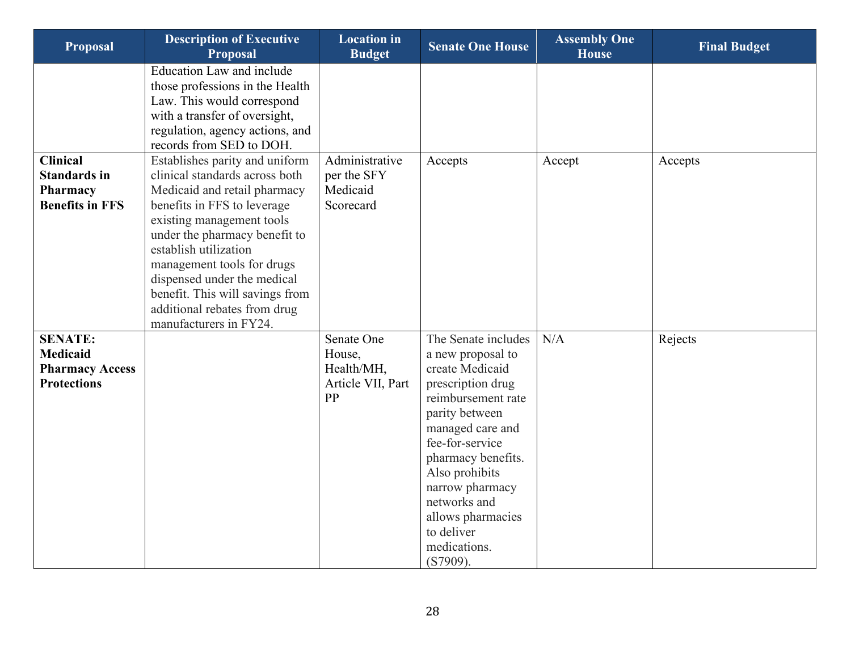| <b>Proposal</b>                                                                   | <b>Description of Executive</b><br><b>Proposal</b>                                                                                                                                                                                                                                                                                                                               | <b>Location</b> in<br><b>Budget</b>                           | <b>Senate One House</b>                                                                                                                                                                                                                                                                                   | <b>Assembly One</b><br><b>House</b> | <b>Final Budget</b> |
|-----------------------------------------------------------------------------------|----------------------------------------------------------------------------------------------------------------------------------------------------------------------------------------------------------------------------------------------------------------------------------------------------------------------------------------------------------------------------------|---------------------------------------------------------------|-----------------------------------------------------------------------------------------------------------------------------------------------------------------------------------------------------------------------------------------------------------------------------------------------------------|-------------------------------------|---------------------|
|                                                                                   | <b>Education Law and include</b><br>those professions in the Health<br>Law. This would correspond<br>with a transfer of oversight,<br>regulation, agency actions, and<br>records from SED to DOH.                                                                                                                                                                                |                                                               |                                                                                                                                                                                                                                                                                                           |                                     |                     |
| <b>Clinical</b><br><b>Standards in</b><br>Pharmacy<br><b>Benefits in FFS</b>      | Establishes parity and uniform<br>clinical standards across both<br>Medicaid and retail pharmacy<br>benefits in FFS to leverage<br>existing management tools<br>under the pharmacy benefit to<br>establish utilization<br>management tools for drugs<br>dispensed under the medical<br>benefit. This will savings from<br>additional rebates from drug<br>manufacturers in FY24. | Administrative<br>per the SFY<br>Medicaid<br>Scorecard        | Accepts                                                                                                                                                                                                                                                                                                   | Accept                              | Accepts             |
| <b>SENATE:</b><br><b>Medicaid</b><br><b>Pharmacy Access</b><br><b>Protections</b> |                                                                                                                                                                                                                                                                                                                                                                                  | Senate One<br>House,<br>Health/MH,<br>Article VII, Part<br>PP | The Senate includes<br>a new proposal to<br>create Medicaid<br>prescription drug<br>reimbursement rate<br>parity between<br>managed care and<br>fee-for-service<br>pharmacy benefits.<br>Also prohibits<br>narrow pharmacy<br>networks and<br>allows pharmacies<br>to deliver<br>medications.<br>(S7909). | N/A                                 | Rejects             |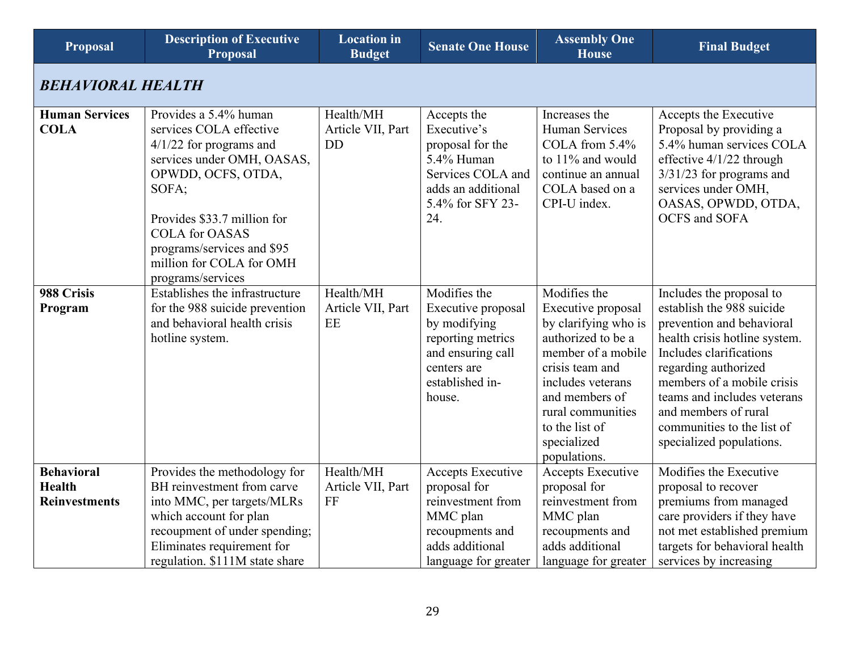<span id="page-28-0"></span>

| <b>Proposal</b>                                            | <b>Description of Executive</b><br><b>Proposal</b>                                                                                                                                                                                                                                | <b>Location</b> in<br><b>Budget</b>         | <b>Senate One House</b>                                                                                                                  | <b>Assembly One</b><br><b>House</b>                                                                                                                                                                                                    | <b>Final Budget</b>                                                                                                                                                                                                                                                                                                   |
|------------------------------------------------------------|-----------------------------------------------------------------------------------------------------------------------------------------------------------------------------------------------------------------------------------------------------------------------------------|---------------------------------------------|------------------------------------------------------------------------------------------------------------------------------------------|----------------------------------------------------------------------------------------------------------------------------------------------------------------------------------------------------------------------------------------|-----------------------------------------------------------------------------------------------------------------------------------------------------------------------------------------------------------------------------------------------------------------------------------------------------------------------|
| <b>BEHAVIORAL HEALTH</b>                                   |                                                                                                                                                                                                                                                                                   |                                             |                                                                                                                                          |                                                                                                                                                                                                                                        |                                                                                                                                                                                                                                                                                                                       |
| <b>Human Services</b><br><b>COLA</b>                       | Provides a 5.4% human<br>services COLA effective<br>$4/1/22$ for programs and<br>services under OMH, OASAS,<br>OPWDD, OCFS, OTDA,<br>SOFA;<br>Provides \$33.7 million for<br><b>COLA</b> for OASAS<br>programs/services and \$95<br>million for COLA for OMH<br>programs/services | Health/MH<br>Article VII, Part<br><b>DD</b> | Accepts the<br>Executive's<br>proposal for the<br>5.4% Human<br>Services COLA and<br>adds an additional<br>5.4% for SFY 23-<br>24.       | Increases the<br><b>Human Services</b><br>COLA from $5.4\%$<br>to 11% and would<br>continue an annual<br>COLA based on a<br>CPI-U index.                                                                                               | Accepts the Executive<br>Proposal by providing a<br>5.4% human services COLA<br>effective 4/1/22 through<br>$3/31/23$ for programs and<br>services under OMH,<br>OASAS, OPWDD, OTDA,<br><b>OCFS</b> and SOFA                                                                                                          |
| 988 Crisis<br>Program                                      | Establishes the infrastructure<br>for the 988 suicide prevention<br>and behavioral health crisis<br>hotline system.                                                                                                                                                               | Health/MH<br>Article VII, Part<br>EE        | Modifies the<br>Executive proposal<br>by modifying<br>reporting metrics<br>and ensuring call<br>centers are<br>established in-<br>house. | Modifies the<br>Executive proposal<br>by clarifying who is<br>authorized to be a<br>member of a mobile<br>crisis team and<br>includes veterans<br>and members of<br>rural communities<br>to the list of<br>specialized<br>populations. | Includes the proposal to<br>establish the 988 suicide<br>prevention and behavioral<br>health crisis hotline system.<br>Includes clarifications<br>regarding authorized<br>members of a mobile crisis<br>teams and includes veterans<br>and members of rural<br>communities to the list of<br>specialized populations. |
| <b>Behavioral</b><br><b>Health</b><br><b>Reinvestments</b> | Provides the methodology for<br>BH reinvestment from carve<br>into MMC, per targets/MLRs<br>which account for plan<br>recoupment of under spending;<br>Eliminates requirement for<br>regulation. \$111M state share                                                               | Health/MH<br>Article VII, Part<br>$\rm FF$  | Accepts Executive<br>proposal for<br>reinvestment from<br>MMC plan<br>recoupments and<br>adds additional<br>language for greater         | <b>Accepts Executive</b><br>proposal for<br>reinvestment from<br>MMC plan<br>recoupments and<br>adds additional<br>language for greater                                                                                                | Modifies the Executive<br>proposal to recover<br>premiums from managed<br>care providers if they have<br>not met established premium<br>targets for behavioral health<br>services by increasing                                                                                                                       |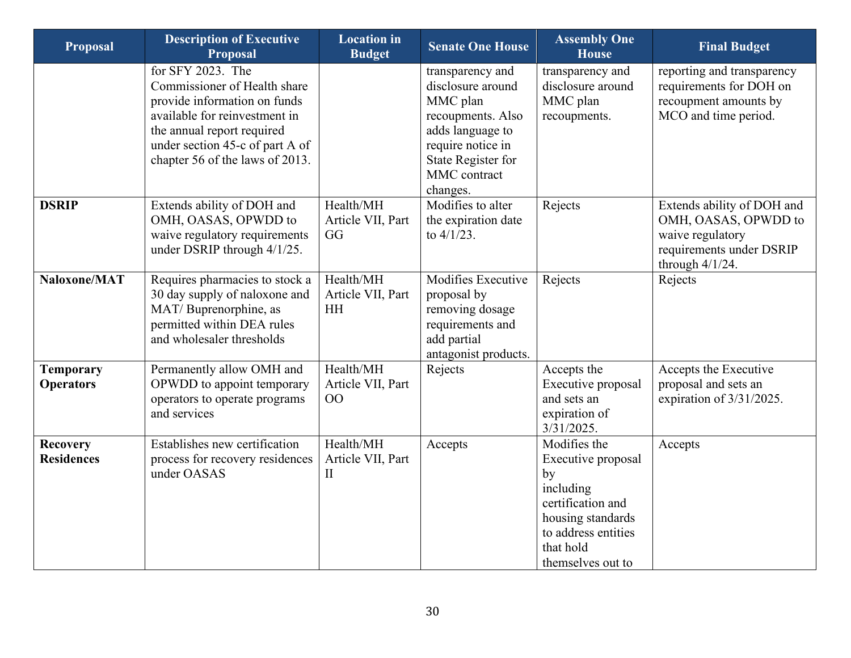| <b>Proposal</b>                      | <b>Description of Executive</b><br><b>Proposal</b>                                                                                                                                                                     | <b>Location</b> in<br><b>Budget</b>            | <b>Senate One House</b>                                                                                                                                           | <b>Assembly One</b><br><b>House</b>                                                                                                                      | <b>Final Budget</b>                                                                                                      |
|--------------------------------------|------------------------------------------------------------------------------------------------------------------------------------------------------------------------------------------------------------------------|------------------------------------------------|-------------------------------------------------------------------------------------------------------------------------------------------------------------------|----------------------------------------------------------------------------------------------------------------------------------------------------------|--------------------------------------------------------------------------------------------------------------------------|
|                                      | for SFY 2023. The<br>Commissioner of Health share<br>provide information on funds<br>available for reinvestment in<br>the annual report required<br>under section 45-c of part A of<br>chapter 56 of the laws of 2013. |                                                | transparency and<br>disclosure around<br>MMC plan<br>recoupments. Also<br>adds language to<br>require notice in<br>State Register for<br>MMC contract<br>changes. | transparency and<br>disclosure around<br>MMC plan<br>recoupments.                                                                                        | reporting and transparency<br>requirements for DOH on<br>recoupment amounts by<br>MCO and time period.                   |
| <b>DSRIP</b>                         | Extends ability of DOH and<br>OMH, OASAS, OPWDD to<br>waive regulatory requirements<br>under DSRIP through 4/1/25.                                                                                                     | Health/MH<br>Article VII, Part<br>GG           | Modifies to alter<br>the expiration date<br>to $4/1/23$ .                                                                                                         | Rejects                                                                                                                                                  | Extends ability of DOH and<br>OMH, OASAS, OPWDD to<br>waive regulatory<br>requirements under DSRIP<br>through $4/1/24$ . |
| Naloxone/MAT                         | Requires pharmacies to stock a<br>30 day supply of naloxone and<br>MAT/Buprenorphine, as<br>permitted within DEA rules<br>and wholesaler thresholds                                                                    | Health/MH<br>Article VII, Part<br><b>HH</b>    | Modifies Executive<br>proposal by<br>removing dosage<br>requirements and<br>add partial<br>antagonist products.                                                   | Rejects                                                                                                                                                  | Rejects                                                                                                                  |
| <b>Temporary</b><br><b>Operators</b> | Permanently allow OMH and<br>OPWDD to appoint temporary<br>operators to operate programs<br>and services                                                                                                               | Health/MH<br>Article VII, Part<br>00           | Rejects                                                                                                                                                           | Accepts the<br>Executive proposal<br>and sets an<br>expiration of<br>3/31/2025.                                                                          | Accepts the Executive<br>proposal and sets an<br>expiration of 3/31/2025.                                                |
| <b>Recovery</b><br><b>Residences</b> | Establishes new certification<br>process for recovery residences<br>under OASAS                                                                                                                                        | Health/MH<br>Article VII, Part<br>$\mathbf{I}$ | Accepts                                                                                                                                                           | Modifies the<br>Executive proposal<br>by<br>including<br>certification and<br>housing standards<br>to address entities<br>that hold<br>themselves out to | Accepts                                                                                                                  |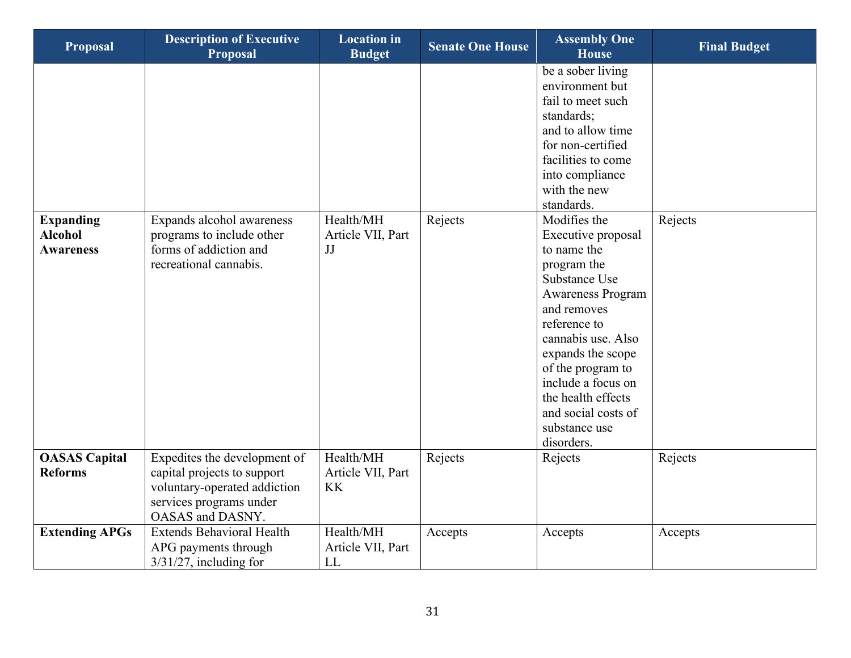| <b>Proposal</b>                                        | <b>Description of Executive</b><br><b>Proposal</b>                                                                                         | <b>Location</b> in<br><b>Budget</b>         | <b>Senate One House</b> | <b>Assembly One</b><br><b>House</b>                                                                                                                                                                                                                                                                                                                                                                                                                                                                        | <b>Final Budget</b> |
|--------------------------------------------------------|--------------------------------------------------------------------------------------------------------------------------------------------|---------------------------------------------|-------------------------|------------------------------------------------------------------------------------------------------------------------------------------------------------------------------------------------------------------------------------------------------------------------------------------------------------------------------------------------------------------------------------------------------------------------------------------------------------------------------------------------------------|---------------------|
| <b>Expanding</b><br><b>Alcohol</b><br><b>Awareness</b> | Expands alcohol awareness<br>programs to include other<br>forms of addiction and<br>recreational cannabis.                                 | Health/MH<br>Article VII, Part<br>JJ        | Rejects                 | be a sober living<br>environment but<br>fail to meet such<br>standards;<br>and to allow time<br>for non-certified<br>facilities to come<br>into compliance<br>with the new<br>standards.<br>Modifies the<br>Executive proposal<br>to name the<br>program the<br>Substance Use<br><b>Awareness Program</b><br>and removes<br>reference to<br>cannabis use. Also<br>expands the scope<br>of the program to<br>include a focus on<br>the health effects<br>and social costs of<br>substance use<br>disorders. | Rejects             |
| <b>OASAS</b> Capital<br><b>Reforms</b>                 | Expedites the development of<br>capital projects to support<br>voluntary-operated addiction<br>services programs under<br>OASAS and DASNY. | Health/MH<br>Article VII, Part<br><b>KK</b> | Rejects                 | Rejects                                                                                                                                                                                                                                                                                                                                                                                                                                                                                                    | Rejects             |
| <b>Extending APGs</b>                                  | <b>Extends Behavioral Health</b><br>APG payments through<br>$3/31/27$ , including for                                                      | Health/MH<br>Article VII, Part<br>LL        | Accepts                 | Accepts                                                                                                                                                                                                                                                                                                                                                                                                                                                                                                    | Accepts             |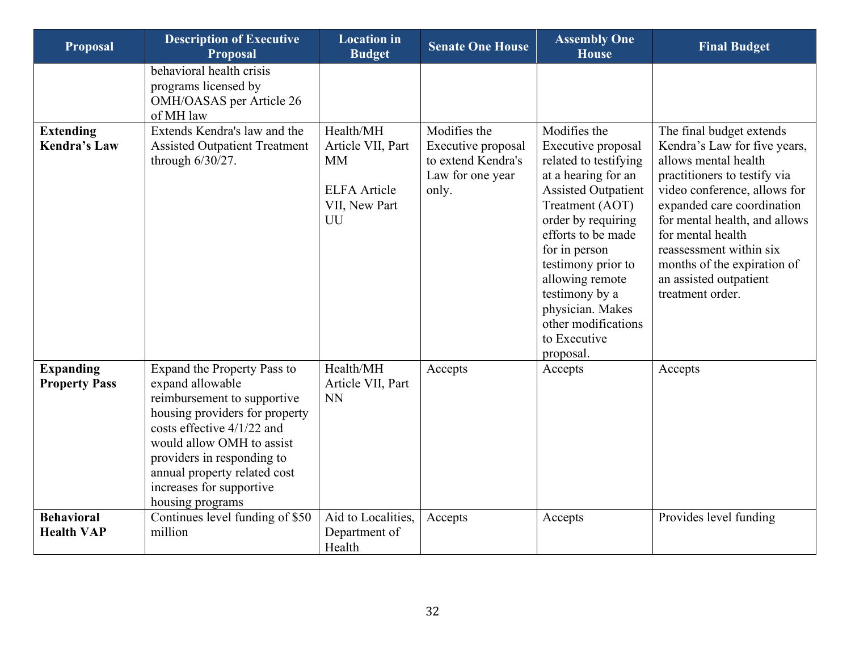| <b>Proposal</b>                          | <b>Description of Executive</b><br><b>Proposal</b>                                                                                                                                                                                                                                          | <b>Location</b> in<br><b>Budget</b>                                                       | <b>Senate One House</b>                                                               | <b>Assembly One</b><br><b>House</b>                                                                                                                                                                                                                                                                                                 | <b>Final Budget</b>                                                                                                                                                                                                                                                                                                                          |
|------------------------------------------|---------------------------------------------------------------------------------------------------------------------------------------------------------------------------------------------------------------------------------------------------------------------------------------------|-------------------------------------------------------------------------------------------|---------------------------------------------------------------------------------------|-------------------------------------------------------------------------------------------------------------------------------------------------------------------------------------------------------------------------------------------------------------------------------------------------------------------------------------|----------------------------------------------------------------------------------------------------------------------------------------------------------------------------------------------------------------------------------------------------------------------------------------------------------------------------------------------|
|                                          | behavioral health crisis<br>programs licensed by<br>OMH/OASAS per Article 26<br>of MH law                                                                                                                                                                                                   |                                                                                           |                                                                                       |                                                                                                                                                                                                                                                                                                                                     |                                                                                                                                                                                                                                                                                                                                              |
| <b>Extending</b><br><b>Kendra's Law</b>  | Extends Kendra's law and the<br><b>Assisted Outpatient Treatment</b><br>through $6/30/27$ .                                                                                                                                                                                                 | Health/MH<br>Article VII, Part<br><b>MM</b><br><b>ELFA</b> Article<br>VII, New Part<br>UU | Modifies the<br>Executive proposal<br>to extend Kendra's<br>Law for one year<br>only. | Modifies the<br>Executive proposal<br>related to testifying<br>at a hearing for an<br><b>Assisted Outpatient</b><br>Treatment (AOT)<br>order by requiring<br>efforts to be made<br>for in person<br>testimony prior to<br>allowing remote<br>testimony by a<br>physician. Makes<br>other modifications<br>to Executive<br>proposal. | The final budget extends<br>Kendra's Law for five years,<br>allows mental health<br>practitioners to testify via<br>video conference, allows for<br>expanded care coordination<br>for mental health, and allows<br>for mental health<br>reassessment within six<br>months of the expiration of<br>an assisted outpatient<br>treatment order. |
| <b>Expanding</b><br><b>Property Pass</b> | Expand the Property Pass to<br>expand allowable<br>reimbursement to supportive<br>housing providers for property<br>costs effective $4/1/22$ and<br>would allow OMH to assist<br>providers in responding to<br>annual property related cost<br>increases for supportive<br>housing programs | Health/MH<br>Article VII, Part<br><b>NN</b>                                               | Accepts                                                                               | Accepts                                                                                                                                                                                                                                                                                                                             | Accepts                                                                                                                                                                                                                                                                                                                                      |
| <b>Behavioral</b><br><b>Health VAP</b>   | Continues level funding of \$50<br>million                                                                                                                                                                                                                                                  | Aid to Localities,<br>Department of<br>Health                                             | Accepts                                                                               | Accepts                                                                                                                                                                                                                                                                                                                             | Provides level funding                                                                                                                                                                                                                                                                                                                       |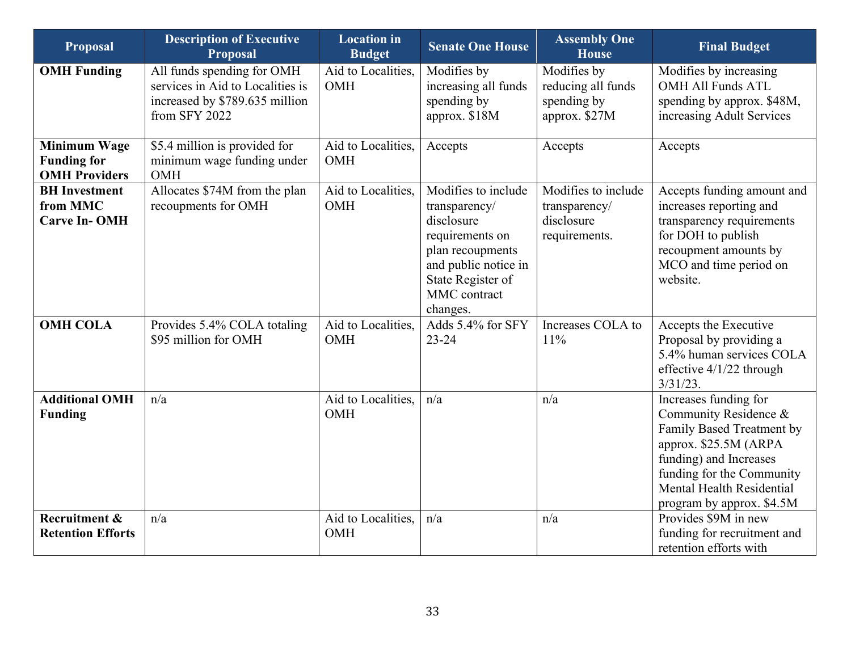| <b>Proposal</b>                                                   | <b>Description of Executive</b><br><b>Proposal</b>                                                                | <b>Location</b> in<br><b>Budget</b> | <b>Senate One House</b>                                                                                                                                            | <b>Assembly One</b><br><b>House</b>                                 | <b>Final Budget</b>                                                                                                                                                                                                   |
|-------------------------------------------------------------------|-------------------------------------------------------------------------------------------------------------------|-------------------------------------|--------------------------------------------------------------------------------------------------------------------------------------------------------------------|---------------------------------------------------------------------|-----------------------------------------------------------------------------------------------------------------------------------------------------------------------------------------------------------------------|
| <b>OMH</b> Funding                                                | All funds spending for OMH<br>services in Aid to Localities is<br>increased by \$789.635 million<br>from SFY 2022 | Aid to Localities,<br>OMH           | Modifies by<br>increasing all funds<br>spending by<br>approx. \$18M                                                                                                | Modifies by<br>reducing all funds<br>spending by<br>approx. \$27M   | Modifies by increasing<br><b>OMH All Funds ATL</b><br>spending by approx. \$48M,<br>increasing Adult Services                                                                                                         |
| <b>Minimum Wage</b><br><b>Funding for</b><br><b>OMH Providers</b> | \$5.4 million is provided for<br>minimum wage funding under<br>OMH                                                | Aid to Localities,<br>OMH           | Accepts                                                                                                                                                            | Accepts                                                             | Accepts                                                                                                                                                                                                               |
| <b>BH</b> Investment<br>from MMC<br><b>Carve In-OMH</b>           | Allocates \$74M from the plan<br>recoupments for OMH                                                              | Aid to Localities,<br>OMH           | Modifies to include<br>transparency/<br>disclosure<br>requirements on<br>plan recoupments<br>and public notice in<br>State Register of<br>MMC contract<br>changes. | Modifies to include<br>transparency/<br>disclosure<br>requirements. | Accepts funding amount and<br>increases reporting and<br>transparency requirements<br>for DOH to publish<br>recoupment amounts by<br>MCO and time period on<br>website.                                               |
| <b>OMH COLA</b>                                                   | Provides 5.4% COLA totaling<br>\$95 million for OMH                                                               | Aid to Localities,<br>OMH           | Adds 5.4% for SFY<br>$23 - 24$                                                                                                                                     | Increases COLA to<br>11%                                            | Accepts the Executive<br>Proposal by providing a<br>5.4% human services COLA<br>effective 4/1/22 through<br>$3/31/23$ .                                                                                               |
| <b>Additional OMH</b><br><b>Funding</b>                           | n/a                                                                                                               | Aid to Localities,<br>OMH           | n/a                                                                                                                                                                | n/a                                                                 | Increases funding for<br>Community Residence &<br>Family Based Treatment by<br>approx. \$25.5M (ARPA<br>funding) and Increases<br>funding for the Community<br>Mental Health Residential<br>program by approx. \$4.5M |
| Recruitment &<br><b>Retention Efforts</b>                         | n/a                                                                                                               | Aid to Localities,<br>OMH           | n/a                                                                                                                                                                | n/a                                                                 | Provides \$9M in new<br>funding for recruitment and<br>retention efforts with                                                                                                                                         |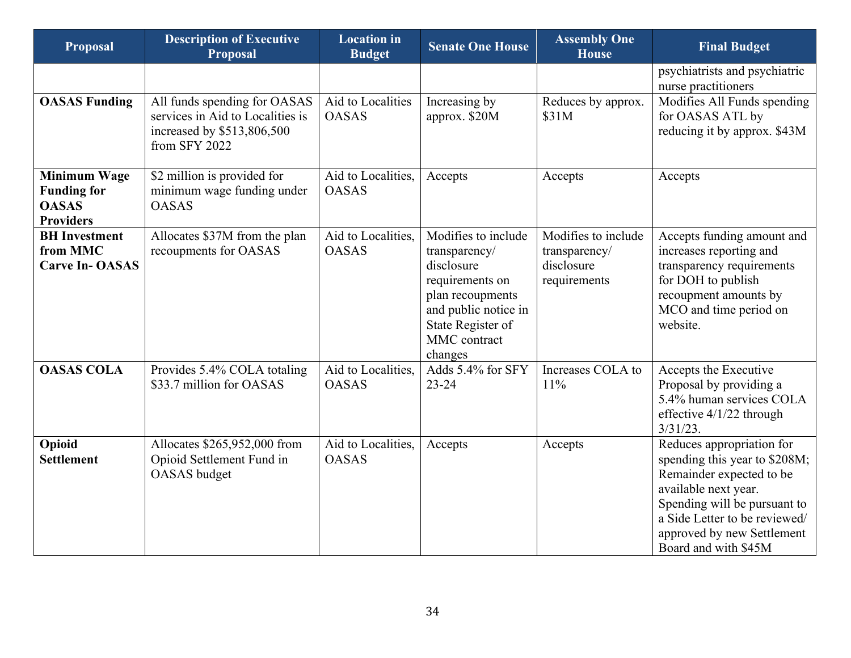| <b>Proposal</b>                                                               | <b>Description of Executive</b><br>Proposal                                                                     | <b>Location</b> in<br><b>Budget</b> | <b>Senate One House</b>                                                                                                                                           | <b>Assembly One</b><br><b>House</b>                                | <b>Final Budget</b>                                                                                                                                                                                                                   |
|-------------------------------------------------------------------------------|-----------------------------------------------------------------------------------------------------------------|-------------------------------------|-------------------------------------------------------------------------------------------------------------------------------------------------------------------|--------------------------------------------------------------------|---------------------------------------------------------------------------------------------------------------------------------------------------------------------------------------------------------------------------------------|
|                                                                               |                                                                                                                 |                                     |                                                                                                                                                                   |                                                                    | psychiatrists and psychiatric<br>nurse practitioners                                                                                                                                                                                  |
| <b>OASAS Funding</b>                                                          | All funds spending for OASAS<br>services in Aid to Localities is<br>increased by \$513,806,500<br>from SFY 2022 | Aid to Localities<br><b>OASAS</b>   | Increasing by<br>approx. \$20M                                                                                                                                    | Reduces by approx.<br>\$31M                                        | Modifies All Funds spending<br>for OASAS ATL by<br>reducing it by approx. \$43M                                                                                                                                                       |
| <b>Minimum Wage</b><br><b>Funding for</b><br><b>OASAS</b><br><b>Providers</b> | \$2 million is provided for<br>minimum wage funding under<br><b>OASAS</b>                                       | Aid to Localities,<br><b>OASAS</b>  | Accepts                                                                                                                                                           | Accepts                                                            | Accepts                                                                                                                                                                                                                               |
| <b>BH</b> Investment<br>from MMC<br><b>Carve In-OASAS</b>                     | Allocates \$37M from the plan<br>recoupments for OASAS                                                          | Aid to Localities,<br><b>OASAS</b>  | Modifies to include<br>transparency/<br>disclosure<br>requirements on<br>plan recoupments<br>and public notice in<br>State Register of<br>MMC contract<br>changes | Modifies to include<br>transparency/<br>disclosure<br>requirements | Accepts funding amount and<br>increases reporting and<br>transparency requirements<br>for DOH to publish<br>recoupment amounts by<br>MCO and time period on<br>website.                                                               |
| <b>OASAS COLA</b>                                                             | Provides 5.4% COLA totaling<br>\$33.7 million for OASAS                                                         | Aid to Localities,<br><b>OASAS</b>  | Adds 5.4% for SFY<br>$23 - 24$                                                                                                                                    | Increases COLA to<br>11%                                           | Accepts the Executive<br>Proposal by providing a<br>5.4% human services COLA<br>effective $4/1/22$ through<br>$3/31/23$ .                                                                                                             |
| Opioid<br><b>Settlement</b>                                                   | Allocates \$265,952,000 from<br>Opioid Settlement Fund in<br>OASAS budget                                       | Aid to Localities,<br><b>OASAS</b>  | Accepts                                                                                                                                                           | Accepts                                                            | Reduces appropriation for<br>spending this year to \$208M;<br>Remainder expected to be<br>available next year.<br>Spending will be pursuant to<br>a Side Letter to be reviewed/<br>approved by new Settlement<br>Board and with \$45M |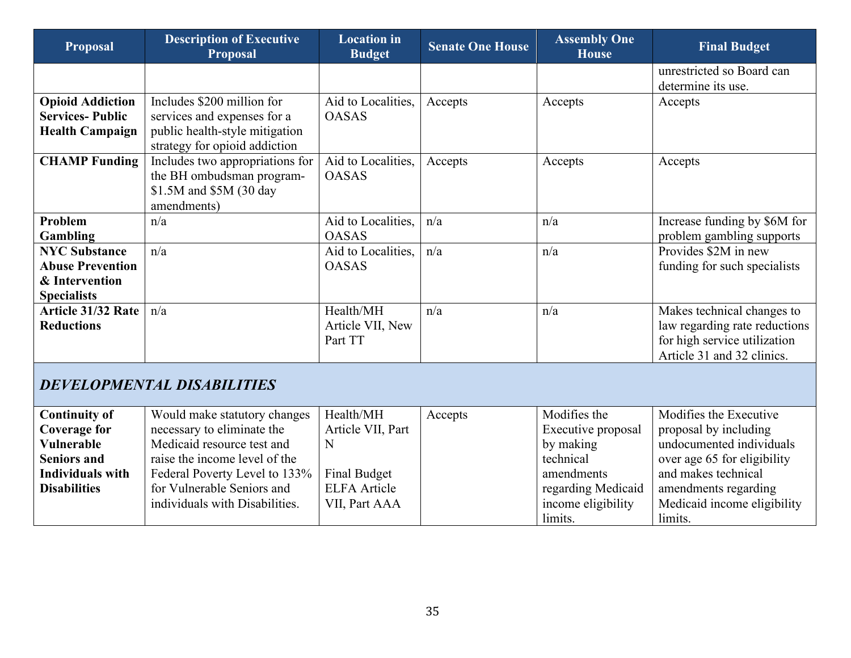| <b>Proposal</b>                                                                         | <b>Description of Executive</b><br><b>Proposal</b>                                                                           | <b>Location</b> in<br><b>Budget</b>      | <b>Senate One House</b> | <b>Assembly One</b><br><b>House</b> | <b>Final Budget</b>                                                                                                       |
|-----------------------------------------------------------------------------------------|------------------------------------------------------------------------------------------------------------------------------|------------------------------------------|-------------------------|-------------------------------------|---------------------------------------------------------------------------------------------------------------------------|
|                                                                                         |                                                                                                                              |                                          |                         |                                     | unrestricted so Board can<br>determine its use.                                                                           |
| <b>Opioid Addiction</b><br><b>Services-Public</b><br><b>Health Campaign</b>             | Includes \$200 million for<br>services and expenses for a<br>public health-style mitigation<br>strategy for opioid addiction | Aid to Localities,<br><b>OASAS</b>       | Accepts                 | Accepts                             | Accepts                                                                                                                   |
| <b>CHAMP Funding</b>                                                                    | Includes two appropriations for<br>the BH ombudsman program-<br>\$1.5M and \$5M (30 day<br>amendments)                       | Aid to Localities,<br><b>OASAS</b>       | Accepts                 | Accepts                             | Accepts                                                                                                                   |
| Problem<br><b>Gambling</b>                                                              | n/a                                                                                                                          | Aid to Localities,<br><b>OASAS</b>       | n/a                     | n/a                                 | Increase funding by \$6M for<br>problem gambling supports                                                                 |
| <b>NYC Substance</b><br><b>Abuse Prevention</b><br>& Intervention<br><b>Specialists</b> | n/a                                                                                                                          | Aid to Localities,<br><b>OASAS</b>       | n/a                     | n/a                                 | Provides \$2M in new<br>funding for such specialists                                                                      |
| <b>Article 31/32 Rate</b><br><b>Reductions</b>                                          | n/a                                                                                                                          | Health/MH<br>Article VII, New<br>Part TT | n/a                     | n/a                                 | Makes technical changes to<br>law regarding rate reductions<br>for high service utilization<br>Article 31 and 32 clinics. |
|                                                                                         | DEVELOPMENTAL DISABILITIES                                                                                                   |                                          |                         |                                     |                                                                                                                           |
| <b>Continuity of</b><br><b>Coverage for</b>                                             | Would make statutory changes<br>necessary to eliminate the                                                                   | Health/MH<br>Article VII, Part           | Accepts                 | Modifies the<br>Executive proposal  | Modifies the Executive<br>proposal by including                                                                           |

<span id="page-34-0"></span>

| Coverage for        | necessary to eliminate the     | Article VII, Part   | Executive proposal | proposal by including       |
|---------------------|--------------------------------|---------------------|--------------------|-----------------------------|
| Vulnerable          | Medicaid resource test and     |                     | by making          | undocumented individuals    |
| <b>Seniors and</b>  | raise the income level of the  |                     | technical          | over age 65 for eligibility |
| Individuals with    | Federal Poverty Level to 133%  | Final Budget        | amendments         | and makes technical         |
| <b>Disabilities</b> | for Vulnerable Seniors and     | <b>ELFA</b> Article | regarding Medicaid | amendments regarding        |
|                     | individuals with Disabilities. | VII, Part AAA       | income eligibility | Medicaid income eligibility |
|                     |                                |                     | limits.            | limits.                     |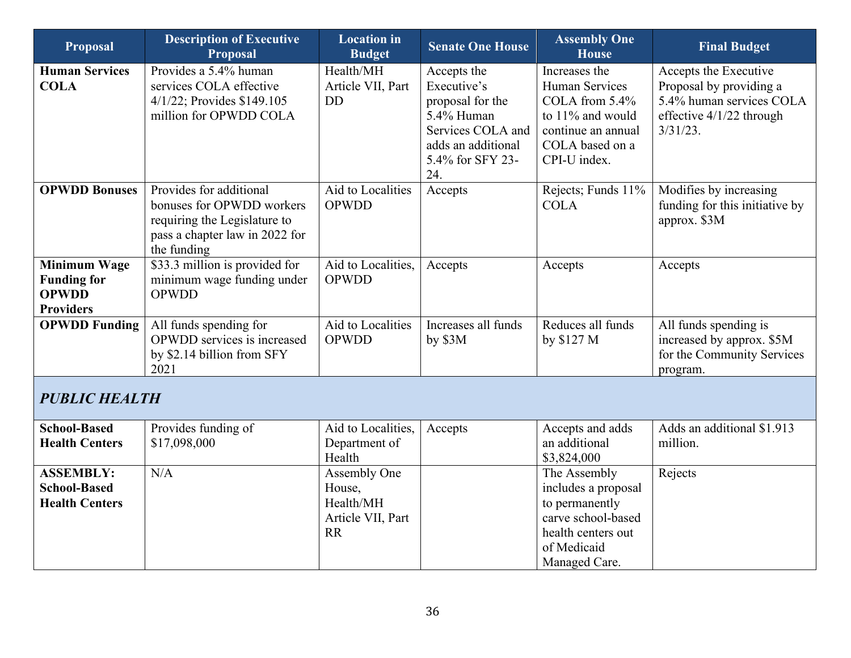| <b>Proposal</b>                                                               | <b>Description of Executive</b><br><b>Proposal</b>                                                                                    | <b>Location</b> in<br><b>Budget</b>                      | <b>Senate One House</b>                                                                                                            | <b>Assembly One</b><br><b>House</b>                                                                                            | <b>Final Budget</b>                                                                                                     |
|-------------------------------------------------------------------------------|---------------------------------------------------------------------------------------------------------------------------------------|----------------------------------------------------------|------------------------------------------------------------------------------------------------------------------------------------|--------------------------------------------------------------------------------------------------------------------------------|-------------------------------------------------------------------------------------------------------------------------|
| <b>Human Services</b><br><b>COLA</b>                                          | Provides a 5.4% human<br>services COLA effective<br>4/1/22; Provides \$149.105<br>million for OPWDD COLA                              | Health/MH<br>Article VII, Part<br><b>DD</b>              | Accepts the<br>Executive's<br>proposal for the<br>5.4% Human<br>Services COLA and<br>adds an additional<br>5.4% for SFY 23-<br>24. | Increases the<br>Human Services<br>COLA from 5.4%<br>to 11% and would<br>continue an annual<br>COLA based on a<br>CPI-U index. | Accepts the Executive<br>Proposal by providing a<br>5.4% human services COLA<br>effective 4/1/22 through<br>$3/31/23$ . |
| <b>OPWDD Bonuses</b>                                                          | Provides for additional<br>bonuses for OPWDD workers<br>requiring the Legislature to<br>pass a chapter law in 2022 for<br>the funding | Aid to Localities<br><b>OPWDD</b>                        | Accepts                                                                                                                            | Rejects; Funds 11%<br><b>COLA</b>                                                                                              | Modifies by increasing<br>funding for this initiative by<br>approx. \$3M                                                |
| <b>Minimum Wage</b><br><b>Funding for</b><br><b>OPWDD</b><br><b>Providers</b> | \$33.3 million is provided for<br>minimum wage funding under<br><b>OPWDD</b>                                                          | Aid to Localities,<br><b>OPWDD</b>                       | Accepts                                                                                                                            | Accepts                                                                                                                        | Accepts                                                                                                                 |
| <b>OPWDD Funding</b>                                                          | All funds spending for<br>OPWDD services is increased<br>by \$2.14 billion from SFY<br>2021                                           | Aid to Localities<br><b>OPWDD</b>                        | Increases all funds<br>by \$3M                                                                                                     | Reduces all funds<br>by \$127 M                                                                                                | All funds spending is<br>increased by approx. \$5M<br>for the Community Services<br>program.                            |
| <b>PUBLIC HEALTH</b>                                                          |                                                                                                                                       |                                                          |                                                                                                                                    |                                                                                                                                |                                                                                                                         |
| <b>School-Based</b><br><b>Health Centers</b>                                  | Provides funding of<br>\$17,098,000                                                                                                   | Aid to Localities,<br>Department of<br>Health            | Accepts                                                                                                                            | Accepts and adds<br>an additional<br>\$3,824,000                                                                               | Adds an additional \$1.913<br>million.                                                                                  |
| <b>ASSEMBLY:</b><br><b>School-Based</b><br><b>Health Centers</b>              | N/A                                                                                                                                   | Assembly One<br>House,<br>Health/MH<br>Article VII, Part |                                                                                                                                    | The Assembly<br>includes a proposal<br>to permanently<br>carve school-based                                                    | Rejects                                                                                                                 |

health centers out of Medicaid Managed Care.

<span id="page-35-0"></span>RR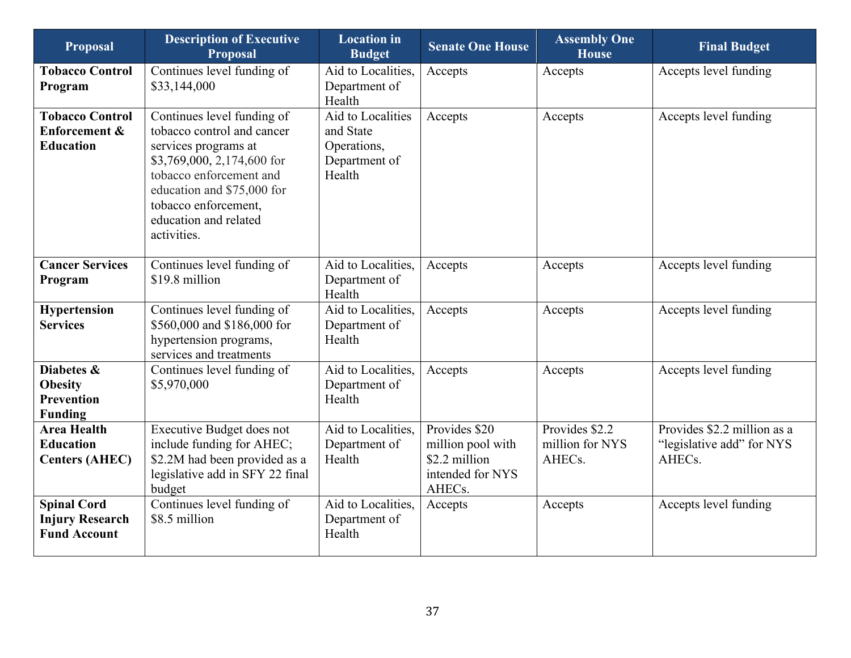| <b>Proposal</b>                                                     | <b>Description of Executive</b><br><b>Proposal</b>                                                                                                                                                                                      | <b>Location</b> in<br><b>Budget</b>                                      | <b>Senate One House</b>                                                           | <b>Assembly One</b><br><b>House</b>         | <b>Final Budget</b>                                                             |
|---------------------------------------------------------------------|-----------------------------------------------------------------------------------------------------------------------------------------------------------------------------------------------------------------------------------------|--------------------------------------------------------------------------|-----------------------------------------------------------------------------------|---------------------------------------------|---------------------------------------------------------------------------------|
| <b>Tobacco Control</b><br>Program                                   | Continues level funding of<br>\$33,144,000                                                                                                                                                                                              | Aid to Localities,<br>Department of<br>Health                            | Accepts                                                                           | Accepts                                     | Accepts level funding                                                           |
| <b>Tobacco Control</b><br>Enforcement &<br><b>Education</b>         | Continues level funding of<br>tobacco control and cancer<br>services programs at<br>\$3,769,000, 2,174,600 for<br>tobacco enforcement and<br>education and \$75,000 for<br>tobacco enforcement,<br>education and related<br>activities. | Aid to Localities<br>and State<br>Operations,<br>Department of<br>Health | Accepts                                                                           | Accepts                                     | Accepts level funding                                                           |
| <b>Cancer Services</b><br>Program                                   | Continues level funding of<br>\$19.8 million                                                                                                                                                                                            | Aid to Localities,<br>Department of<br>Health                            | Accepts                                                                           | Accepts                                     | Accepts level funding                                                           |
| <b>Hypertension</b><br><b>Services</b>                              | Continues level funding of<br>\$560,000 and \$186,000 for<br>hypertension programs,<br>services and treatments                                                                                                                          | Aid to Localities,<br>Department of<br>Health                            | Accepts                                                                           | Accepts                                     | Accepts level funding                                                           |
| Diabetes &<br><b>Obesity</b><br><b>Prevention</b><br><b>Funding</b> | Continues level funding of<br>\$5,970,000                                                                                                                                                                                               | Aid to Localities,<br>Department of<br>Health                            | Accepts                                                                           | Accepts                                     | Accepts level funding                                                           |
| <b>Area Health</b><br><b>Education</b><br><b>Centers (AHEC)</b>     | Executive Budget does not<br>include funding for AHEC;<br>\$2.2M had been provided as a<br>legislative add in SFY 22 final<br>budget                                                                                                    | Aid to Localities,<br>Department of<br>Health                            | Provides \$20<br>million pool with<br>\$2.2 million<br>intended for NYS<br>AHECs. | Provides \$2.2<br>million for NYS<br>AHECs. | Provides \$2.2 million as a<br>"legislative add" for NYS<br>AHEC <sub>s</sub> . |
| <b>Spinal Cord</b><br><b>Injury Research</b><br><b>Fund Account</b> | Continues level funding of<br>\$8.5 million                                                                                                                                                                                             | Aid to Localities,<br>Department of<br>Health                            | Accepts                                                                           | Accepts                                     | Accepts level funding                                                           |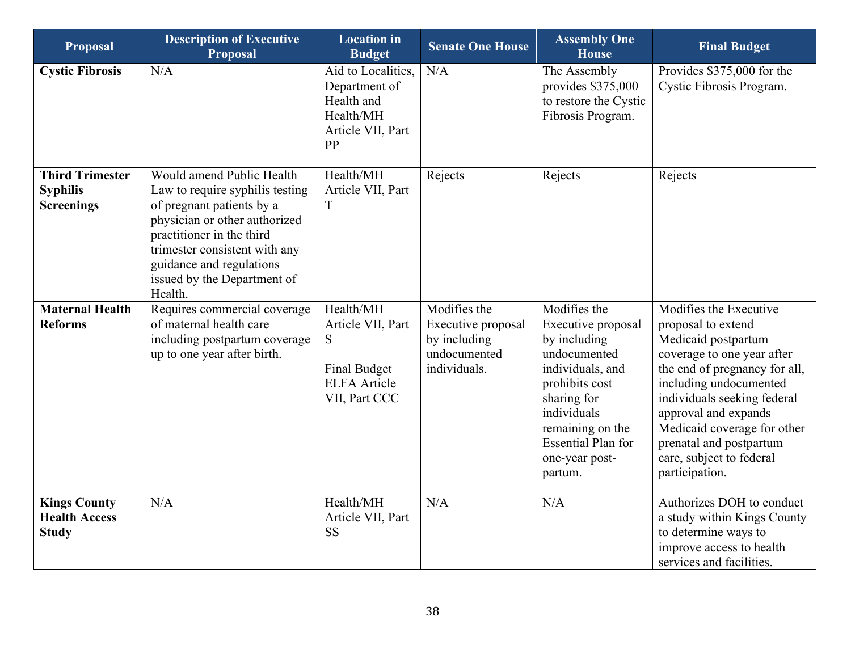| <b>Proposal</b>                                                | <b>Description of Executive</b><br><b>Proposal</b>                                                                                                                                                                                                             | <b>Location</b> in<br><b>Budget</b>                                                                | <b>Senate One House</b>                                                            | <b>Assembly One</b><br><b>House</b>                                                                                                                                                                                  | <b>Final Budget</b>                                                                                                                                                                                                                                                                                                         |
|----------------------------------------------------------------|----------------------------------------------------------------------------------------------------------------------------------------------------------------------------------------------------------------------------------------------------------------|----------------------------------------------------------------------------------------------------|------------------------------------------------------------------------------------|----------------------------------------------------------------------------------------------------------------------------------------------------------------------------------------------------------------------|-----------------------------------------------------------------------------------------------------------------------------------------------------------------------------------------------------------------------------------------------------------------------------------------------------------------------------|
| <b>Cystic Fibrosis</b>                                         | N/A                                                                                                                                                                                                                                                            | Aid to Localities,<br>Department of<br>Health and<br>Health/MH<br>Article VII, Part<br>PP          | N/A                                                                                | The Assembly<br>provides \$375,000<br>to restore the Cystic<br>Fibrosis Program.                                                                                                                                     | Provides \$375,000 for the<br>Cystic Fibrosis Program.                                                                                                                                                                                                                                                                      |
| <b>Third Trimester</b><br><b>Syphilis</b><br><b>Screenings</b> | Would amend Public Health<br>Law to require syphilis testing<br>of pregnant patients by a<br>physician or other authorized<br>practitioner in the third<br>trimester consistent with any<br>guidance and regulations<br>issued by the Department of<br>Health. | Health/MH<br>Article VII, Part<br>T                                                                | Rejects                                                                            | Rejects                                                                                                                                                                                                              | Rejects                                                                                                                                                                                                                                                                                                                     |
| <b>Maternal Health</b><br><b>Reforms</b>                       | Requires commercial coverage<br>of maternal health care<br>including postpartum coverage<br>up to one year after birth.                                                                                                                                        | Health/MH<br>Article VII, Part<br>S<br><b>Final Budget</b><br><b>ELFA</b> Article<br>VII, Part CCC | Modifies the<br>Executive proposal<br>by including<br>undocumented<br>individuals. | Modifies the<br>Executive proposal<br>by including<br>undocumented<br>individuals, and<br>prohibits cost<br>sharing for<br>individuals<br>remaining on the<br><b>Essential Plan for</b><br>one-year post-<br>partum. | Modifies the Executive<br>proposal to extend<br>Medicaid postpartum<br>coverage to one year after<br>the end of pregnancy for all,<br>including undocumented<br>individuals seeking federal<br>approval and expands<br>Medicaid coverage for other<br>prenatal and postpartum<br>care, subject to federal<br>participation. |
| <b>Kings County</b><br><b>Health Access</b><br><b>Study</b>    | N/A                                                                                                                                                                                                                                                            | Health/MH<br>Article VII, Part<br><b>SS</b>                                                        | N/A                                                                                | N/A                                                                                                                                                                                                                  | Authorizes DOH to conduct<br>a study within Kings County<br>to determine ways to<br>improve access to health<br>services and facilities.                                                                                                                                                                                    |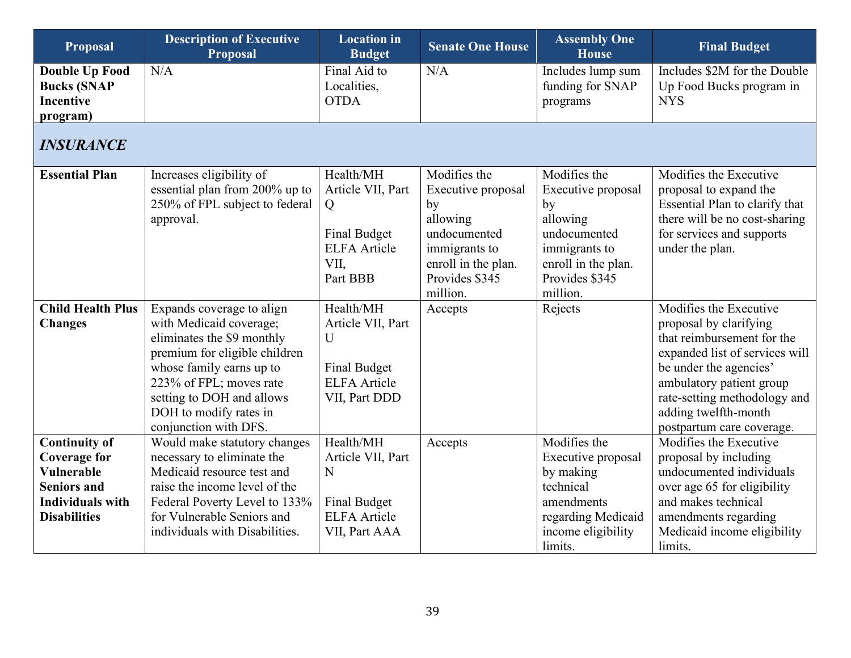<span id="page-38-0"></span>

| Proposal                                                                                                                                 | <b>Description of Executive</b><br><b>Proposal</b>                                                                                                                                                                                                         | <b>Location</b> in<br><b>Budget</b>                                                                   | <b>Senate One House</b>                                                                                                                    | <b>Assembly One</b><br><b>House</b>                                                                                                        | <b>Final Budget</b>                                                                                                                                                                                                                                         |
|------------------------------------------------------------------------------------------------------------------------------------------|------------------------------------------------------------------------------------------------------------------------------------------------------------------------------------------------------------------------------------------------------------|-------------------------------------------------------------------------------------------------------|--------------------------------------------------------------------------------------------------------------------------------------------|--------------------------------------------------------------------------------------------------------------------------------------------|-------------------------------------------------------------------------------------------------------------------------------------------------------------------------------------------------------------------------------------------------------------|
| <b>Double Up Food</b><br><b>Bucks (SNAP</b><br><b>Incentive</b><br>program)                                                              | N/A                                                                                                                                                                                                                                                        | Final Aid to<br>Localities,<br><b>OTDA</b>                                                            | N/A                                                                                                                                        | Includes lump sum<br>funding for SNAP<br>programs                                                                                          | Includes \$2M for the Double<br>Up Food Bucks program in<br><b>NYS</b>                                                                                                                                                                                      |
| <b>INSURANCE</b>                                                                                                                         |                                                                                                                                                                                                                                                            |                                                                                                       |                                                                                                                                            |                                                                                                                                            |                                                                                                                                                                                                                                                             |
| <b>Essential Plan</b>                                                                                                                    | Increases eligibility of<br>essential plan from 200% up to<br>250% of FPL subject to federal<br>approval.                                                                                                                                                  | Health/MH<br>Article VII, Part<br>Q<br><b>Final Budget</b><br><b>ELFA</b> Article<br>VII,<br>Part BBB | Modifies the<br>Executive proposal<br>by<br>allowing<br>undocumented<br>immigrants to<br>enroll in the plan.<br>Provides \$345<br>million. | Modifies the<br>Executive proposal<br>by<br>allowing<br>undocumented<br>immigrants to<br>enroll in the plan.<br>Provides \$345<br>million. | Modifies the Executive<br>proposal to expand the<br>Essential Plan to clarify that<br>there will be no cost-sharing<br>for services and supports<br>under the plan.                                                                                         |
| <b>Child Health Plus</b><br><b>Changes</b>                                                                                               | Expands coverage to align<br>with Medicaid coverage;<br>eliminates the \$9 monthly<br>premium for eligible children<br>whose family earns up to<br>223% of FPL; moves rate<br>setting to DOH and allows<br>DOH to modify rates in<br>conjunction with DFS. | Health/MH<br>Article VII, Part<br>U<br><b>Final Budget</b><br><b>ELFA</b> Article<br>VII, Part DDD    | Accepts                                                                                                                                    | Rejects                                                                                                                                    | Modifies the Executive<br>proposal by clarifying<br>that reimbursement for the<br>expanded list of services will<br>be under the agencies'<br>ambulatory patient group<br>rate-setting methodology and<br>adding twelfth-month<br>postpartum care coverage. |
| <b>Continuity of</b><br><b>Coverage for</b><br><b>Vulnerable</b><br><b>Seniors and</b><br><b>Individuals with</b><br><b>Disabilities</b> | Would make statutory changes<br>necessary to eliminate the<br>Medicaid resource test and<br>raise the income level of the<br>Federal Poverty Level to 133%<br>for Vulnerable Seniors and<br>individuals with Disabilities.                                 | Health/MH<br>Article VII, Part<br>N<br><b>Final Budget</b><br><b>ELFA</b> Article<br>VII, Part AAA    | Accepts                                                                                                                                    | Modifies the<br>Executive proposal<br>by making<br>technical<br>amendments<br>regarding Medicaid<br>income eligibility<br>limits.          | Modifies the Executive<br>proposal by including<br>undocumented individuals<br>over age 65 for eligibility<br>and makes technical<br>amendments regarding<br>Medicaid income eligibility<br>limits.                                                         |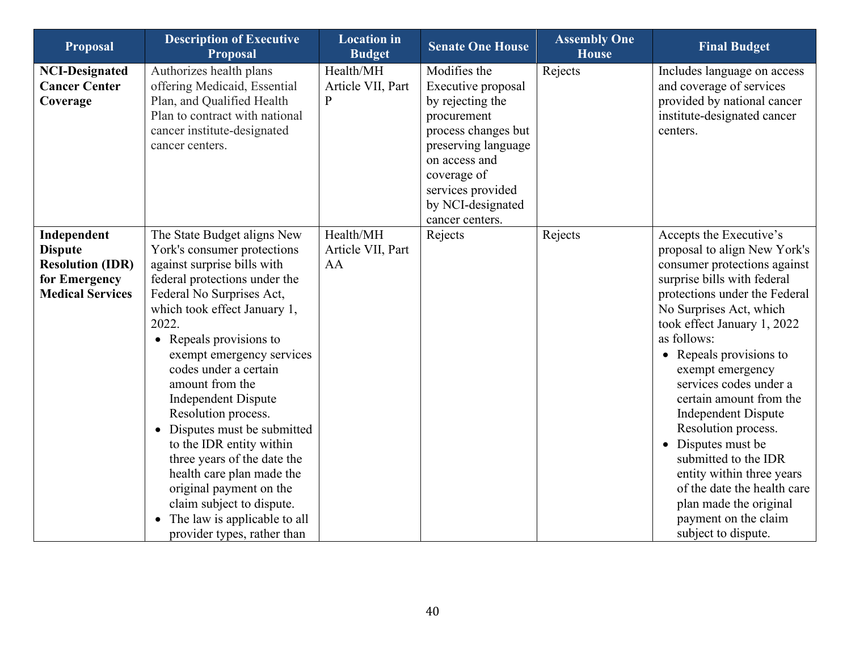| <b>Proposal</b>                                                                                      | <b>Description of Executive</b><br><b>Proposal</b>                                                                                                                                                                                                                                                                                                                                                                                                                                                                                                                                                         | <b>Location</b> in<br><b>Budget</b>            | <b>Senate One House</b>                                                                                                                                                                                          | <b>Assembly One</b><br><b>House</b> | <b>Final Budget</b>                                                                                                                                                                                                                                                                                                                                                                                                                                                                                                                                                          |
|------------------------------------------------------------------------------------------------------|------------------------------------------------------------------------------------------------------------------------------------------------------------------------------------------------------------------------------------------------------------------------------------------------------------------------------------------------------------------------------------------------------------------------------------------------------------------------------------------------------------------------------------------------------------------------------------------------------------|------------------------------------------------|------------------------------------------------------------------------------------------------------------------------------------------------------------------------------------------------------------------|-------------------------------------|------------------------------------------------------------------------------------------------------------------------------------------------------------------------------------------------------------------------------------------------------------------------------------------------------------------------------------------------------------------------------------------------------------------------------------------------------------------------------------------------------------------------------------------------------------------------------|
| <b>NCI-Designated</b><br><b>Cancer Center</b><br>Coverage                                            | Authorizes health plans<br>offering Medicaid, Essential<br>Plan, and Qualified Health<br>Plan to contract with national<br>cancer institute-designated<br>cancer centers.                                                                                                                                                                                                                                                                                                                                                                                                                                  | Health/MH<br>Article VII, Part<br>$\mathbf{P}$ | Modifies the<br>Executive proposal<br>by rejecting the<br>procurement<br>process changes but<br>preserving language<br>on access and<br>coverage of<br>services provided<br>by NCI-designated<br>cancer centers. | Rejects                             | Includes language on access<br>and coverage of services<br>provided by national cancer<br>institute-designated cancer<br>centers.                                                                                                                                                                                                                                                                                                                                                                                                                                            |
| Independent<br><b>Dispute</b><br><b>Resolution (IDR)</b><br>for Emergency<br><b>Medical Services</b> | The State Budget aligns New<br>York's consumer protections<br>against surprise bills with<br>federal protections under the<br>Federal No Surprises Act,<br>which took effect January 1,<br>2022.<br>• Repeals provisions to<br>exempt emergency services<br>codes under a certain<br>amount from the<br><b>Independent Dispute</b><br>Resolution process.<br>• Disputes must be submitted<br>to the IDR entity within<br>three years of the date the<br>health care plan made the<br>original payment on the<br>claim subject to dispute.<br>• The law is applicable to all<br>provider types, rather than | Health/MH<br>Article VII, Part<br>AA           | Rejects                                                                                                                                                                                                          | Rejects                             | Accepts the Executive's<br>proposal to align New York's<br>consumer protections against<br>surprise bills with federal<br>protections under the Federal<br>No Surprises Act, which<br>took effect January 1, 2022<br>as follows:<br>• Repeals provisions to<br>exempt emergency<br>services codes under a<br>certain amount from the<br><b>Independent Dispute</b><br>Resolution process.<br>• Disputes must be<br>submitted to the IDR<br>entity within three years<br>of the date the health care<br>plan made the original<br>payment on the claim<br>subject to dispute. |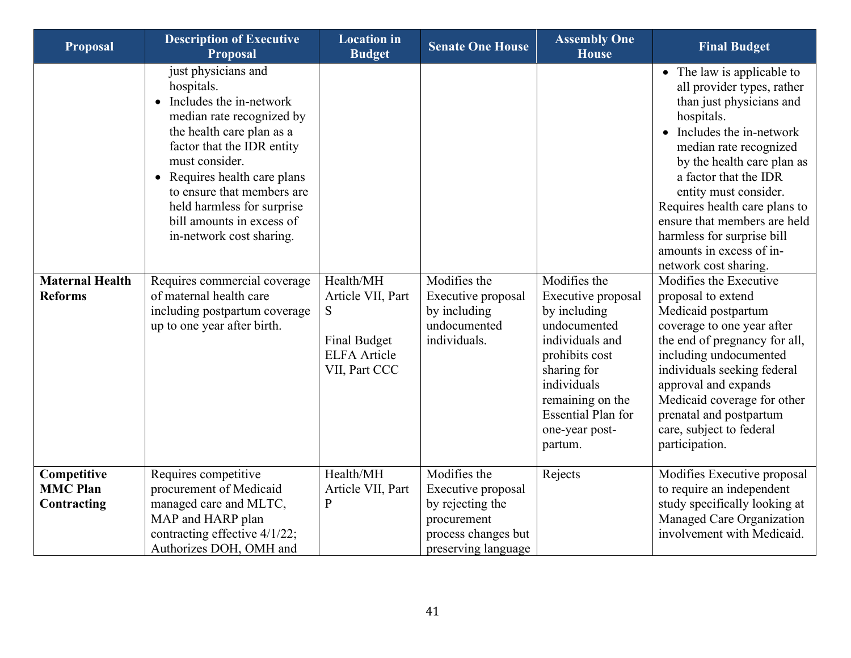| <b>Proposal</b>                               | <b>Description of Executive</b><br><b>Proposal</b>                                                                                                                                                                                                                                                                                                                                                                                                       | <b>Location</b> in<br><b>Budget</b>                                                         | <b>Senate One House</b>                                                                                             | <b>Assembly One</b><br><b>House</b>                                                                                                                                                                                 | <b>Final Budget</b>                                                                                                                                                                                                                                                                                                                                                                                                                                                                                                                                                                                                                                                                                                          |
|-----------------------------------------------|----------------------------------------------------------------------------------------------------------------------------------------------------------------------------------------------------------------------------------------------------------------------------------------------------------------------------------------------------------------------------------------------------------------------------------------------------------|---------------------------------------------------------------------------------------------|---------------------------------------------------------------------------------------------------------------------|---------------------------------------------------------------------------------------------------------------------------------------------------------------------------------------------------------------------|------------------------------------------------------------------------------------------------------------------------------------------------------------------------------------------------------------------------------------------------------------------------------------------------------------------------------------------------------------------------------------------------------------------------------------------------------------------------------------------------------------------------------------------------------------------------------------------------------------------------------------------------------------------------------------------------------------------------------|
| <b>Maternal Health</b><br><b>Reforms</b>      | just physicians and<br>hospitals.<br>• Includes the in-network<br>median rate recognized by<br>the health care plan as a<br>factor that the IDR entity<br>must consider.<br>• Requires health care plans<br>to ensure that members are<br>held harmless for surprise<br>bill amounts in excess of<br>in-network cost sharing.<br>Requires commercial coverage<br>of maternal health care<br>including postpartum coverage<br>up to one year after birth. | Health/MH<br>Article VII, Part<br>S<br>Final Budget<br><b>ELFA</b> Article<br>VII, Part CCC | Modifies the<br>Executive proposal<br>by including<br>undocumented<br>individuals.                                  | Modifies the<br>Executive proposal<br>by including<br>undocumented<br>individuals and<br>prohibits cost<br>sharing for<br>individuals<br>remaining on the<br><b>Essential Plan for</b><br>one-year post-<br>partum. | • The law is applicable to<br>all provider types, rather<br>than just physicians and<br>hospitals.<br>• Includes the in-network<br>median rate recognized<br>by the health care plan as<br>a factor that the IDR<br>entity must consider.<br>Requires health care plans to<br>ensure that members are held<br>harmless for surprise bill<br>amounts in excess of in-<br>network cost sharing.<br>Modifies the Executive<br>proposal to extend<br>Medicaid postpartum<br>coverage to one year after<br>the end of pregnancy for all,<br>including undocumented<br>individuals seeking federal<br>approval and expands<br>Medicaid coverage for other<br>prenatal and postpartum<br>care, subject to federal<br>participation. |
| Competitive<br><b>MMC Plan</b><br>Contracting | Requires competitive<br>procurement of Medicaid<br>managed care and MLTC,<br>MAP and HARP plan<br>contracting effective 4/1/22;<br>Authorizes DOH, OMH and                                                                                                                                                                                                                                                                                               | Health/MH<br>Article VII, Part<br>$\mathbf P$                                               | Modifies the<br>Executive proposal<br>by rejecting the<br>procurement<br>process changes but<br>preserving language | Rejects                                                                                                                                                                                                             | Modifies Executive proposal<br>to require an independent<br>study specifically looking at<br>Managed Care Organization<br>involvement with Medicaid.                                                                                                                                                                                                                                                                                                                                                                                                                                                                                                                                                                         |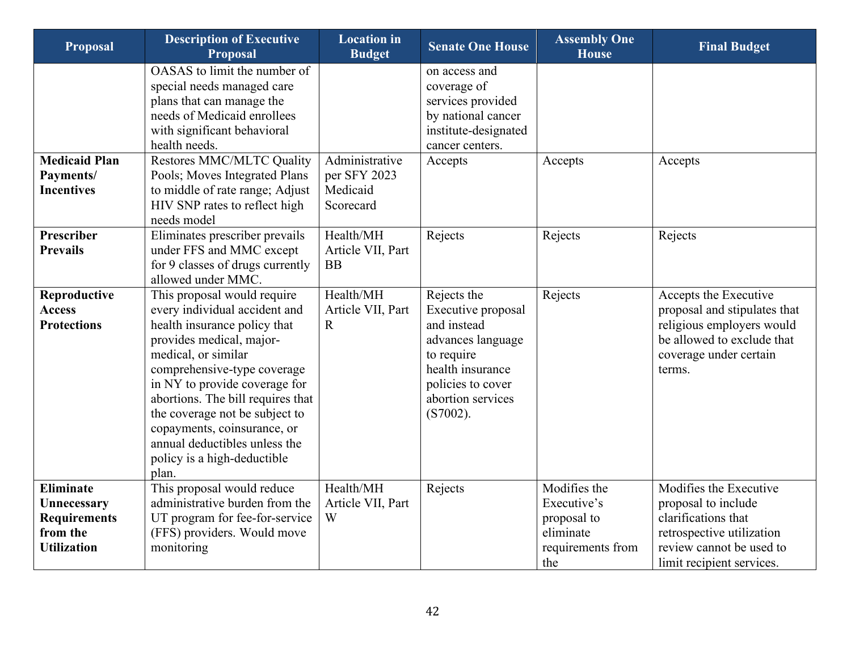| <b>Proposal</b>                                                                   | <b>Description of Executive</b><br><b>Proposal</b>                                                                                                                                                                                                                                                                                                                                             | <b>Location</b> in<br><b>Budget</b>                     | <b>Senate One House</b>                                                                                                                                          | <b>Assembly One</b><br><b>House</b>                                                 | <b>Final Budget</b>                                                                                                                                        |
|-----------------------------------------------------------------------------------|------------------------------------------------------------------------------------------------------------------------------------------------------------------------------------------------------------------------------------------------------------------------------------------------------------------------------------------------------------------------------------------------|---------------------------------------------------------|------------------------------------------------------------------------------------------------------------------------------------------------------------------|-------------------------------------------------------------------------------------|------------------------------------------------------------------------------------------------------------------------------------------------------------|
|                                                                                   | OASAS to limit the number of<br>special needs managed care<br>plans that can manage the<br>needs of Medicaid enrollees<br>with significant behavioral<br>health needs.                                                                                                                                                                                                                         |                                                         | on access and<br>coverage of<br>services provided<br>by national cancer<br>institute-designated<br>cancer centers.                                               |                                                                                     |                                                                                                                                                            |
| <b>Medicaid Plan</b><br>Payments/<br><b>Incentives</b>                            | <b>Restores MMC/MLTC Quality</b><br>Pools; Moves Integrated Plans<br>to middle of rate range; Adjust<br>HIV SNP rates to reflect high<br>needs model                                                                                                                                                                                                                                           | Administrative<br>per SFY 2023<br>Medicaid<br>Scorecard | Accepts                                                                                                                                                          | Accepts                                                                             | Accepts                                                                                                                                                    |
| Prescriber<br><b>Prevails</b>                                                     | Eliminates prescriber prevails<br>under FFS and MMC except<br>for 9 classes of drugs currently<br>allowed under MMC.                                                                                                                                                                                                                                                                           | Health/MH<br>Article VII, Part<br><b>BB</b>             | Rejects                                                                                                                                                          | Rejects                                                                             | Rejects                                                                                                                                                    |
| Reproductive<br><b>Access</b><br><b>Protections</b>                               | This proposal would require<br>every individual accident and<br>health insurance policy that<br>provides medical, major-<br>medical, or similar<br>comprehensive-type coverage<br>in NY to provide coverage for<br>abortions. The bill requires that<br>the coverage not be subject to<br>copayments, coinsurance, or<br>annual deductibles unless the<br>policy is a high-deductible<br>plan. | Health/MH<br>Article VII, Part<br>$\mathbf R$           | Rejects the<br>Executive proposal<br>and instead<br>advances language<br>to require<br>health insurance<br>policies to cover<br>abortion services<br>$(S7002)$ . | Rejects                                                                             | Accepts the Executive<br>proposal and stipulates that<br>religious employers would<br>be allowed to exclude that<br>coverage under certain<br>terms.       |
| Eliminate<br>Unnecessary<br><b>Requirements</b><br>from the<br><b>Utilization</b> | This proposal would reduce<br>administrative burden from the<br>UT program for fee-for-service<br>(FFS) providers. Would move<br>monitoring                                                                                                                                                                                                                                                    | Health/MH<br>Article VII, Part<br>W                     | Rejects                                                                                                                                                          | Modifies the<br>Executive's<br>proposal to<br>eliminate<br>requirements from<br>the | Modifies the Executive<br>proposal to include<br>clarifications that<br>retrospective utilization<br>review cannot be used to<br>limit recipient services. |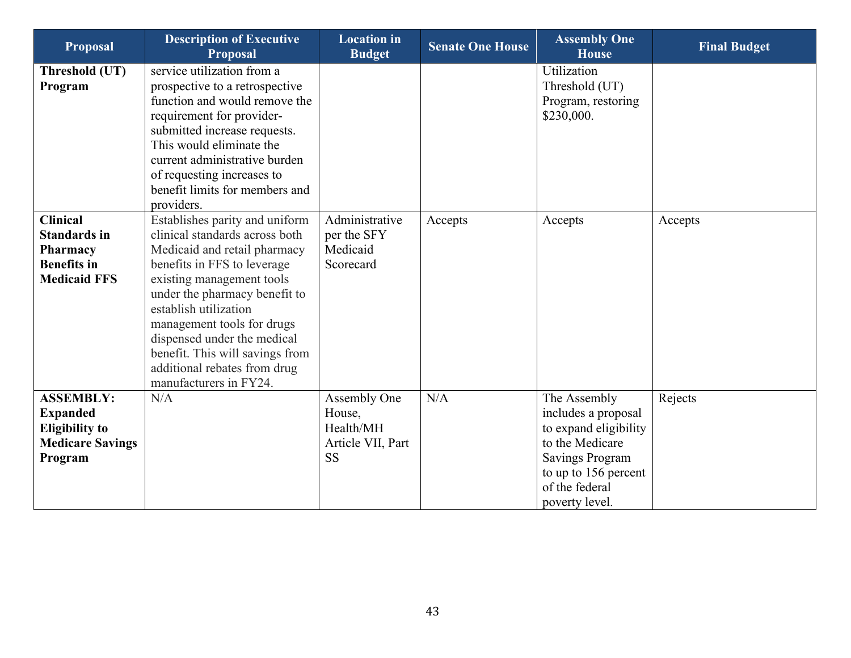| <b>Proposal</b>                                                                                    | <b>Description of Executive</b><br><b>Proposal</b>                                                                                                                                                                                                                                                                                                                               | <b>Location</b> in<br><b>Budget</b>                                   | <b>Senate One House</b> | <b>Assembly One</b><br><b>House</b>                                                                                                                                   | <b>Final Budget</b> |
|----------------------------------------------------------------------------------------------------|----------------------------------------------------------------------------------------------------------------------------------------------------------------------------------------------------------------------------------------------------------------------------------------------------------------------------------------------------------------------------------|-----------------------------------------------------------------------|-------------------------|-----------------------------------------------------------------------------------------------------------------------------------------------------------------------|---------------------|
| Threshold (UT)<br>Program                                                                          | service utilization from a<br>prospective to a retrospective<br>function and would remove the<br>requirement for provider-<br>submitted increase requests.<br>This would eliminate the<br>current administrative burden<br>of requesting increases to<br>benefit limits for members and<br>providers.                                                                            |                                                                       |                         | Utilization<br>Threshold (UT)<br>Program, restoring<br>\$230,000.                                                                                                     |                     |
| <b>Clinical</b><br><b>Standards in</b><br>Pharmacy<br><b>Benefits</b> in<br><b>Medicaid FFS</b>    | Establishes parity and uniform<br>clinical standards across both<br>Medicaid and retail pharmacy<br>benefits in FFS to leverage<br>existing management tools<br>under the pharmacy benefit to<br>establish utilization<br>management tools for drugs<br>dispensed under the medical<br>benefit. This will savings from<br>additional rebates from drug<br>manufacturers in FY24. | Administrative<br>per the SFY<br>Medicaid<br>Scorecard                | Accepts                 | Accepts                                                                                                                                                               | Accepts             |
| <b>ASSEMBLY:</b><br><b>Expanded</b><br><b>Eligibility to</b><br><b>Medicare Savings</b><br>Program | N/A                                                                                                                                                                                                                                                                                                                                                                              | Assembly One<br>House,<br>Health/MH<br>Article VII, Part<br><b>SS</b> | N/A                     | The Assembly<br>includes a proposal<br>to expand eligibility<br>to the Medicare<br><b>Savings Program</b><br>to up to 156 percent<br>of the federal<br>poverty level. | Rejects             |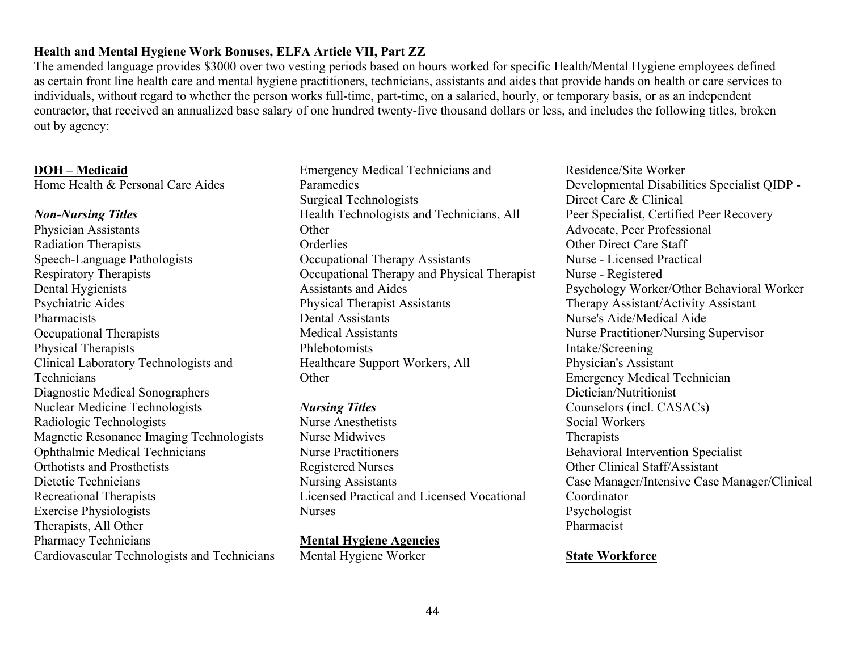### **Health and Mental Hygiene Work Bonuses, ELFA Article VII, Part ZZ**

The amended language provides \$3000 over two vesting periods based on hours worked for specific Health/Mental Hygiene employees defined as certain front line health care and mental hygiene practitioners, technicians, assistants and aides that provide hands on health or care services to individuals, without regard to whether the person works full-time, part-time, on a salaried, hourly, or temporary basis, or as an independent contractor, that received an annualized base salary of one hundred twenty-five thousand dollars or less, and includes the following titles, broken out by agency:

#### **DOH – Medicaid**

Home Health & Personal Care Aides

### *Non-Nursing Titles*

Physician Assistants Radiation Therapists Speech-Language Pathologists Respiratory Therapists Dental Hygienists Psychiatric Aides Pharmacists Occupational Therapists Physical Therapists Clinical Laboratory Technologists and **Technicians** Diagnostic Medical Sonographers Nuclear Medicine Technologists Radiologic Technologists Magnetic Resonance Imaging Technologists Ophthalmic Medical Technicians Orthotists and Prosthetists Dietetic Technicians Recreational Therapists Exercise Physiologists Therapists, All Other Pharmacy Technicians Cardiovascular Technologists and Technicians

Emergency Medical Technicians and Paramedics Surgical Technologists Health Technologists and Technicians, All **Other** Orderlies Occupational Therapy Assistants Occupational Therapy and Physical Therapist Assistants and Aides Physical Therapist Assistants Dental Assistants Medical Assistants Phlebotomists Healthcare Support Workers, All **Other** 

*Nursing Titles* Nurse Anesthetists Nurse Midwives Nurse Practitioners Registered Nurses Nursing Assistants Licensed Practical and Licensed Vocational Nurses

**Mental Hygiene Agencies** Mental Hygiene Worker

Residence/Site Worker Developmental Disabilities Specialist QIDP - Direct Care & Clinical Peer Specialist, Certified Peer Recovery Advocate, Peer Professional Other Direct Care Staff Nurse - Licensed Practical Nurse - Registered Psychology Worker/Other Behavioral Worker Therapy Assistant/Activity Assistant Nurse's Aide/Medical Aide Nurse Practitioner/Nursing Supervisor Intake/Screening Physician's Assistant Emergency Medical Technician Dietician/Nutritionist Counselors (incl. CASACs) Social Workers Therapists Behavioral Intervention Specialist Other Clinical Staff/Assistant Case Manager/Intensive Case Manager/Clinical Coordinator Psychologist Pharmacist

#### **State Workforce**